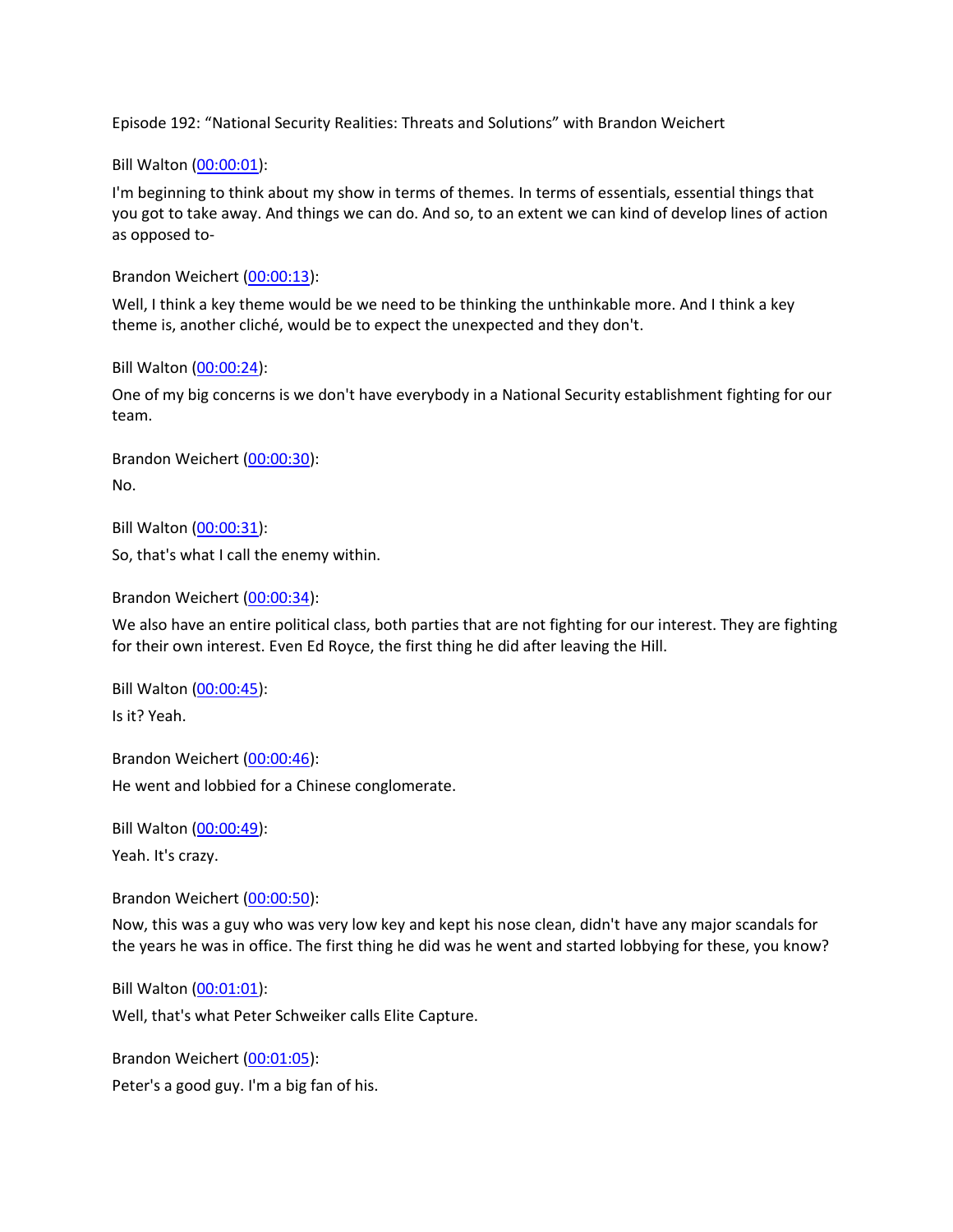Episode 192: "National Security Realities: Threats and Solutions" with Brandon Weichert

Bill Walton [\(00:00:01\)](https://www.rev.com/transcript-editor/Edit?token=OwJT0BuEKz-9l3Uc2d1GVt-WEZe5KaPfH3QSfvWg0dQB1pIljLrOeqiBEMobA_Pn2qsEhO536aGXP5QPPMqwXUqyD_8&loadFrom=DocumentDeeplink&ts=1.12):

I'm beginning to think about my show in terms of themes. In terms of essentials, essential things that you got to take away. And things we can do. And so, to an extent we can kind of develop lines of action as opposed to-

Brandon Weichert [\(00:00:13\)](https://www.rev.com/transcript-editor/Edit?token=zFuO8tB9aseId8l5eo5ORU_Y3GTofZRzAHkm_BHTBoZP3pGDAR0x_k0mO2XoEnte3fiVUFVlVLNVNJ69uv4kfkauJJ8&loadFrom=DocumentDeeplink&ts=13.9):

Well, I think a key theme would be we need to be thinking the unthinkable more. And I think a key theme is, another cliché, would be to expect the unexpected and they don't.

Bill Walton [\(00:00:24\)](https://www.rev.com/transcript-editor/Edit?token=6dRbVSa13tSuUgHTtBSz68rF0Of-eQQrIxNOmcoe4ls5dUmm4eUIYfjjuOBUudWx_QJgbQwVguYQ5r1cD4FOUMa-mQ0&loadFrom=DocumentDeeplink&ts=24.04):

One of my big concerns is we don't have everybody in a National Security establishment fighting for our team.

Brandon Weichert [\(00:00:30\)](https://www.rev.com/transcript-editor/Edit?token=46BAW_BBS4qJf5KyRb33odYCpyooORpYNliSmyo5K2Hzh1sNATvbgJmi7L-B65jD0KMvuIFcIJ5fcsC2op0vWRaaAyQ&loadFrom=DocumentDeeplink&ts=30.2): No.

Bill Walton [\(00:00:31\)](https://www.rev.com/transcript-editor/Edit?token=TC2768E0uY19OdjDxdTeEycUBWkO3BgogL98-F8qNMKpqSyU8qXml7jpBBQEwT__xf98Sf3RzFfEMNCt7xoxF0h0wbw&loadFrom=DocumentDeeplink&ts=31.81):

So, that's what I call the enemy within.

Brandon Weichert [\(00:00:34\)](https://www.rev.com/transcript-editor/Edit?token=_9xHOwtpn-hV58v0bBeijq6TQQlCsZSB19Lun63GAiMU6C8I0Yydqy0_wMJou4sOS2UVA9LcTtODjDacK__RkW5FhT8&loadFrom=DocumentDeeplink&ts=34.01):

We also have an entire political class, both parties that are not fighting for our interest. They are fighting for their own interest. Even Ed Royce, the first thing he did after leaving the Hill.

Bill Walton [\(00:00:45\)](https://www.rev.com/transcript-editor/Edit?token=ktHALAIk37_QldRsAyWdyRsgpeRgDF2aQWiOeN7kycrcoH3JigricEM7JlZp_IbyyqAo-O52lMpAnPTuCkn5ZOBIk-M&loadFrom=DocumentDeeplink&ts=45.13): Is it? Yeah.

Brandon Weichert [\(00:00:46\)](https://www.rev.com/transcript-editor/Edit?token=ADVSSvzFLEr0XuIEWfVM89Mx14ArO4YPDWGxuhA_oJVLuxiy517tc-vtuYjfuJZGPIq2W-r24thABFFrk6wI3TEEokg&loadFrom=DocumentDeeplink&ts=46.16): He went and lobbied for a Chinese conglomerate.

Bill Walton [\(00:00:49\)](https://www.rev.com/transcript-editor/Edit?token=uB23Q3m-W6GkX9jWixv-VOeif0NPo7QOI54BoaM1qX_TPG67JmCT_YY_GLqPUt_ZA-k_XieZ0Ban7n3FIsFLfngRisY&loadFrom=DocumentDeeplink&ts=49.04):

Yeah. It's crazy.

Brandon Weichert [\(00:00:50\)](https://www.rev.com/transcript-editor/Edit?token=AEX0uqR61N7wFhnPfR6Ha_IRWZG7DETwQqzWB-oAKUyfvEnDqX0njF1ZWL7NEDpzKhaUZLDzCEOR7Z-FYaGHoAxMplo&loadFrom=DocumentDeeplink&ts=50.03):

Now, this was a guy who was very low key and kept his nose clean, didn't have any major scandals for the years he was in office. The first thing he did was he went and started lobbying for these, you know?

Bill Walton [\(00:01:01\)](https://www.rev.com/transcript-editor/Edit?token=J50yJ738mzpJNS-o8dDICIyoA-fRWLWV-_mFaxx-CwXfezQvtRDTwZ2D5JstDC8MFbqWtF9MxCG1frCOgQV-XPDYnoA&loadFrom=DocumentDeeplink&ts=61.89):

Well, that's what Peter Schweiker calls Elite Capture.

Brandon Weichert [\(00:01:05\)](https://www.rev.com/transcript-editor/Edit?token=VCaxxyj_RbB5nBWzOKGF1FevtP1YEbAM_uy3_Z3QTljqX8W6P5deGfOi-85jQtJQ6lZyoJEU0l8q39htaFRiOM81ZhQ&loadFrom=DocumentDeeplink&ts=65.97): Peter's a good guy. I'm a big fan of his.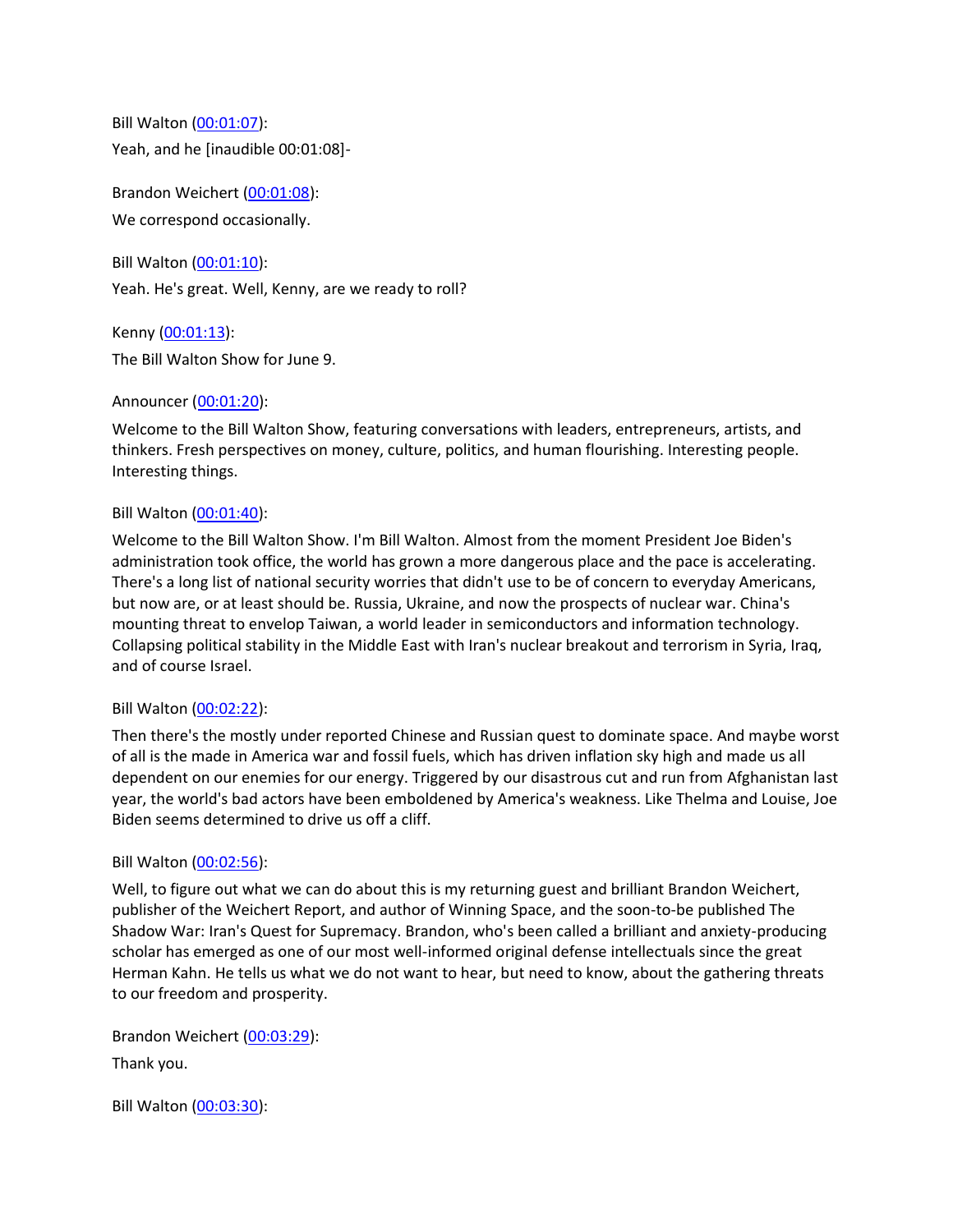Bill Walton [\(00:01:07\)](https://www.rev.com/transcript-editor/Edit?token=chCwYFBEz8mo2ZdD_aBClXwnjnU6pR-o8rnoxhp-R17gdPxcuk8veiBK7IzpfowWf9BY0uHTGa4IvX8os2Mwp7P_v1I&loadFrom=DocumentDeeplink&ts=67.79): Yeah, and he [inaudible 00:01:08]-

Brandon Weichert [\(00:01:08\)](https://www.rev.com/transcript-editor/Edit?token=UPcF2XNInpad8yDOflk6-1AftahE71QDFfwCArumQ18-9rmV9wBuR2ctkEryTxDWaTcJY2jQuNBY0c6EmSWq4dht790&loadFrom=DocumentDeeplink&ts=68.39): We correspond occasionally.

Bill Walton [\(00:01:10\)](https://www.rev.com/transcript-editor/Edit?token=yMkEMDGkfC89jegx5uAQLOKLm8ht7GMgJfnT1wcfsx4QQ776ds9jWftVba85nO1SE5bjOCFVz8H3MAdCHHoAwixbOvk&loadFrom=DocumentDeeplink&ts=70.39): Yeah. He's great. Well, Kenny, are we ready to roll?

Kenny [\(00:01:13\)](https://www.rev.com/transcript-editor/Edit?token=nsw9sLDiljNvsopgCBp9E2RAJglltA0Jwai_E_jAhxYsIMIZ5MrNgR0BMjtZ1Ps41C23mmPpX0yILkCdpXBGPyZ1Ouo&loadFrom=DocumentDeeplink&ts=73.26): The Bill Walton Show for June 9.

# Announcer [\(00:01:20\)](https://www.rev.com/transcript-editor/Edit?token=p4UJbpcrB1KMj_APVqhP4hPT-quca5wyTvEcnz-HAEPPq4V0FGJPIhnh26iGFhH7OB-qUhVKu8SKgzRiFfLlDWjnPlo&loadFrom=DocumentDeeplink&ts=80):

Welcome to the Bill Walton Show, featuring conversations with leaders, entrepreneurs, artists, and thinkers. Fresh perspectives on money, culture, politics, and human flourishing. Interesting people. Interesting things.

# Bill Walton [\(00:01:40\)](https://www.rev.com/transcript-editor/Edit?token=-STTF-J0kz2q8q23ijCzPqaCRs_Jdgzg6WeKswbgZ7UIo6LaueRmdzY1exgQ8JWm0PVXU3j9U9J7lm38JirRE2rSc8Q&loadFrom=DocumentDeeplink&ts=100.47):

Welcome to the Bill Walton Show. I'm Bill Walton. Almost from the moment President Joe Biden's administration took office, the world has grown a more dangerous place and the pace is accelerating. There's a long list of national security worries that didn't use to be of concern to everyday Americans, but now are, or at least should be. Russia, Ukraine, and now the prospects of nuclear war. China's mounting threat to envelop Taiwan, a world leader in semiconductors and information technology. Collapsing political stability in the Middle East with Iran's nuclear breakout and terrorism in Syria, Iraq, and of course Israel.

# Bill Walton [\(00:02:22\)](https://www.rev.com/transcript-editor/Edit?token=bmmaRBf9WF_VBjb99wd_MlhQVaWq4jpvnxkpmFJS6_I35wyQqUAgYL3yzpT-R9Giy_0wGXV2WCiSBWJsnqdSEjThvas&loadFrom=DocumentDeeplink&ts=142.96):

Then there's the mostly under reported Chinese and Russian quest to dominate space. And maybe worst of all is the made in America war and fossil fuels, which has driven inflation sky high and made us all dependent on our enemies for our energy. Triggered by our disastrous cut and run from Afghanistan last year, the world's bad actors have been emboldened by America's weakness. Like Thelma and Louise, Joe Biden seems determined to drive us off a cliff.

# Bill Walton [\(00:02:56\)](https://www.rev.com/transcript-editor/Edit?token=xy-YMoJY-cooNlMbhrQe0TqimJlVtrBykJuLIxJgevktdQupU37uflSmRZDzxDiZthf7i4X7miszS-TMItgwQNTh_r8&loadFrom=DocumentDeeplink&ts=176.75):

Well, to figure out what we can do about this is my returning guest and brilliant Brandon Weichert, publisher of the Weichert Report, and author of Winning Space, and the soon-to-be published The Shadow War: Iran's Quest for Supremacy. Brandon, who's been called a brilliant and anxiety-producing scholar has emerged as one of our most well-informed original defense intellectuals since the great Herman Kahn. He tells us what we do not want to hear, but need to know, about the gathering threats to our freedom and prosperity.

Brandon Weichert [\(00:03:29\)](https://www.rev.com/transcript-editor/Edit?token=x5isKY14vfJfRtuVcaxHCqOGNmD2T_jlAL2Trkdk1mZLOdmREYX8GQf_k-oF_ypxh9gjGsJw9nvTVy9CX-C5KhB7hKo&loadFrom=DocumentDeeplink&ts=209.63): Thank you.

Bill Walton [\(00:03:30\)](https://www.rev.com/transcript-editor/Edit?token=lg8ol6o-1un8NXfjxMhisPuXMPmwqzkxIILDEL6WoPHgtDDf5RvaEhfrmrL6EO2yV2EN6mQPC-ywgYx66qi7cBZ_KMU&loadFrom=DocumentDeeplink&ts=210.58):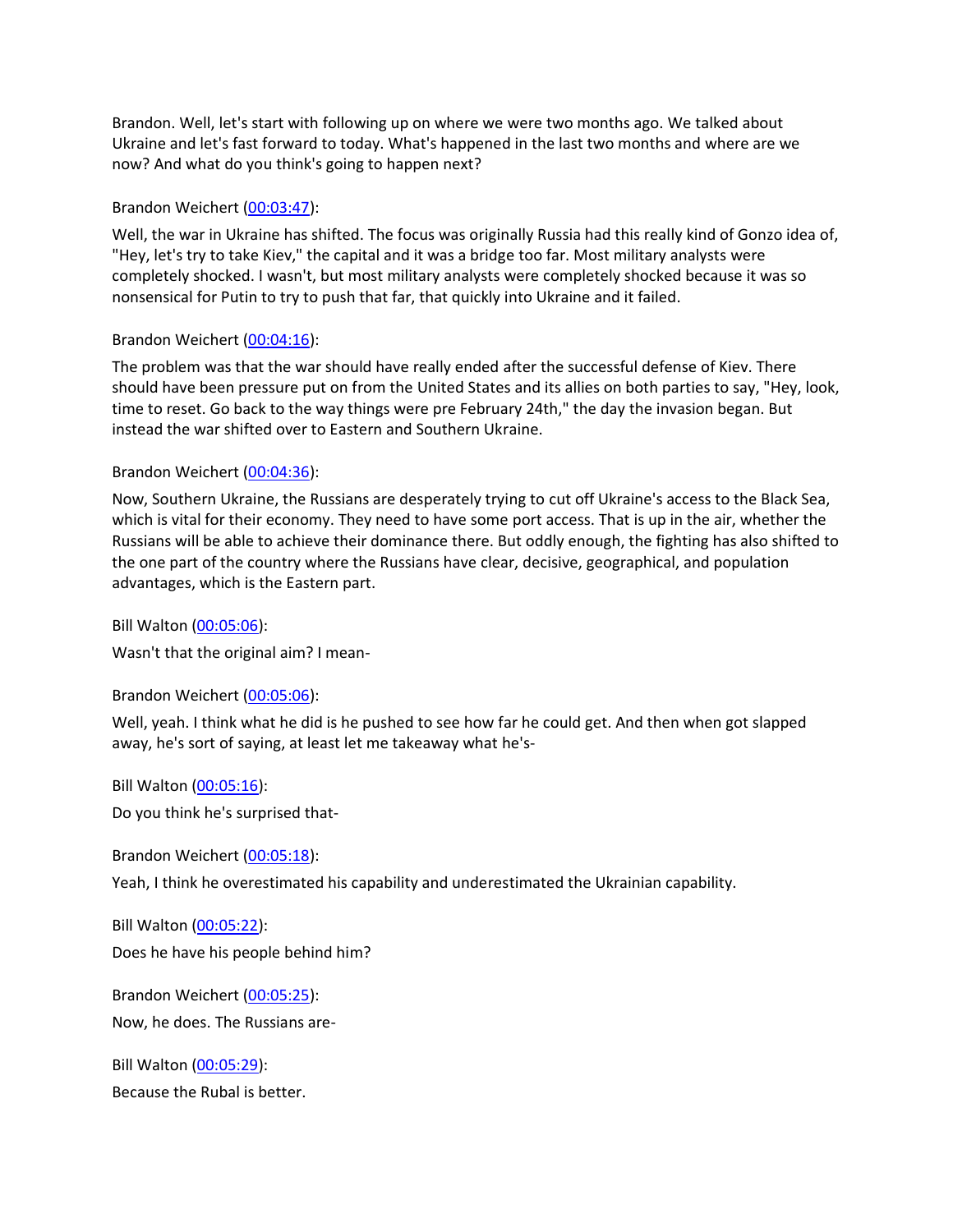Brandon. Well, let's start with following up on where we were two months ago. We talked about Ukraine and let's fast forward to today. What's happened in the last two months and where are we now? And what do you think's going to happen next?

### Brandon Weichert [\(00:03:47\)](https://www.rev.com/transcript-editor/Edit?token=y4Vga3nqTKgK7MJN8QrWHNBmsbzo_nA7Drlb-YH1mT-4zqVEth1ummQkQZsGcjvlskFvReS0MSsw3KNfja-apVzjKBc&loadFrom=DocumentDeeplink&ts=227.32):

Well, the war in Ukraine has shifted. The focus was originally Russia had this really kind of Gonzo idea of, "Hey, let's try to take Kiev," the capital and it was a bridge too far. Most military analysts were completely shocked. I wasn't, but most military analysts were completely shocked because it was so nonsensical for Putin to try to push that far, that quickly into Ukraine and it failed.

## Brandon Weichert [\(00:04:16\)](https://www.rev.com/transcript-editor/Edit?token=MBZi9IuBTa-OWuGi6Ab6kigzf8g8c9c9o3MfcNrcpQ148WEgMowO0zGT3ebQOpv8QLHPO1M0_YUCS9Ap-r7eyDIQtFU&loadFrom=DocumentDeeplink&ts=256.27):

The problem was that the war should have really ended after the successful defense of Kiev. There should have been pressure put on from the United States and its allies on both parties to say, "Hey, look, time to reset. Go back to the way things were pre February 24th," the day the invasion began. But instead the war shifted over to Eastern and Southern Ukraine.

## Brandon Weichert [\(00:04:36\)](https://www.rev.com/transcript-editor/Edit?token=_FTay_IEfWw2pb4fciw98kZttyPdG7gKPohjKu7-P8ydBnB4_kkFJZFsOlOeGhl5jWOPAAscXidXfz8i9i8ZBU9DFNg&loadFrom=DocumentDeeplink&ts=276.93):

Now, Southern Ukraine, the Russians are desperately trying to cut off Ukraine's access to the Black Sea, which is vital for their economy. They need to have some port access. That is up in the air, whether the Russians will be able to achieve their dominance there. But oddly enough, the fighting has also shifted to the one part of the country where the Russians have clear, decisive, geographical, and population advantages, which is the Eastern part.

Bill Walton [\(00:05:06\)](https://www.rev.com/transcript-editor/Edit?token=BR1n4kWJiHHpt5mgusm-ZMGA5gCeJdEtuLrxDzoWoL1rBoqUMhSsVf71N3tiTt1E7rfIcn-gfeF2xCbn6PMndDXdRnY&loadFrom=DocumentDeeplink&ts=306.33):

Wasn't that the original aim? I mean-

Brandon Weichert [\(00:05:06\)](https://www.rev.com/transcript-editor/Edit?token=bMANM9LN0IrRl378wTYtnSVISrw9aUV5j4AIbOVfr7hdE0MMeln6upboYC7U0d5p3eW1-Lw1fWLIYMwR-XFFzuH_teM&loadFrom=DocumentDeeplink&ts=306.9):

Well, yeah. I think what he did is he pushed to see how far he could get. And then when got slapped away, he's sort of saying, at least let me takeaway what he's-

Bill Walton [\(00:05:16\)](https://www.rev.com/transcript-editor/Edit?token=RxEAnVmCTSfJQLoTs-fx2CtgosVhsqGF9rK1CBMgqnlwqPuqTs0Jf2ZPZmfdUUv8NQnIY2ovWcuQImGtoVA-RnwAPqs&loadFrom=DocumentDeeplink&ts=316.2): Do you think he's surprised that-

Brandon Weichert [\(00:05:18\)](https://www.rev.com/transcript-editor/Edit?token=Yuinoip9n-Wexp50vUQ6uSam9Zl85L6IU9VHwDshTNQF45_HXqEEhS-b-D-Lc_GIwf-fK2_qE2VanQsL5mzZ1oEfO1o&loadFrom=DocumentDeeplink&ts=318.93):

Yeah, I think he overestimated his capability and underestimated the Ukrainian capability.

Bill Walton [\(00:05:22\)](https://www.rev.com/transcript-editor/Edit?token=hq8sZSrbKSRd2H6QT6lZOgr5455CMfuoeJxNNG5UZhzqqSEwwxBZTClPt_pxSJV9Yc9-erZcrhIDet2fbDtAmUjtIhg&loadFrom=DocumentDeeplink&ts=322.66): Does he have his people behind him?

Brandon Weichert [\(00:05:25\)](https://www.rev.com/transcript-editor/Edit?token=9zB6GAEyGlFHmcHrqECc4ePGRK5G4b6NmAOmFSRQF6JmDrsPjHC08yQ7r1iy-8WaEi44_8xLbNV7OYynqBLgE6JqJVM&loadFrom=DocumentDeeplink&ts=325.82): Now, he does. The Russians are-

Bill Walton [\(00:05:29\)](https://www.rev.com/transcript-editor/Edit?token=SMBsoepN7nJtc7w1wOnCzo1VNRrfmYlcevuw2kPSvGfv2TirtCunGHM-3SQJc7PDvI6BwVeCO7T56WLp8mbotia_gWA&loadFrom=DocumentDeeplink&ts=329.27): Because the Rubal is better.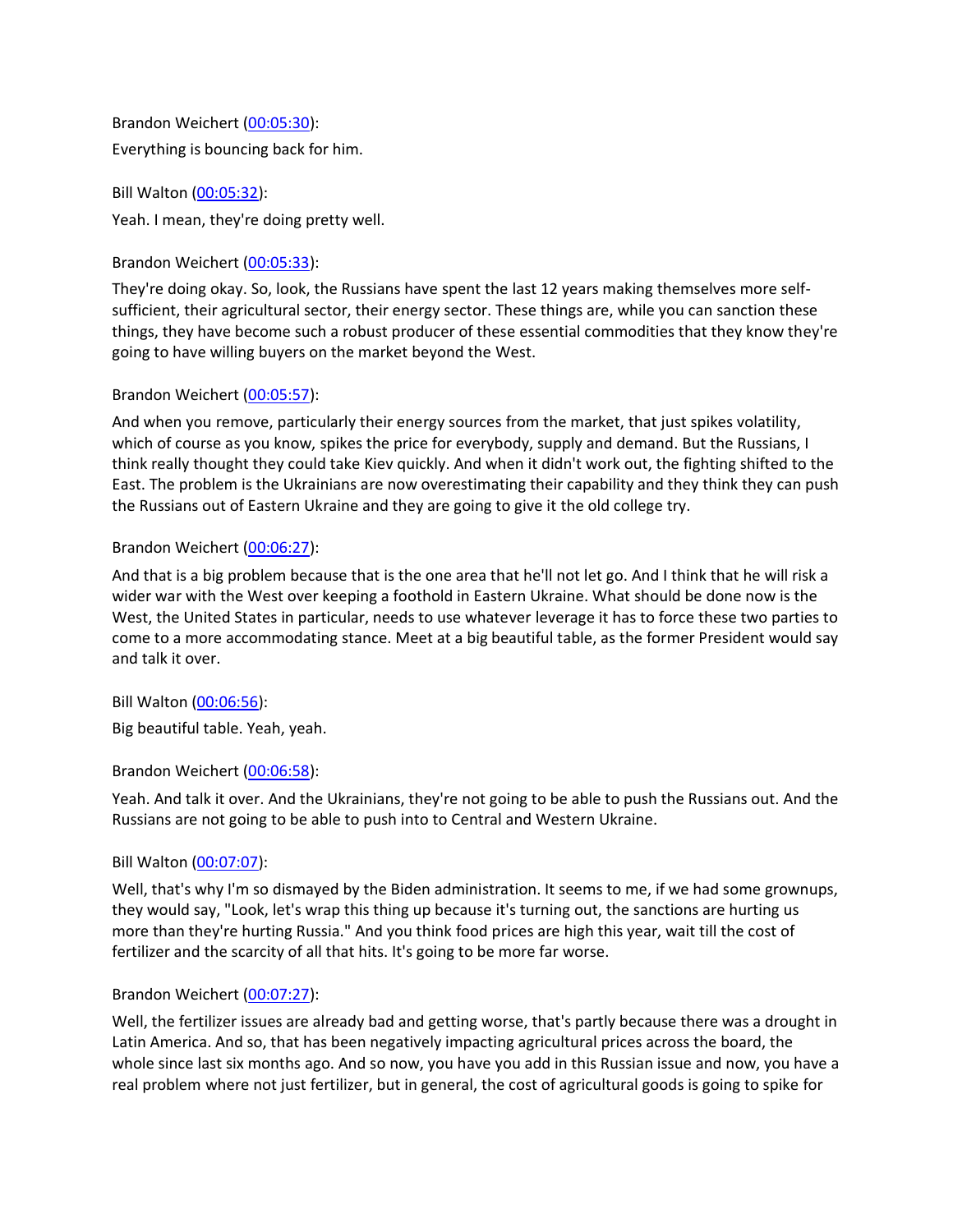Brandon Weichert [\(00:05:30\)](https://www.rev.com/transcript-editor/Edit?token=vkb13NhBRaNjDjPJDoMx0ERdgm15el2c_oGvOOZ5mUP6RKq35S-Vy1tZIj93DIrYMPgRuOAk1O7V7f2ob_KiEn0zx8A&loadFrom=DocumentDeeplink&ts=330.99): Everything is bouncing back for him.

Bill Walton [\(00:05:32\)](https://www.rev.com/transcript-editor/Edit?token=6sPhkWYox-O06kf0KsyPw031Bky7eudSjmQWAHiW-09IgZbmEU3I45FlD6YdnAJBW1SRyKlM_G3J0s9mhf1crgQwWSY&loadFrom=DocumentDeeplink&ts=332.89): Yeah. I mean, they're doing pretty well.

Brandon Weichert [\(00:05:33\)](https://www.rev.com/transcript-editor/Edit?token=orS3mNwRnS4gYwl3PDJKQSps2D0DIPPV8pDICaB1Basmo5LpyKncWnAHyqTQVCDn74LaUP7TmKpX2XbHc8yLczw5_VA&loadFrom=DocumentDeeplink&ts=333.76):

They're doing okay. So, look, the Russians have spent the last 12 years making themselves more selfsufficient, their agricultural sector, their energy sector. These things are, while you can sanction these things, they have become such a robust producer of these essential commodities that they know they're going to have willing buyers on the market beyond the West.

# Brandon Weichert [\(00:05:57\)](https://www.rev.com/transcript-editor/Edit?token=aeXDVup9eUu2Cp4JYjX3Ps900Q_EL4asans_erFSCd026s5hVppBXUXS3O8m7S5PWuqY_kZPwrKnmPPFzG_ol22AXrI&loadFrom=DocumentDeeplink&ts=357.95):

And when you remove, particularly their energy sources from the market, that just spikes volatility, which of course as you know, spikes the price for everybody, supply and demand. But the Russians, I think really thought they could take Kiev quickly. And when it didn't work out, the fighting shifted to the East. The problem is the Ukrainians are now overestimating their capability and they think they can push the Russians out of Eastern Ukraine and they are going to give it the old college try.

# Brandon Weichert [\(00:06:27\)](https://www.rev.com/transcript-editor/Edit?token=DBmCZZu3v0OpDP-rpYuTjG7tU2zX_NgMKE66RSmEcFqk_a30RMcwq6Coc15o0WcKTvAOxVpQo5XqocB7EUoUBuu4MBo&loadFrom=DocumentDeeplink&ts=387.16):

And that is a big problem because that is the one area that he'll not let go. And I think that he will risk a wider war with the West over keeping a foothold in Eastern Ukraine. What should be done now is the West, the United States in particular, needs to use whatever leverage it has to force these two parties to come to a more accommodating stance. Meet at a big beautiful table, as the former President would say and talk it over.

Bill Walton [\(00:06:56\)](https://www.rev.com/transcript-editor/Edit?token=WFimEQOca3s8WbaLQEAXenZEgjPzuQfMEtzoZY0-khoJxoXN5rT_omp84GYtZL5WAFYrl75l5hpWvGliQrX3ha73xA8&loadFrom=DocumentDeeplink&ts=416.65):

Big beautiful table. Yeah, yeah.

# Brandon Weichert [\(00:06:58\)](https://www.rev.com/transcript-editor/Edit?token=v4asvwX5pWwOfZqdrIws3uef6WmXI7y7UpwaJ1AsfsnofdKuuEYhp_Jl8YQEDFdXJqgj7KjBpWjmXhb6_2H3PiT_TcI&loadFrom=DocumentDeeplink&ts=418.1):

Yeah. And talk it over. And the Ukrainians, they're not going to be able to push the Russians out. And the Russians are not going to be able to push into to Central and Western Ukraine.

# Bill Walton [\(00:07:07\)](https://www.rev.com/transcript-editor/Edit?token=U4mWxPJnrNwycxVYTglEWvBuAUQlTicTR26IMLjU1TwzpW4dW1e2CLcTm1VzYz-_hDmv9Lv9P8P1AV-br_iunwYd3YE&loadFrom=DocumentDeeplink&ts=427.72):

Well, that's why I'm so dismayed by the Biden administration. It seems to me, if we had some grownups, they would say, "Look, let's wrap this thing up because it's turning out, the sanctions are hurting us more than they're hurting Russia." And you think food prices are high this year, wait till the cost of fertilizer and the scarcity of all that hits. It's going to be more far worse.

# Brandon Weichert [\(00:07:27\)](https://www.rev.com/transcript-editor/Edit?token=0N56SyuGpA6Yf_ffwir7ndCGswUzs2zgWtkvPy5Gka0Adh1WDYyqiI38f4mpBXHgNvKeH6DvLHTOgNBdMOElcU1YRzo&loadFrom=DocumentDeeplink&ts=447.32):

Well, the fertilizer issues are already bad and getting worse, that's partly because there was a drought in Latin America. And so, that has been negatively impacting agricultural prices across the board, the whole since last six months ago. And so now, you have you add in this Russian issue and now, you have a real problem where not just fertilizer, but in general, the cost of agricultural goods is going to spike for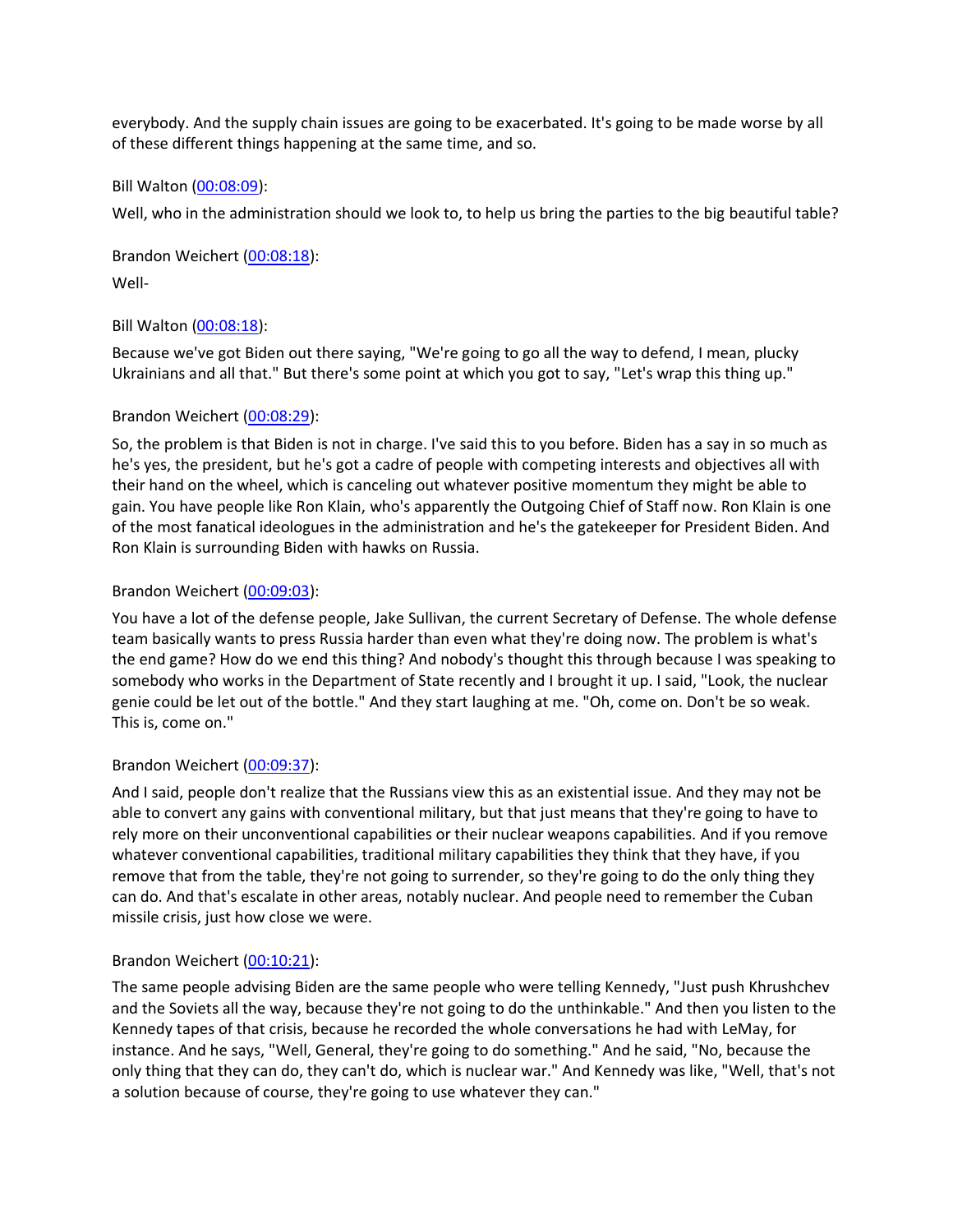everybody. And the supply chain issues are going to be exacerbated. It's going to be made worse by all of these different things happening at the same time, and so.

Bill Walton [\(00:08:09\)](https://www.rev.com/transcript-editor/Edit?token=rlw5JRnhjpcFOJPCoL8NB0-Vf-_DEfRbXQqjkQ5mccrSChuDV2vuv1qux2CddSps97JE2UrbAEDT8jPhj3hOtItdMdc&loadFrom=DocumentDeeplink&ts=489.29):

Well, who in the administration should we look to, to help us bring the parties to the big beautiful table?

Brandon Weichert [\(00:08:18\)](https://www.rev.com/transcript-editor/Edit?token=o2_T0Se6dOQO64QDqP5z9vM7w8LChXOm_aAyDdeN3JryOAfS-lpkHPSPJ6pcgLMXCtjumk45y0xb84sGbpTuca76-7s&loadFrom=DocumentDeeplink&ts=498.36): Well-

# Bill Walton [\(00:08:18\)](https://www.rev.com/transcript-editor/Edit?token=7DG1J7ATykm6XgcWNydBGlgKc-ET_bCshjz69z6hSCEX9g_kkNry5y4oW2F0Avy79zHi6FK6CJ9-z9GKzxyqA0r60XA&loadFrom=DocumentDeeplink&ts=498.39):

Because we've got Biden out there saying, "We're going to go all the way to defend, I mean, plucky Ukrainians and all that." But there's some point at which you got to say, "Let's wrap this thing up."

# Brandon Weichert [\(00:08:29\)](https://www.rev.com/transcript-editor/Edit?token=kyjSWi69Ly4j7WHXz4ErRRwMB3trXi3mpekK8sUxBxRryODRKmaZIY2OojaOBjraPTIwIocnt7hb1aNrgIjae7P3330&loadFrom=DocumentDeeplink&ts=509.54):

So, the problem is that Biden is not in charge. I've said this to you before. Biden has a say in so much as he's yes, the president, but he's got a cadre of people with competing interests and objectives all with their hand on the wheel, which is canceling out whatever positive momentum they might be able to gain. You have people like Ron Klain, who's apparently the Outgoing Chief of Staff now. Ron Klain is one of the most fanatical ideologues in the administration and he's the gatekeeper for President Biden. And Ron Klain is surrounding Biden with hawks on Russia.

# Brandon Weichert [\(00:09:03\)](https://www.rev.com/transcript-editor/Edit?token=8LyGOeDV5nW7qepE_ZQVu1XHYPOmBh1Ezoq_-LSC78KNtmkmBxEVfgrX-lu1uLIgrd-YeoQNfQhItOOoiqh-guLbxTw&loadFrom=DocumentDeeplink&ts=543.79):

You have a lot of the defense people, Jake Sullivan, the current Secretary of Defense. The whole defense team basically wants to press Russia harder than even what they're doing now. The problem is what's the end game? How do we end this thing? And nobody's thought this through because I was speaking to somebody who works in the Department of State recently and I brought it up. I said, "Look, the nuclear genie could be let out of the bottle." And they start laughing at me. "Oh, come on. Don't be so weak. This is, come on."

# Brandon Weichert [\(00:09:37\)](https://www.rev.com/transcript-editor/Edit?token=8S8_fsWJ8LiW9Z-1FGdRKolMgEAqxrvk0IIUDpZtlNeZGJAErsS-LtSLy6iik6vY_RgVJGmhYYA4M1jzh24PLfAQAuc&loadFrom=DocumentDeeplink&ts=577.77):

And I said, people don't realize that the Russians view this as an existential issue. And they may not be able to convert any gains with conventional military, but that just means that they're going to have to rely more on their unconventional capabilities or their nuclear weapons capabilities. And if you remove whatever conventional capabilities, traditional military capabilities they think that they have, if you remove that from the table, they're not going to surrender, so they're going to do the only thing they can do. And that's escalate in other areas, notably nuclear. And people need to remember the Cuban missile crisis, just how close we were.

# Brandon Weichert [\(00:10:21\)](https://www.rev.com/transcript-editor/Edit?token=Qy26sPeKG21jyjRlPWnwrvxkmCfSGDvvhCA9y_3pluNF-Jdw9lvH_1yum3FtoqMGLXRG0uozSJWK9oub8x-aQb6EyiA&loadFrom=DocumentDeeplink&ts=621.92):

The same people advising Biden are the same people who were telling Kennedy, "Just push Khrushchev and the Soviets all the way, because they're not going to do the unthinkable." And then you listen to the Kennedy tapes of that crisis, because he recorded the whole conversations he had with LeMay, for instance. And he says, "Well, General, they're going to do something." And he said, "No, because the only thing that they can do, they can't do, which is nuclear war." And Kennedy was like, "Well, that's not a solution because of course, they're going to use whatever they can."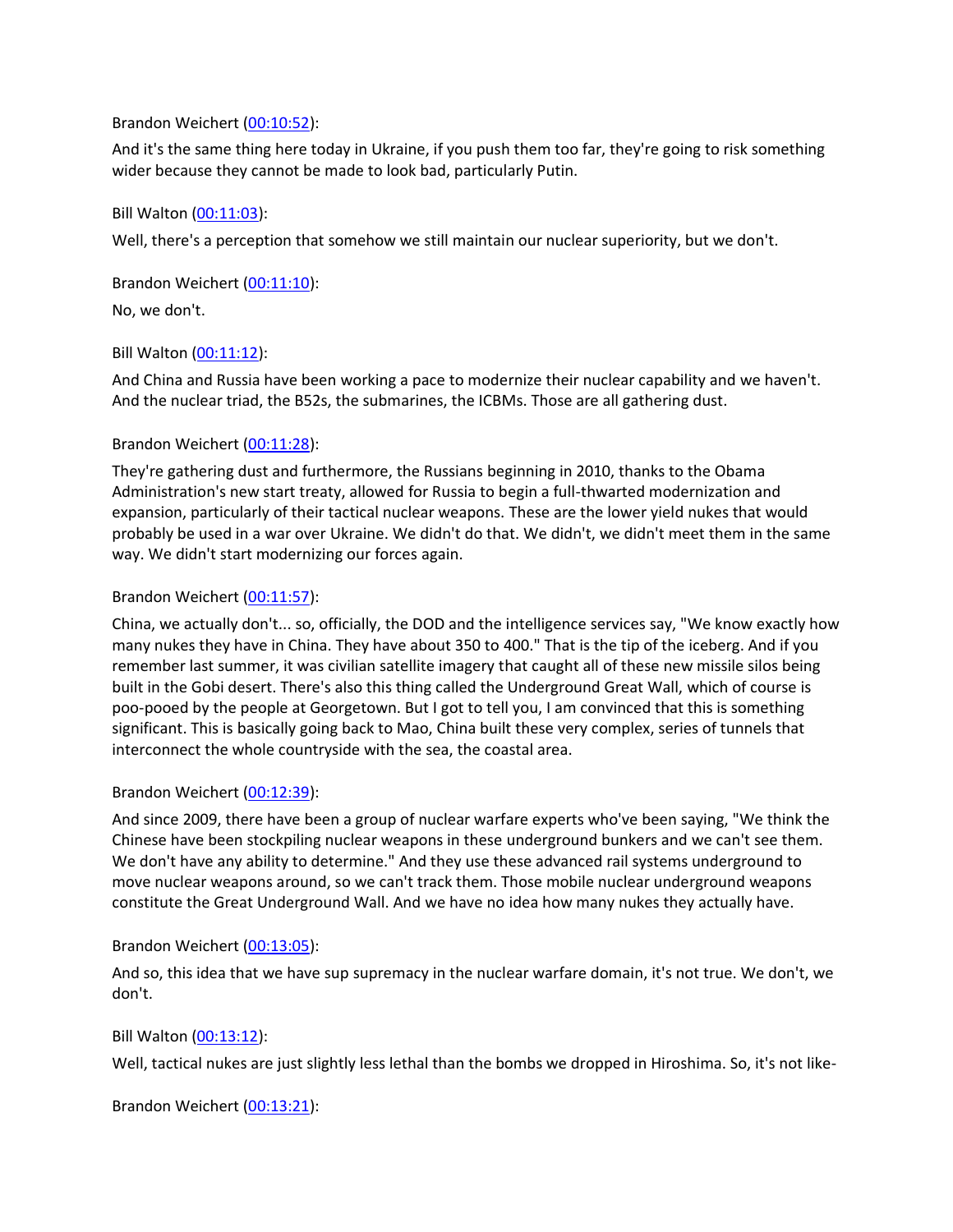## Brandon Weichert [\(00:10:52\)](https://www.rev.com/transcript-editor/Edit?token=2xHBWZl7tjxZVL0EiRp9otuW6_UolcnUDHxy7jjPnVBE6FtMN3I4DA3VXkVZwkLjyprHVRCmckOKqgfj1v6w9i76C7o&loadFrom=DocumentDeeplink&ts=652.21):

And it's the same thing here today in Ukraine, if you push them too far, they're going to risk something wider because they cannot be made to look bad, particularly Putin.

## Bill Walton [\(00:11:03\)](https://www.rev.com/transcript-editor/Edit?token=hT01ST-lXNdpzvKStkPN5N_uLfROPIj_q-22AzXdM4vnxuTr71TlyU0GHIa2psHt2bHPn8vp0Meh3Dju5dgk7IXcKeY&loadFrom=DocumentDeeplink&ts=663.01):

Well, there's a perception that somehow we still maintain our nuclear superiority, but we don't.

Brandon Weichert [\(00:11:10\)](https://www.rev.com/transcript-editor/Edit?token=qUEbyEYV4esg114z0mR-PQRzjcZQf1l0jwLAc7ig-d7JSY2ik3pSRAxbNVDa0kaqfQg_UcvFkujHrneO4E7Fl20weMQ&loadFrom=DocumentDeeplink&ts=670.8):

No, we don't.

## Bill Walton [\(00:11:12\)](https://www.rev.com/transcript-editor/Edit?token=luFTjCbf21w1JN_JD4SlbPZTNQ0m1VxUCMJqKTBR0XJHlSmlOfZbvUbVh-ffK7DG0MUmysUBad-S0FC-FuShXonz7RE&loadFrom=DocumentDeeplink&ts=672.04):

And China and Russia have been working a pace to modernize their nuclear capability and we haven't. And the nuclear triad, the B52s, the submarines, the ICBMs. Those are all gathering dust.

# Brandon Weichert [\(00:11:28\)](https://www.rev.com/transcript-editor/Edit?token=QYG7qnOrVX2OdtvQzSA4QtIXnEVwwg44MCj7GNVhQ7Jd57Jm4AkC-srvR35Tw95uIqpkdgIXQ50mzCY0NNJ4zy8EHzI&loadFrom=DocumentDeeplink&ts=688.33):

They're gathering dust and furthermore, the Russians beginning in 2010, thanks to the Obama Administration's new start treaty, allowed for Russia to begin a full-thwarted modernization and expansion, particularly of their tactical nuclear weapons. These are the lower yield nukes that would probably be used in a war over Ukraine. We didn't do that. We didn't, we didn't meet them in the same way. We didn't start modernizing our forces again.

## Brandon Weichert [\(00:11:57\)](https://www.rev.com/transcript-editor/Edit?token=R-oSan0UEeWNR819tMdTtI-BJlUBM2_8TFlgSSiR6qefBgZdqQVrHF351PhZ7aOpwFN_DivZPttCJE-Sk4RXzvsACQ0&loadFrom=DocumentDeeplink&ts=717.66):

China, we actually don't... so, officially, the DOD and the intelligence services say, "We know exactly how many nukes they have in China. They have about 350 to 400." That is the tip of the iceberg. And if you remember last summer, it was civilian satellite imagery that caught all of these new missile silos being built in the Gobi desert. There's also this thing called the Underground Great Wall, which of course is poo-pooed by the people at Georgetown. But I got to tell you, I am convinced that this is something significant. This is basically going back to Mao, China built these very complex, series of tunnels that interconnect the whole countryside with the sea, the coastal area.

# Brandon Weichert [\(00:12:39\)](https://www.rev.com/transcript-editor/Edit?token=R-NI7mlQtm3fPnU_UV7OYLOQy9IeSMUBrQyuboqe1jYICgW6U91HFezm_wgKNngsViHh32fbsfOczkPHe-Ti8XwH3TQ&loadFrom=DocumentDeeplink&ts=759.8):

And since 2009, there have been a group of nuclear warfare experts who've been saying, "We think the Chinese have been stockpiling nuclear weapons in these underground bunkers and we can't see them. We don't have any ability to determine." And they use these advanced rail systems underground to move nuclear weapons around, so we can't track them. Those mobile nuclear underground weapons constitute the Great Underground Wall. And we have no idea how many nukes they actually have.

#### Brandon Weichert [\(00:13:05\)](https://www.rev.com/transcript-editor/Edit?token=4NwLCGKWKetRl_uISC5rcfQ_7PILisYZZMrR0OuIx7P6oaaTJhkekSMKViK7uU6GWR3ZItJIHadd5XEUXIHMaO32OQ0&loadFrom=DocumentDeeplink&ts=785.31):

And so, this idea that we have sup supremacy in the nuclear warfare domain, it's not true. We don't, we don't.

#### Bill Walton [\(00:13:12\)](https://www.rev.com/transcript-editor/Edit?token=VNCEpelWMvu3RAu6FYhhXb8Bl7LvoYmdvBLapMnOztpPYP4VMQOMPcQg3F_yapexRspdBS6vmDOz6LTKP1U6P_OeG4w&loadFrom=DocumentDeeplink&ts=792.19):

Well, tactical nukes are just slightly less lethal than the bombs we dropped in Hiroshima. So, it's not like-

Brandon Weichert [\(00:13:21\)](https://www.rev.com/transcript-editor/Edit?token=7aau05B7ya5lOCT0I37pC9fR061lUrH5xIl2v7gUsPUWRsy-fFHLM65b81Ob7ogQVOLOjJAi-1Wg8ImDwNlgWZ0bnpc&loadFrom=DocumentDeeplink&ts=801.27):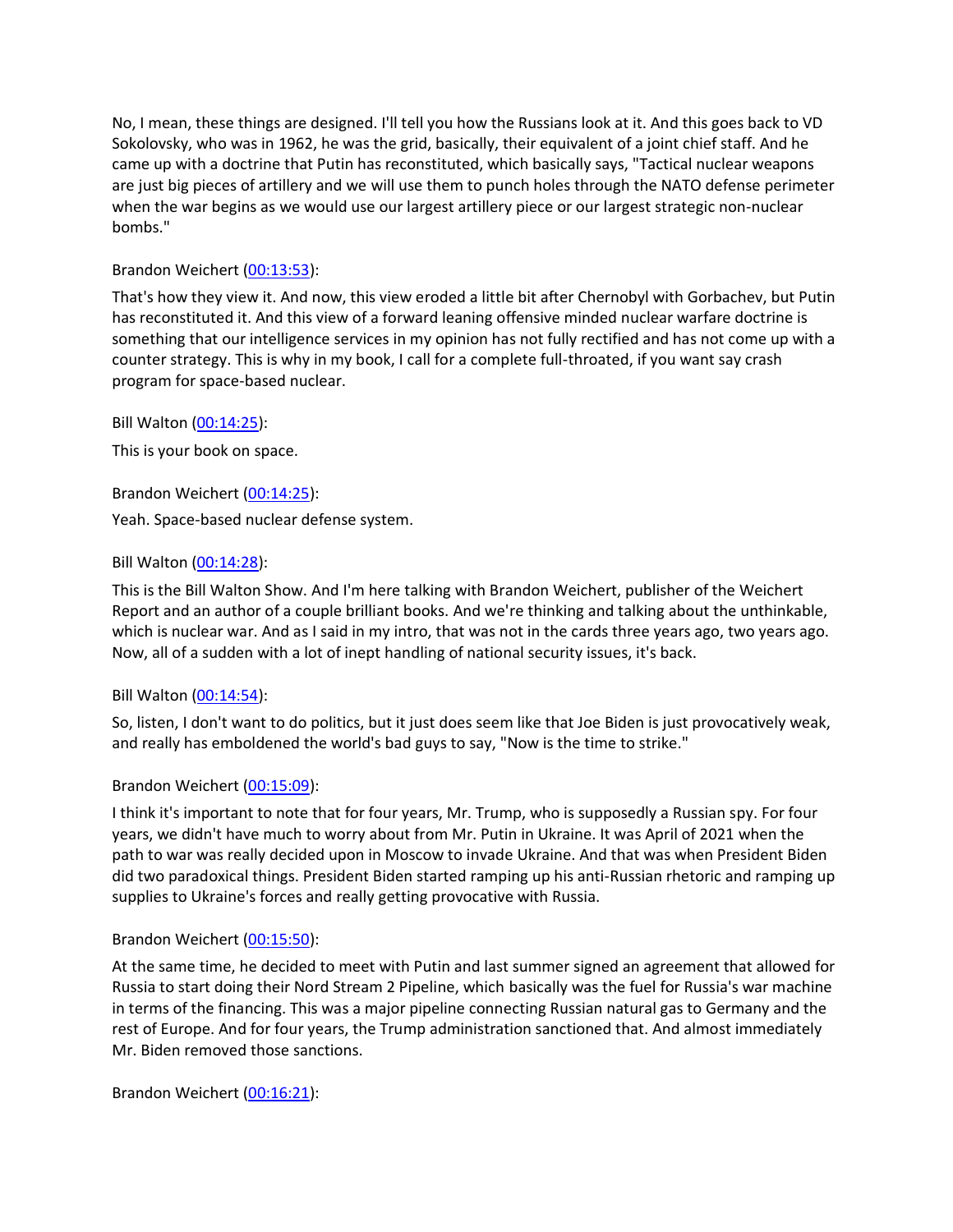No, I mean, these things are designed. I'll tell you how the Russians look at it. And this goes back to VD Sokolovsky, who was in 1962, he was the grid, basically, their equivalent of a joint chief staff. And he came up with a doctrine that Putin has reconstituted, which basically says, "Tactical nuclear weapons are just big pieces of artillery and we will use them to punch holes through the NATO defense perimeter when the war begins as we would use our largest artillery piece or our largest strategic non-nuclear bombs."

# Brandon Weichert [\(00:13:53\)](https://www.rev.com/transcript-editor/Edit?token=5KQ2Py_qKMLomJJrn3kvJk0ahTmR4HrVysZOUrozSYXgrZD7hIPP-efO5o23z5PqNHvkBWsxJHbuSQdbcBVTHnVbHjs&loadFrom=DocumentDeeplink&ts=833.01):

That's how they view it. And now, this view eroded a little bit after Chernobyl with Gorbachev, but Putin has reconstituted it. And this view of a forward leaning offensive minded nuclear warfare doctrine is something that our intelligence services in my opinion has not fully rectified and has not come up with a counter strategy. This is why in my book, I call for a complete full-throated, if you want say crash program for space-based nuclear.

Bill Walton [\(00:14:25\)](https://www.rev.com/transcript-editor/Edit?token=z456sMA3pJIedWTDVakqbXSVxXeOjooRMMk1s8cyYVKi_lfbWKdcAniW3qSdv1ZayWMq9KGmRlJYglSQhWzxXQeDSDY&loadFrom=DocumentDeeplink&ts=865.16):

This is your book on space.

Brandon Weichert [\(00:14:25\)](https://www.rev.com/transcript-editor/Edit?token=40NSXYggqd-5fLxaVFQvSDP_VPK0rmkE233JxwFlFX-ax_JE0oanRmxQaxRNmQhi83VQfGmp2if2mKuPSseDe2Y3vkA&loadFrom=DocumentDeeplink&ts=865.65):

Yeah. Space-based nuclear defense system.

## Bill Walton [\(00:14:28\)](https://www.rev.com/transcript-editor/Edit?token=AT4bHCGbMkc6ZUM8WtcZ5sdsqDj0hYvEh0LdNkIGuiDVp2OmzTGeEdGStl4JksPSfmGmAG5agCIX7uUByJfCat-CoCE&loadFrom=DocumentDeeplink&ts=868.79):

This is the Bill Walton Show. And I'm here talking with Brandon Weichert, publisher of the Weichert Report and an author of a couple brilliant books. And we're thinking and talking about the unthinkable, which is nuclear war. And as I said in my intro, that was not in the cards three years ago, two years ago. Now, all of a sudden with a lot of inept handling of national security issues, it's back.

#### Bill Walton [\(00:14:54\)](https://www.rev.com/transcript-editor/Edit?token=flYF42yvKuZyiv4KpqRwS55NmXz96qTaclzuZAat5wPw7JS0iSXuJDksOr5SIl-uZebAfz0xoLL35Dj6pW5Q8TUJ-DU&loadFrom=DocumentDeeplink&ts=894.72):

So, listen, I don't want to do politics, but it just does seem like that Joe Biden is just provocatively weak, and really has emboldened the world's bad guys to say, "Now is the time to strike."

# Brandon Weichert [\(00:15:09\)](https://www.rev.com/transcript-editor/Edit?token=wwA_xQzoJ9xLnAHkOwO-FnZ6nWWjYfjM_TvjBtKQbIVMa2xbiKlDBmcOIqiYC_c_8jX8Cm6I_jD6u1OJjBtlwmLisH0&loadFrom=DocumentDeeplink&ts=909.66):

I think it's important to note that for four years, Mr. Trump, who is supposedly a Russian spy. For four years, we didn't have much to worry about from Mr. Putin in Ukraine. It was April of 2021 when the path to war was really decided upon in Moscow to invade Ukraine. And that was when President Biden did two paradoxical things. President Biden started ramping up his anti-Russian rhetoric and ramping up supplies to Ukraine's forces and really getting provocative with Russia.

#### Brandon Weichert [\(00:15:50\)](https://www.rev.com/transcript-editor/Edit?token=hxICj3p4dCrn2aP5JxpJc5LpUGsr62K5jN6l-mGSyFfvaiXMhg_3PY9ACjAG80sLCxZfV3o0TktimLmg2wqwM-1sZMM&loadFrom=DocumentDeeplink&ts=950.23):

At the same time, he decided to meet with Putin and last summer signed an agreement that allowed for Russia to start doing their Nord Stream 2 Pipeline, which basically was the fuel for Russia's war machine in terms of the financing. This was a major pipeline connecting Russian natural gas to Germany and the rest of Europe. And for four years, the Trump administration sanctioned that. And almost immediately Mr. Biden removed those sanctions.

Brandon Weichert [\(00:16:21\)](https://www.rev.com/transcript-editor/Edit?token=KkbQk4TTwm8KbeMDdNmggu95TRhhfIvmndD-_kjusd-LnouZa61Ty8fEt4DxaPMLX9JKNFCtgokF_0RCCpTbrJ9ubaU&loadFrom=DocumentDeeplink&ts=981.9):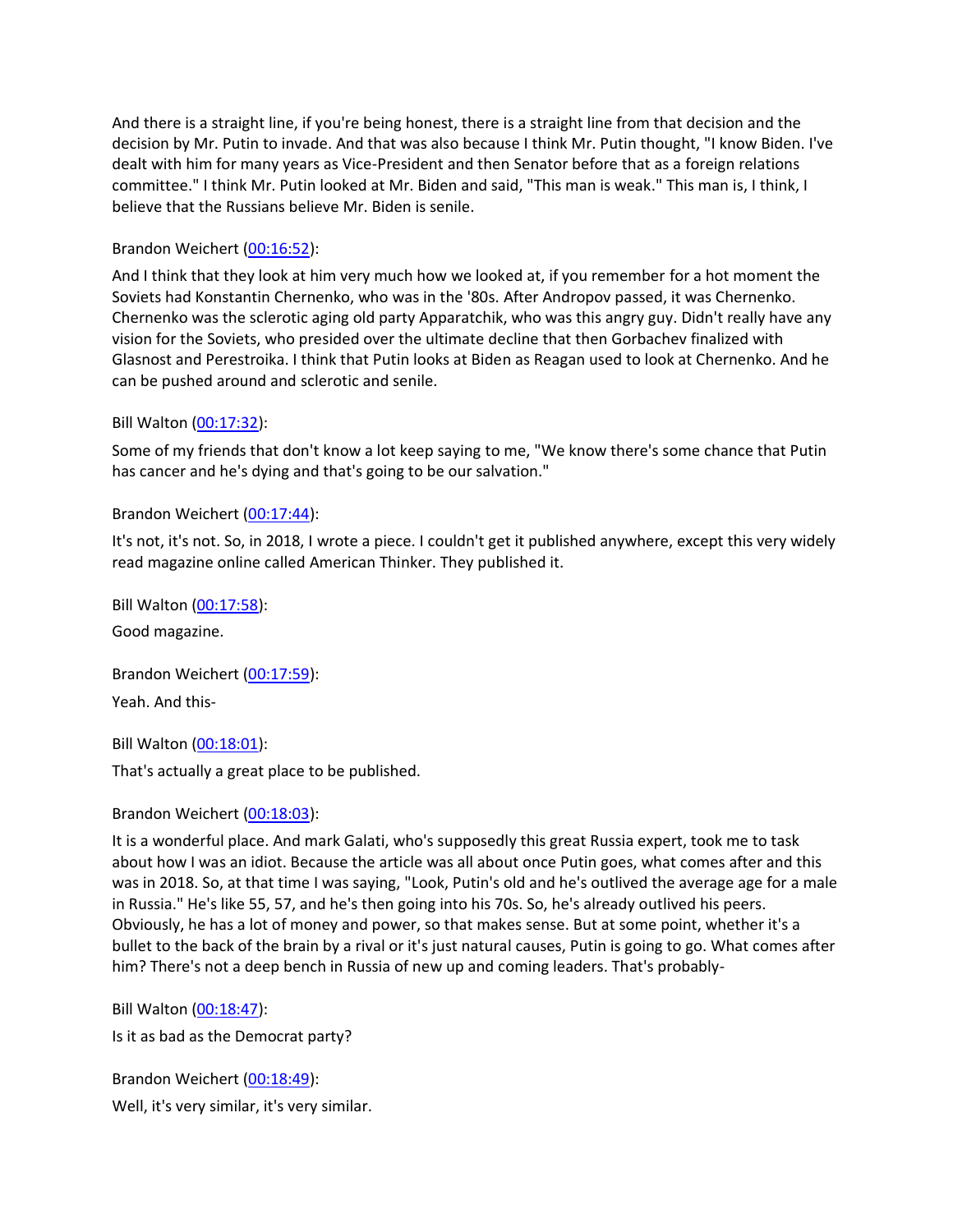And there is a straight line, if you're being honest, there is a straight line from that decision and the decision by Mr. Putin to invade. And that was also because I think Mr. Putin thought, "I know Biden. I've dealt with him for many years as Vice-President and then Senator before that as a foreign relations committee." I think Mr. Putin looked at Mr. Biden and said, "This man is weak." This man is, I think, I believe that the Russians believe Mr. Biden is senile.

# Brandon Weichert [\(00:16:52\)](https://www.rev.com/transcript-editor/Edit?token=NBIYUkei7pR9FEMAmgHdgc7oNVTm3O-kZZ52Qr8Rg1yuABC_AmDye-JUVTwjGhjCUidnNBGEtKYw9xH0J-Iuj-Zplpw&loadFrom=DocumentDeeplink&ts=1012.15):

And I think that they look at him very much how we looked at, if you remember for a hot moment the Soviets had Konstantin Chernenko, who was in the '80s. After Andropov passed, it was Chernenko. Chernenko was the sclerotic aging old party Apparatchik, who was this angry guy. Didn't really have any vision for the Soviets, who presided over the ultimate decline that then Gorbachev finalized with Glasnost and Perestroika. I think that Putin looks at Biden as Reagan used to look at Chernenko. And he can be pushed around and sclerotic and senile.

# Bill Walton [\(00:17:32\)](https://www.rev.com/transcript-editor/Edit?token=r91djkl8P8jqQCAkLAR94Jf0uOehQeWIVuMqZ9YfjaW8TnIz3Pu1pmVA-l1Cf8nd34XGC6kwm-4s5nPM68uj0qCorxk&loadFrom=DocumentDeeplink&ts=1052.03):

Some of my friends that don't know a lot keep saying to me, "We know there's some chance that Putin has cancer and he's dying and that's going to be our salvation."

# Brandon Weichert [\(00:17:44\)](https://www.rev.com/transcript-editor/Edit?token=AItp0PAYx_EGggE4olbaMkrO-CLyDmESQEqz9gbDShq8Y3kEGzRecPfqf-LHjCXSsH9xI8NOLFF33gTWkHa3MT0VGb4&loadFrom=DocumentDeeplink&ts=1064.76):

It's not, it's not. So, in 2018, I wrote a piece. I couldn't get it published anywhere, except this very widely read magazine online called American Thinker. They published it.

Bill Walton [\(00:17:58\)](https://www.rev.com/transcript-editor/Edit?token=Ar3x-3QT_1MlirDs2LhSfGbq3i-Ob1cPbWo9i7wnvCuvb-U6P-x5PPBYNcGyvUpIStgewtOARu6kvz_XZZ9UEGskbEU&loadFrom=DocumentDeeplink&ts=1078.66): Good magazine.

Brandon Weichert [\(00:17:59\)](https://www.rev.com/transcript-editor/Edit?token=z5BBUizR7TmRS---tQHLgNx9M9fv-gQyu_VbF0OYt5-XKnQGY8GReBNb7O0UxZs9NYPVDtxvTjQ44ntWMmEaPE-fxx8&loadFrom=DocumentDeeplink&ts=1079.46): Yeah. And this-

Bill Walton [\(00:18:01\)](https://www.rev.com/transcript-editor/Edit?token=fk5nHc0mLbyP6Glj0K6W6Ir_aNNaLO3VBJqJdJ8iX1s3_R5X17RATtiSTFU4O6mDUQ0bWlg1BHv-3euBYHHeIsdZTkg&loadFrom=DocumentDeeplink&ts=1081.81):

That's actually a great place to be published.

# Brandon Weichert [\(00:18:03\)](https://www.rev.com/transcript-editor/Edit?token=v0ITw6UAIDJcl8G9n8SvOpopBmJ4skd4N3IFMD8lTbilXxovoZSQiX9FNfO3GNTEl1os5bEZ9hSscZdf_-CeEuIcS0A&loadFrom=DocumentDeeplink&ts=1083.89):

It is a wonderful place. And mark Galati, who's supposedly this great Russia expert, took me to task about how I was an idiot. Because the article was all about once Putin goes, what comes after and this was in 2018. So, at that time I was saying, "Look, Putin's old and he's outlived the average age for a male in Russia." He's like 55, 57, and he's then going into his 70s. So, he's already outlived his peers. Obviously, he has a lot of money and power, so that makes sense. But at some point, whether it's a bullet to the back of the brain by a rival or it's just natural causes, Putin is going to go. What comes after him? There's not a deep bench in Russia of new up and coming leaders. That's probably-

Bill Walton [\(00:18:47\)](https://www.rev.com/transcript-editor/Edit?token=hnxITrEeYqatkafr_MY9IQge9p_yXubAC9-b_I5He3JsPfX0meN_lFgzYBSp6rVlyZ2M5E8est-025J-0PT9Y8t-3LY&loadFrom=DocumentDeeplink&ts=1127.32):

Is it as bad as the Democrat party?

Brandon Weichert [\(00:18:49\)](https://www.rev.com/transcript-editor/Edit?token=EE3nMCWfmcTbQbf0etsF6a2EC9w4IqhDEuM9F4NA1Q62TDZsPtWgQ8CeKIgtCcPlFeNclaAcnCqs0rwyaMDaz0xRUfg&loadFrom=DocumentDeeplink&ts=1129.56): Well, it's very similar, it's very similar.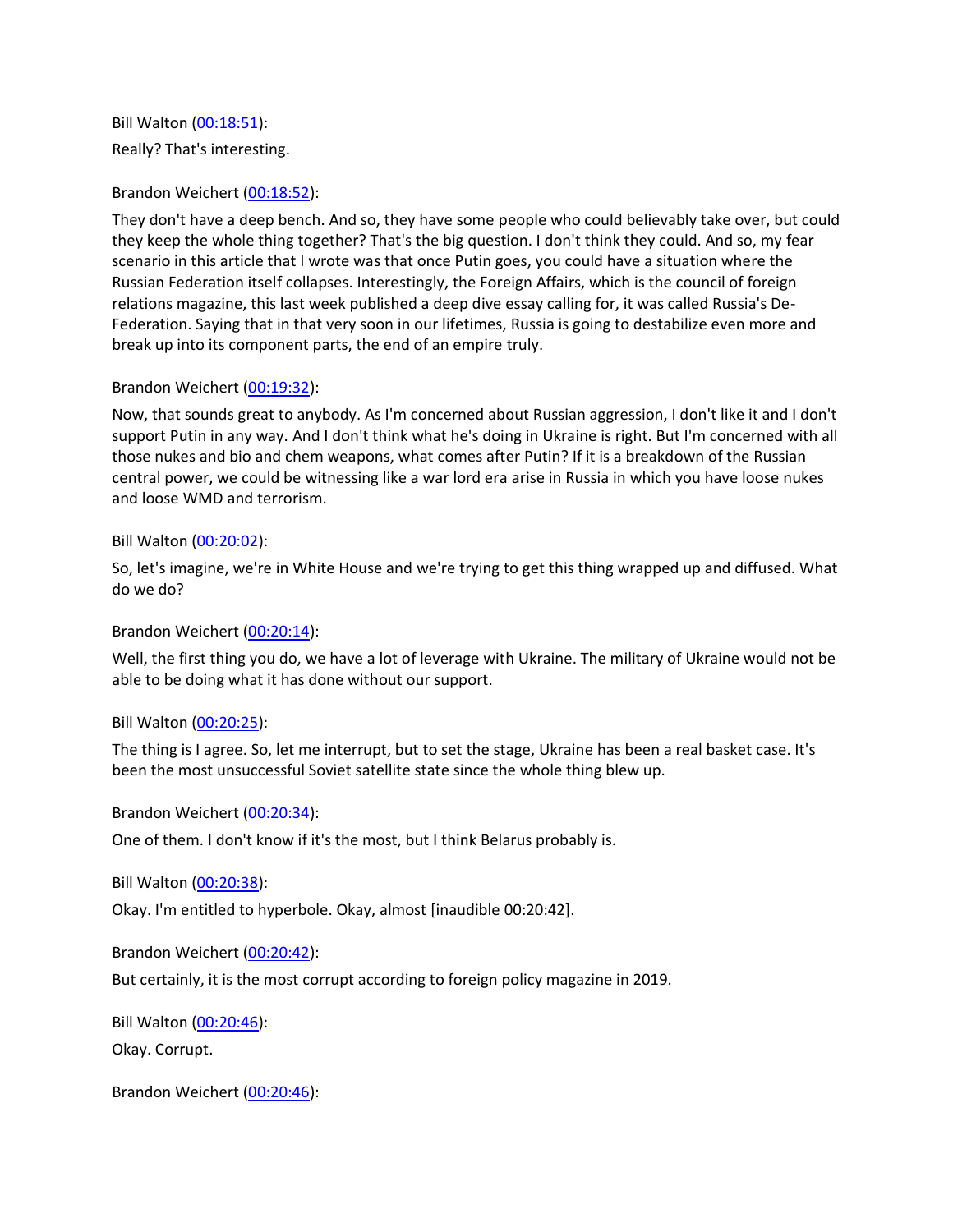Bill Walton [\(00:18:51\)](https://www.rev.com/transcript-editor/Edit?token=AAOuPFo1bYTg9cmXcwIV69sGsL5gX0hmkrbJShZxn1iizeKgF_42FRyVt6x0uiO_h16LdtTUR6-lanuI3qP9eorD5-s&loadFrom=DocumentDeeplink&ts=1131.21): Really? That's interesting.

## Brandon Weichert [\(00:18:52\)](https://www.rev.com/transcript-editor/Edit?token=mIWzx0dCz0Xu9F35C0lT53AXXsiukFxlX88Jnm46s8Dt8Gbdmau8t6R_84BxqlABEgva5iErMNdEiRvyefYN118R5hA&loadFrom=DocumentDeeplink&ts=1132.14):

They don't have a deep bench. And so, they have some people who could believably take over, but could they keep the whole thing together? That's the big question. I don't think they could. And so, my fear scenario in this article that I wrote was that once Putin goes, you could have a situation where the Russian Federation itself collapses. Interestingly, the Foreign Affairs, which is the council of foreign relations magazine, this last week published a deep dive essay calling for, it was called Russia's De-Federation. Saying that in that very soon in our lifetimes, Russia is going to destabilize even more and break up into its component parts, the end of an empire truly.

## Brandon Weichert [\(00:19:32\)](https://www.rev.com/transcript-editor/Edit?token=mD3ZSK-Rl0bfostRQfis2IUJtRyZrPKff00_FIDdwRy-Ygp9TWvWMPa94kwA1G6YssCzy7jAxDge5zrDL2V4fjHn7xQ&loadFrom=DocumentDeeplink&ts=1172.96):

Now, that sounds great to anybody. As I'm concerned about Russian aggression, I don't like it and I don't support Putin in any way. And I don't think what he's doing in Ukraine is right. But I'm concerned with all those nukes and bio and chem weapons, what comes after Putin? If it is a breakdown of the Russian central power, we could be witnessing like a war lord era arise in Russia in which you have loose nukes and loose WMD and terrorism.

#### Bill Walton [\(00:20:02\)](https://www.rev.com/transcript-editor/Edit?token=G6tohlUusp1vf7vRFBBdgzr_i2xHUDlVXpoZeYNswx3SZyuxuBBJENoSyCDtPjST3uQ8VomqmN9GHiMuFp_pZ2gjFz8&loadFrom=DocumentDeeplink&ts=1202.47):

So, let's imagine, we're in White House and we're trying to get this thing wrapped up and diffused. What do we do?

# Brandon Weichert [\(00:20:14\)](https://www.rev.com/transcript-editor/Edit?token=gZTHlXPiKO-InHjO9KMPY-XRY3Ov6wbofzbvIwSU-D4AQJoBJrPSXzu-pKzqjoPlWyQfAztZnM0Uf9SyA6mR6h4hSws&loadFrom=DocumentDeeplink&ts=1214.44):

Well, the first thing you do, we have a lot of leverage with Ukraine. The military of Ukraine would not be able to be doing what it has done without our support.

#### Bill Walton [\(00:20:25\)](https://www.rev.com/transcript-editor/Edit?token=KmeoNVnd-0ZeEUHciMKJxvQ513TVdoWOKvkKQQNvOfVFEkXD_qC9l3097hMVElNRQW9YHjaB4z_EymwRg4xWuJekWcI&loadFrom=DocumentDeeplink&ts=1225.38):

The thing is I agree. So, let me interrupt, but to set the stage, Ukraine has been a real basket case. It's been the most unsuccessful Soviet satellite state since the whole thing blew up.

Brandon Weichert [\(00:20:34\)](https://www.rev.com/transcript-editor/Edit?token=FhVNvz3i88L7FEDdXixYpI-J7uBfj9bACXTXwG7lAJWs809Vae0xSpNoewwY0bsFZBbl_t4u9QiYrJdPRhgOewdJS-M&loadFrom=DocumentDeeplink&ts=1234.81):

One of them. I don't know if it's the most, but I think Belarus probably is.

Bill Walton [\(00:20:38\)](https://www.rev.com/transcript-editor/Edit?token=6dLf5mMrjb2vYJdUkVNRIeHjqhQEXsDBBOzcgkBXdieS5S1tT3MYrvoAT3O1ztd4ev89J1Fs9wY4TWnbyqpFW2ljosU&loadFrom=DocumentDeeplink&ts=1238.74):

Okay. I'm entitled to hyperbole. Okay, almost [inaudible 00:20:42].

Brandon Weichert [\(00:20:42\)](https://www.rev.com/transcript-editor/Edit?token=s5U0yR9gnouMNWk5uFcAzZeI3qWhTeFFRlXqItkireLaAO3w1_UGy4xi4l9qiIA6SNEtWiy7UE-pDGabrQ9g9PyZww4&loadFrom=DocumentDeeplink&ts=1242.35):

But certainly, it is the most corrupt according to foreign policy magazine in 2019.

Bill Walton [\(00:20:46\)](https://www.rev.com/transcript-editor/Edit?token=Vyc_u20a5Z1t-nL6pNFtB9SKvCHGNNt_FQ5N9A-vPuAPB0dK1MjfNGGvwiGWDRM9ALULQV6CugWqYTWjMbrD-r9z6D4&loadFrom=DocumentDeeplink&ts=1246.56): Okay. Corrupt.

Brandon Weichert [\(00:20:46\)](https://www.rev.com/transcript-editor/Edit?token=5P-y94dZXUnajdVwboo7Z61BHVTnZcvNbP2V7dgk49Cat_vic3QG93l1bOddAHXYW4c6tP1RBwIHpkXFqj7rUZrxgUs&loadFrom=DocumentDeeplink&ts=1246.97):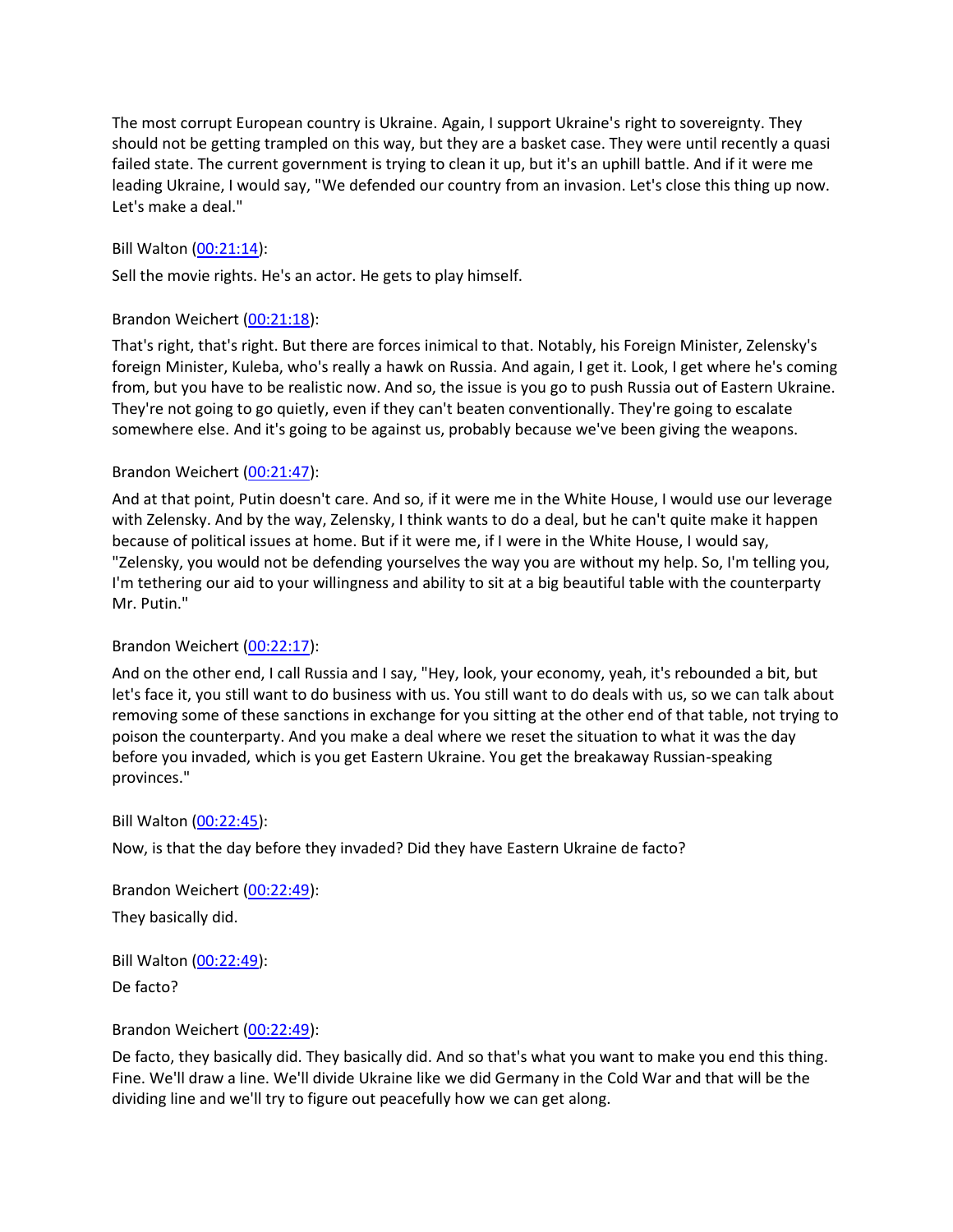The most corrupt European country is Ukraine. Again, I support Ukraine's right to sovereignty. They should not be getting trampled on this way, but they are a basket case. They were until recently a quasi failed state. The current government is trying to clean it up, but it's an uphill battle. And if it were me leading Ukraine, I would say, "We defended our country from an invasion. Let's close this thing up now. Let's make a deal."

# Bill Walton [\(00:21:14\)](https://www.rev.com/transcript-editor/Edit?token=IALxfyM44F24a4Y9zt_ezs5HU7B_vsehkG-jGcrLRMKVvPT1rmaa_ayQWKcGyFbV2zyJI5TNCrUaV3tzdlARzBG-CV8&loadFrom=DocumentDeeplink&ts=1274.83):

Sell the movie rights. He's an actor. He gets to play himself.

# Brandon Weichert [\(00:21:18\)](https://www.rev.com/transcript-editor/Edit?token=1BQ9lorvntHc44K0kGQchSWgFRq44FE77LgQKUrmcfq6ExJrODj4RYV_1IP7oWNA7SCQen10a93J_Lga39MP3gzQC2E&loadFrom=DocumentDeeplink&ts=1278.32):

That's right, that's right. But there are forces inimical to that. Notably, his Foreign Minister, Zelensky's foreign Minister, Kuleba, who's really a hawk on Russia. And again, I get it. Look, I get where he's coming from, but you have to be realistic now. And so, the issue is you go to push Russia out of Eastern Ukraine. They're not going to go quietly, even if they can't beaten conventionally. They're going to escalate somewhere else. And it's going to be against us, probably because we've been giving the weapons.

## Brandon Weichert [\(00:21:47\)](https://www.rev.com/transcript-editor/Edit?token=KF8WoYMeFpKrtJislTKlXkt7qw0_O-XYGrWxkkpqklGFb7ukdTbEXUlRR3BM5z06G115AYjVDn0jSJynIEaA1H5_GOY&loadFrom=DocumentDeeplink&ts=1307.36):

And at that point, Putin doesn't care. And so, if it were me in the White House, I would use our leverage with Zelensky. And by the way, Zelensky, I think wants to do a deal, but he can't quite make it happen because of political issues at home. But if it were me, if I were in the White House, I would say, "Zelensky, you would not be defending yourselves the way you are without my help. So, I'm telling you, I'm tethering our aid to your willingness and ability to sit at a big beautiful table with the counterparty Mr. Putin."

#### Brandon Weichert [\(00:22:17\)](https://www.rev.com/transcript-editor/Edit?token=ouREMMaClnIPYlQX8inxjZlR7D6n9n6NaPyhhOI0a2ShM5h3eVN4WBJLmYlEfjyLD_T6a1_oJEgUcDG5WN6VifTEAmk&loadFrom=DocumentDeeplink&ts=1337.41):

And on the other end, I call Russia and I say, "Hey, look, your economy, yeah, it's rebounded a bit, but let's face it, you still want to do business with us. You still want to do deals with us, so we can talk about removing some of these sanctions in exchange for you sitting at the other end of that table, not trying to poison the counterparty. And you make a deal where we reset the situation to what it was the day before you invaded, which is you get Eastern Ukraine. You get the breakaway Russian-speaking provinces."

#### Bill Walton [\(00:22:45\)](https://www.rev.com/transcript-editor/Edit?token=e_K_GSVzFkmipQO-yeed4BzUqyhQjhwnHD6BZ3FLV7aVn8nX2l_PUvkyKyeqq3L1JkB8oz1CybkoXR_H-xS5ypWmiuI&loadFrom=DocumentDeeplink&ts=1365.22):

Now, is that the day before they invaded? Did they have Eastern Ukraine de facto?

Brandon Weichert [\(00:22:49\)](https://www.rev.com/transcript-editor/Edit?token=p8rFM9ve1PVqOTkO2F_K6X-GZpqT0TV_VYuB5TiUIQSnLG25TGuKnEDYB4D0XV_Xvarg_KNbaaPEnMk5YXAxx7NHyCw&loadFrom=DocumentDeeplink&ts=1369.13): They basically did.

Bill Walton [\(00:22:49\)](https://www.rev.com/transcript-editor/Edit?token=J-L3MSxwv7NJ6VlmpZpBGeJQOht99fEMXuusNPtuViEZ1NhCBXyeE7ww2WdE40oZmeGthFCjwcPN2AG2adBD-YYOrDw&loadFrom=DocumentDeeplink&ts=1369.22): De facto?

#### Brandon Weichert [\(00:22:49\)](https://www.rev.com/transcript-editor/Edit?token=QgMl-qWLjs-UwS_CGbsjwy92vf7HQmAmYxJPuSaFz_AvEgFUoiNA0uiG7OEBRDWB3TuxMIQkwO2BHLcZmwK5kT5oZqQ&loadFrom=DocumentDeeplink&ts=1369.67):

De facto, they basically did. They basically did. And so that's what you want to make you end this thing. Fine. We'll draw a line. We'll divide Ukraine like we did Germany in the Cold War and that will be the dividing line and we'll try to figure out peacefully how we can get along.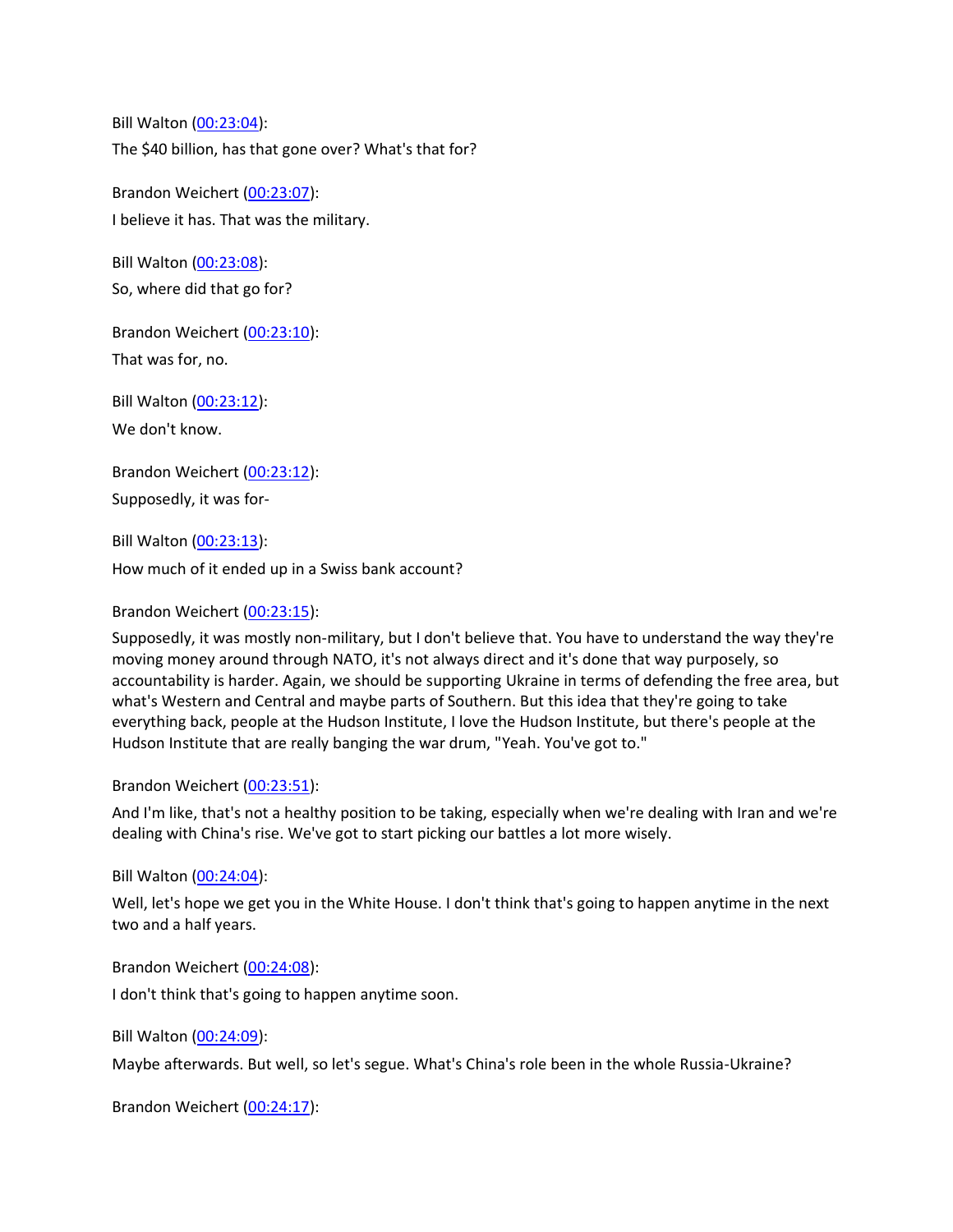Bill Walton [\(00:23:04\)](https://www.rev.com/transcript-editor/Edit?token=qnYTxoZwvqqFc4ND6sYqQuVLpq2B9EAdqnhtFmzFfhPCxnTWgs4wG8jfn756-y9OIGzaMz-5NOhZtNo_Vq7CKOc_Eyk&loadFrom=DocumentDeeplink&ts=1384.63): The \$40 billion, has that gone over? What's that for?

Brandon Weichert [\(00:23:07\)](https://www.rev.com/transcript-editor/Edit?token=5P89hdm1XUI49A6okBDIzJ_rGHEt3n_IFP7kTozlvjNjyCkkiQTQu3OD2fq2TBuozRJS0M3sI1AoYxDYSlXS8Jl4YTw&loadFrom=DocumentDeeplink&ts=1387.72): I believe it has. That was the military.

Bill Walton [\(00:23:08\)](https://www.rev.com/transcript-editor/Edit?token=g8Zt208hB1AXTkp47Tf1fwkEqK3lOcFf302BGPHmz-Z2kweFRmhlmRVIKGgT-qc7Bhx3l441h8K5A1as9PuDEVqJ7g4&loadFrom=DocumentDeeplink&ts=1388.2): So, where did that go for?

Brandon Weichert [\(00:23:10\)](https://www.rev.com/transcript-editor/Edit?token=jW0cmQn3zgR8Cz8ZojAt5Tsv2bstmAmEzkStUNrTEGkYvirvXnN8C3JyGQFOF0HiyCsdjiQdPumF4WNObG9CzEKZfNM&loadFrom=DocumentDeeplink&ts=1390.08): That was for, no.

Bill Walton [\(00:23:12\)](https://www.rev.com/transcript-editor/Edit?token=rGDmyDtX-DlysLj6tu7Km2ya1IsNy6g_JrRfhkv-kuPpgUyoa1CSBQu_1MMLVkOTF0hDz2CUqUcKbazqLkMp6a6s-38&loadFrom=DocumentDeeplink&ts=1392.3): We don't know.

Brandon Weichert [\(00:23:12\)](https://www.rev.com/transcript-editor/Edit?token=HJZ_ZXVdlpLY4fLxxgMKRnRZ_yCME0eAltaZt3HVsz28vgHK799eyhGXEPn66lDHYGCVEAyHaBJ3wf_TcToP4oK9QDQ&loadFrom=DocumentDeeplink&ts=1392.94): Supposedly, it was for-

Bill Walton [\(00:23:13\)](https://www.rev.com/transcript-editor/Edit?token=Pu05usHmlU9I2yVTMrMQFsq4bhPfnoagLShxKVKKlluTXCkrq6XhqOVnDa0RdK6n_wQUrpP38hUNCpO2D8H4azsz34c&loadFrom=DocumentDeeplink&ts=1393.88): How much of it ended up in a Swiss bank account?

# Brandon Weichert [\(00:23:15\)](https://www.rev.com/transcript-editor/Edit?token=lXBtQlwHysHFP5hOEqF7S6dv9aOWE1hFHqjS8m_BRvJQnuASyHgLEZEn5MmY_8vhvyEooPBOVlzXEuj9pXk99NWVNv4&loadFrom=DocumentDeeplink&ts=1395.52):

Supposedly, it was mostly non-military, but I don't believe that. You have to understand the way they're moving money around through NATO, it's not always direct and it's done that way purposely, so accountability is harder. Again, we should be supporting Ukraine in terms of defending the free area, but what's Western and Central and maybe parts of Southern. But this idea that they're going to take everything back, people at the Hudson Institute, I love the Hudson Institute, but there's people at the Hudson Institute that are really banging the war drum, "Yeah. You've got to."

# Brandon Weichert [\(00:23:51\)](https://www.rev.com/transcript-editor/Edit?token=SlP7T8PH-Mw0oMcwobvY5E8-_U_LDE311S6Tzl0iSPptQZR3JaimGWQDzoeOAas6jUXIXkxt9wUiy8lA6THwxMZpSco&loadFrom=DocumentDeeplink&ts=1431.02):

And I'm like, that's not a healthy position to be taking, especially when we're dealing with Iran and we're dealing with China's rise. We've got to start picking our battles a lot more wisely.

Bill Walton [\(00:24:04\)](https://www.rev.com/transcript-editor/Edit?token=sfOyQSo2nYR958tH5PTx6Llyv5cAaxfHUK1WmrUN5U4QIPIF1AonMyZ7PsvfQ8g0Palgw5OLMrbdeMhNQ1h8fE4ZOio&loadFrom=DocumentDeeplink&ts=1444.1):

Well, let's hope we get you in the White House. I don't think that's going to happen anytime in the next two and a half years.

Brandon Weichert [\(00:24:08\)](https://www.rev.com/transcript-editor/Edit?token=1zyPholyah1MN_Ui4MtV31mQ-xzBpeDTtCjwGGJaW6fOLC35uOF23ZOc4YKY9MAtY5o4DaXm6Xyg41BZLODyIDj-cTc&loadFrom=DocumentDeeplink&ts=1448.76): I don't think that's going to happen anytime soon.

Bill Walton [\(00:24:09\)](https://www.rev.com/transcript-editor/Edit?token=jCAmlZtIZMDvwCtzhHMAU2nhCmb4DSiV0Z4pBBQa83zCbBIcVwOjaQY7rcVz1AYQTkBH5DL-hDDBNAOaK_zcEQC4z_k&loadFrom=DocumentDeeplink&ts=1449.12):

Maybe afterwards. But well, so let's segue. What's China's role been in the whole Russia-Ukraine?

Brandon Weichert [\(00:24:17\)](https://www.rev.com/transcript-editor/Edit?token=_8Y-gZf4_b0m6k5udeocLB95rajyzHeupiiyvd_ean4xpVoefmj10IBPTeV07IF0RfzX9PtAbGAoIyuQ4DQ6mqdwEKw&loadFrom=DocumentDeeplink&ts=1457.34):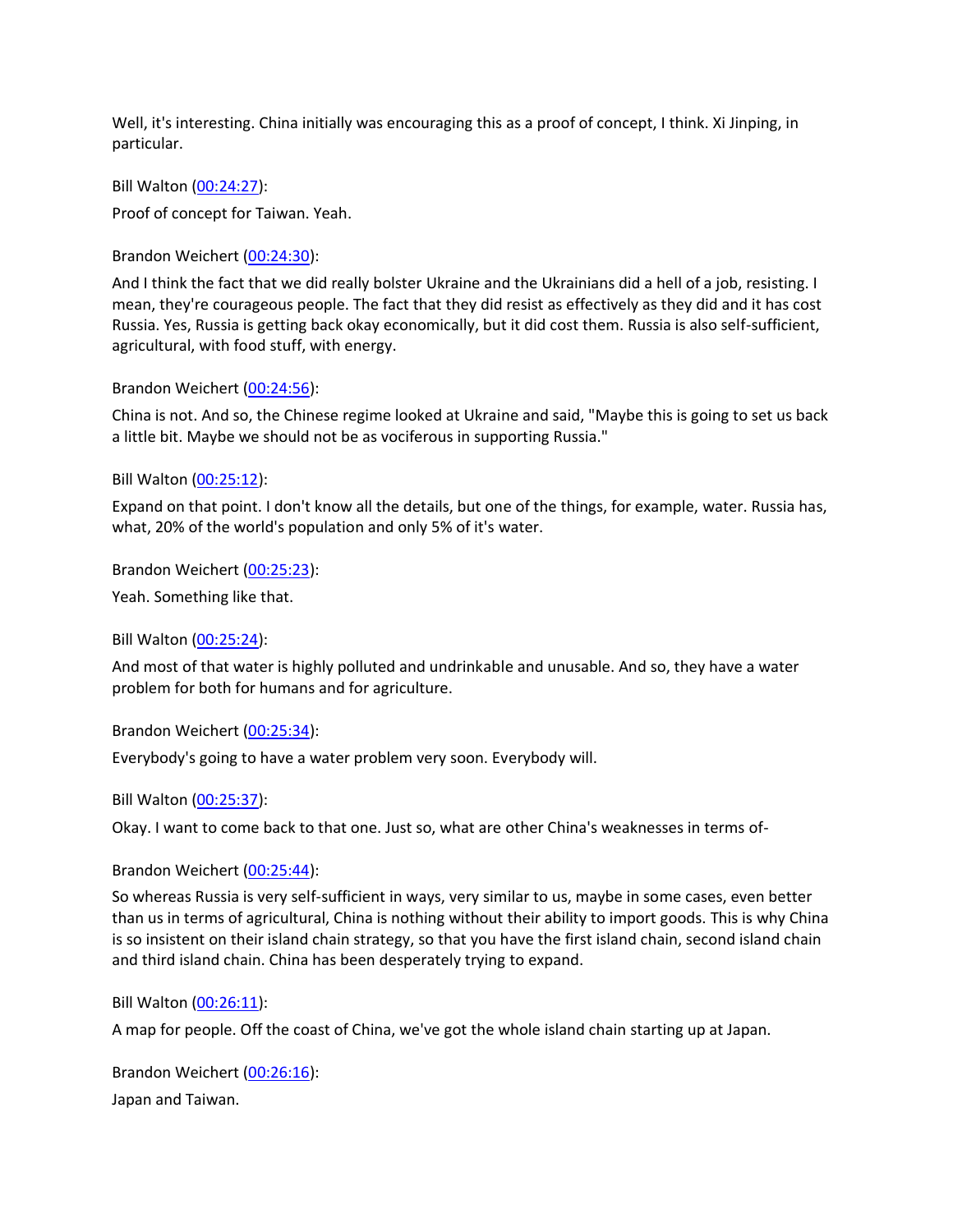Well, it's interesting. China initially was encouraging this as a proof of concept, I think. Xi Jinping, in particular.

Bill Walton [\(00:24:27\)](https://www.rev.com/transcript-editor/Edit?token=APZ0USSMWrWtecaXzqJsps4jV62gCPZbIoam4VZwU-ZTrBPLgIy7s8g1PFHy4GSCv16uioqe7h3M6CDL3JuMMhy8r1Q&loadFrom=DocumentDeeplink&ts=1467.5):

Proof of concept for Taiwan. Yeah.

Brandon Weichert [\(00:24:30\)](https://www.rev.com/transcript-editor/Edit?token=Jk551vVt9GxS9Gj2Igfw8YFaaPINqjxCxU2XOb7vYa6ld3j527C3RaVTfHoQxBicZr2WB4i46cf3LrHVbsbYNR3ob2g&loadFrom=DocumentDeeplink&ts=1470.02):

And I think the fact that we did really bolster Ukraine and the Ukrainians did a hell of a job, resisting. I mean, they're courageous people. The fact that they did resist as effectively as they did and it has cost Russia. Yes, Russia is getting back okay economically, but it did cost them. Russia is also self-sufficient, agricultural, with food stuff, with energy.

Brandon Weichert [\(00:24:56\)](https://www.rev.com/transcript-editor/Edit?token=huF41f_k5UjJ4U4kgL_SaT8u_1vkGo5CvEiNg99eaNRBUGGVuC4B-tr5LdmDZ3qGq1SZkdKd6oM16-rupSkix_kjb74&loadFrom=DocumentDeeplink&ts=1496.66):

China is not. And so, the Chinese regime looked at Ukraine and said, "Maybe this is going to set us back a little bit. Maybe we should not be as vociferous in supporting Russia."

Bill Walton [\(00:25:12\)](https://www.rev.com/transcript-editor/Edit?token=PpJmivfSiYwf9MccMfebeZdsZRGMwSxdtNUPJ9Bd28m57r84YPdbDHmWsfpAQ4sP_e_AhBtLsfl0gE9WLu6sfj8z-w4&loadFrom=DocumentDeeplink&ts=1512.32):

Expand on that point. I don't know all the details, but one of the things, for example, water. Russia has, what, 20% of the world's population and only 5% of it's water.

Brandon Weichert [\(00:25:23\)](https://www.rev.com/transcript-editor/Edit?token=MJngqpKhXx2V8GkwADE0tbQBGpGWaiQSS02-6s8yFNR3XsgsJHg1fVpowSIh3YrblXmZDg__Dgr--hMgo80QfCref90&loadFrom=DocumentDeeplink&ts=1523.49):

Yeah. Something like that.

Bill Walton [\(00:25:24\)](https://www.rev.com/transcript-editor/Edit?token=cv-tQkm6PanQlW9o_4TZPQa48Wgx10UZkHZFnb-cjgjJAKtvgaBiPPtEKCpA__rOPN9zg4Os98D8lrvaekKZN3XDiEk&loadFrom=DocumentDeeplink&ts=1524.28):

And most of that water is highly polluted and undrinkable and unusable. And so, they have a water problem for both for humans and for agriculture.

Brandon Weichert [\(00:25:34\)](https://www.rev.com/transcript-editor/Edit?token=gbxr9CQf5wjQDhUQGpyVDDXnfFlhrgI_r_vZaBlXAe2F5orJGOyG0Hb5NvYeCVgoNojJ2HC-8t-AHA4LQMBoEfP1ecA&loadFrom=DocumentDeeplink&ts=1534):

Everybody's going to have a water problem very soon. Everybody will.

Bill Walton [\(00:25:37\)](https://www.rev.com/transcript-editor/Edit?token=twa0YlHtKCIgDxm6Q6VdIKw5MSrU-LlRpL38KDJryrNrfTX4GYd08zc3SyxCANouE48_za58yeK20QYWIy3bLW2upcQ&loadFrom=DocumentDeeplink&ts=1537.96):

Okay. I want to come back to that one. Just so, what are other China's weaknesses in terms of-

Brandon Weichert [\(00:25:44\)](https://www.rev.com/transcript-editor/Edit?token=-hJtgrWtinxWhqCDpy4-5Fnoj3QmpVSEdp9Wlk0Afyv-OPpdJ4ic1zV0GfVFK-2JRwj3O9wZhrJ8xhyDMsgacvj6WQE&loadFrom=DocumentDeeplink&ts=1544.91):

So whereas Russia is very self-sufficient in ways, very similar to us, maybe in some cases, even better than us in terms of agricultural, China is nothing without their ability to import goods. This is why China is so insistent on their island chain strategy, so that you have the first island chain, second island chain and third island chain. China has been desperately trying to expand.

Bill Walton [\(00:26:11\)](https://www.rev.com/transcript-editor/Edit?token=M_SJ2ed-aciUVnxzoEJcmmjKgmxC42Ry_GQOY9pwbIYOeaSQodFTIOOSO18FoUrSAk39fHZf3QltOj-nY2Plx-vvj-8&loadFrom=DocumentDeeplink&ts=1571.1):

A map for people. Off the coast of China, we've got the whole island chain starting up at Japan.

Brandon Weichert [\(00:26:16\)](https://www.rev.com/transcript-editor/Edit?token=CEdSieADtzkfBN7lD__h6NWsxz8cfrLoVoV86_8eMQ3vngAiryeRy8kyIpJop5oNZ4XH3ay0p_2RA4MDFKfWPxx_Fgw&loadFrom=DocumentDeeplink&ts=1576.6): Japan and Taiwan.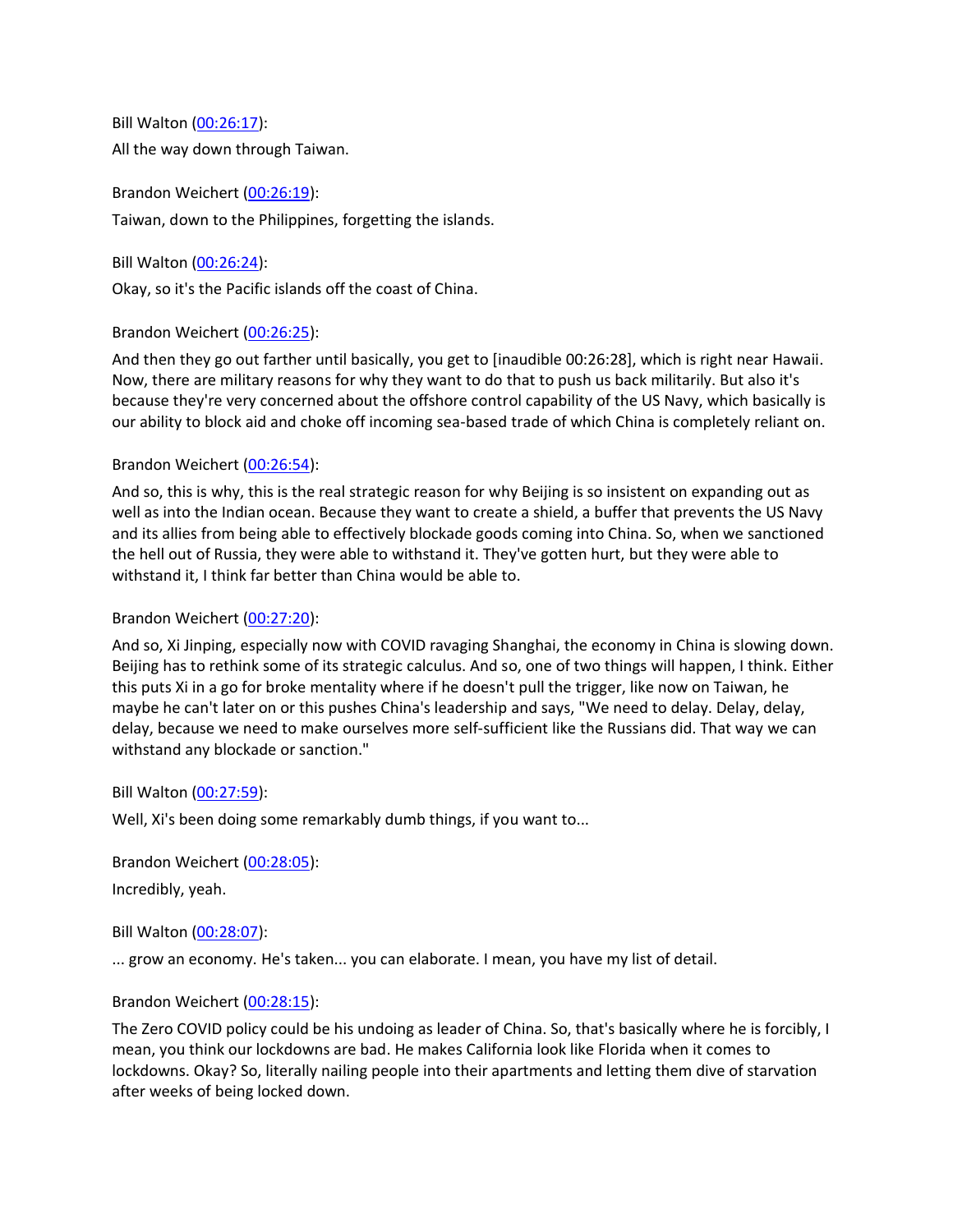Bill Walton [\(00:26:17\)](https://www.rev.com/transcript-editor/Edit?token=12jiEbIkPgkhZu7K8evChXlBjJL7MNuiRhXmr4rOeArfzJRjNul5FHGGNjucumt1lKEkEy6JSnHigU6-j8fFEulePdA&loadFrom=DocumentDeeplink&ts=1577.32): All the way down through Taiwan.

Brandon Weichert [\(00:26:19\)](https://www.rev.com/transcript-editor/Edit?token=52fZ8yhXMAxq7qy57bRHbNM_lLA97r6C5LZZGKTp4PkW8fI7XphZ8ztS-50U4eH7m9Jl7AF0BvWSkkQaZKWmtHvpmc4&loadFrom=DocumentDeeplink&ts=1579.81): Taiwan, down to the Philippines, forgetting the islands.

Bill Walton [\(00:26:24\)](https://www.rev.com/transcript-editor/Edit?token=AWNIm9THHbjCSTaBljGpWe690KDM5qdZd2A3QemzK1D03ymojyRQyNGSgagbUI14845OdZPpEMBAP28dE1l56fqVOJU&loadFrom=DocumentDeeplink&ts=1584.46):

Okay, so it's the Pacific islands off the coast of China.

Brandon Weichert [\(00:26:25\)](https://www.rev.com/transcript-editor/Edit?token=GKiHuNnJkreZ5gOxT919i5QmztftBzb3oObMO1bisjIJxBfvembWhB0Zk2KYJ2KtgH_oBWwfBZlidQIYNXQ4LVskpTg&loadFrom=DocumentDeeplink&ts=1585.84):

And then they go out farther until basically, you get to [inaudible 00:26:28], which is right near Hawaii. Now, there are military reasons for why they want to do that to push us back militarily. But also it's because they're very concerned about the offshore control capability of the US Navy, which basically is our ability to block aid and choke off incoming sea-based trade of which China is completely reliant on.

# Brandon Weichert [\(00:26:54\)](https://www.rev.com/transcript-editor/Edit?token=eYp0WgEsFbHyKWtuZtRtmS1RYDJeTVPqgZi17V6XyEe59X4PC9qJFJCUe_COuUgA8sk3SgGLvNTkKtv4RBJ0hABCn6E&loadFrom=DocumentDeeplink&ts=1614.09):

And so, this is why, this is the real strategic reason for why Beijing is so insistent on expanding out as well as into the Indian ocean. Because they want to create a shield, a buffer that prevents the US Navy and its allies from being able to effectively blockade goods coming into China. So, when we sanctioned the hell out of Russia, they were able to withstand it. They've gotten hurt, but they were able to withstand it, I think far better than China would be able to.

# Brandon Weichert [\(00:27:20\)](https://www.rev.com/transcript-editor/Edit?token=RwnLTxP2GQsXsKeqtadTriAqjTzO8qoK17u4DVxhPQgVehU8APXZOUB4WFX1SNE3aLHT-mNlLoUbEUUWuLZiAT5QK2I&loadFrom=DocumentDeeplink&ts=1640.99):

And so, Xi Jinping, especially now with COVID ravaging Shanghai, the economy in China is slowing down. Beijing has to rethink some of its strategic calculus. And so, one of two things will happen, I think. Either this puts Xi in a go for broke mentality where if he doesn't pull the trigger, like now on Taiwan, he maybe he can't later on or this pushes China's leadership and says, "We need to delay. Delay, delay, delay, because we need to make ourselves more self-sufficient like the Russians did. That way we can withstand any blockade or sanction."

# Bill Walton [\(00:27:59\)](https://www.rev.com/transcript-editor/Edit?token=uJMFb2Kv9su4dKClB6ZhSyQegrEgFjv-WPP_NXGkhYMamNN9EZGvPueAyTOvxhhxnzmnDJCHpaIXUR1jZQcEKjiat8s&loadFrom=DocumentDeeplink&ts=1679.8):

Well, Xi's been doing some remarkably dumb things, if you want to...

Brandon Weichert [\(00:28:05\)](https://www.rev.com/transcript-editor/Edit?token=gRnPCXbAowiU5-hfWwLU5Im36grjEvY5ewllznCrbsPJFtA995ZtiT1VN9g0jucXPLrg54GbUqDgs3zFfowRn5F5U-Q&loadFrom=DocumentDeeplink&ts=1685.87): Incredibly, yeah.

Bill Walton [\(00:28:07\)](https://www.rev.com/transcript-editor/Edit?token=timmv3CykmLS5IcAT_RDb1VMSobAycyWj5X0WpxbQBxLVLqMeERzpdXWVbkqmCb53DEAId2yCsYVM6Dg8HnjYR93MsA&loadFrom=DocumentDeeplink&ts=1687.68):

... grow an economy. He's taken... you can elaborate. I mean, you have my list of detail.

# Brandon Weichert [\(00:28:15\)](https://www.rev.com/transcript-editor/Edit?token=adbhfRUCfUvLNAD-xlPWJi0_i0Oqt3Y3i8yuQk93IqV7ltXzOHN3W1-whQ9ee-JD8ah6rXzU5W-TI4jMff77q0kfUYs&loadFrom=DocumentDeeplink&ts=1695.42):

The Zero COVID policy could be his undoing as leader of China. So, that's basically where he is forcibly, I mean, you think our lockdowns are bad. He makes California look like Florida when it comes to lockdowns. Okay? So, literally nailing people into their apartments and letting them dive of starvation after weeks of being locked down.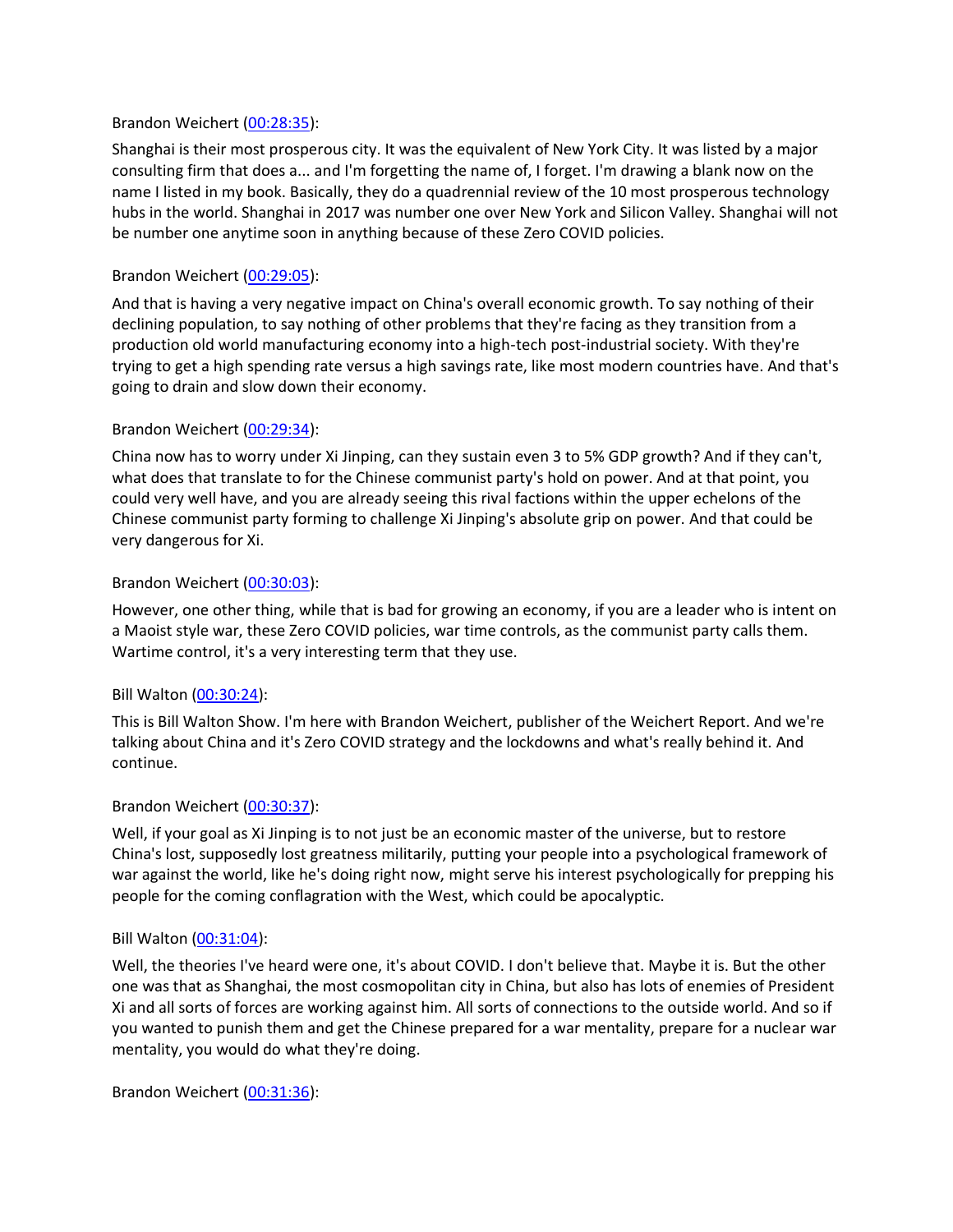## Brandon Weichert [\(00:28:35\)](https://www.rev.com/transcript-editor/Edit?token=DJvk3CzTSyRSWkUSqWKZgiA4w8inmWmWkXNnD8r0ZdG3eLW_D3lFuLTQYa00vsraF7YFyMBFCtDkVqRIVyLQaWIjves&loadFrom=DocumentDeeplink&ts=1715.83):

Shanghai is their most prosperous city. It was the equivalent of New York City. It was listed by a major consulting firm that does a... and I'm forgetting the name of, I forget. I'm drawing a blank now on the name I listed in my book. Basically, they do a quadrennial review of the 10 most prosperous technology hubs in the world. Shanghai in 2017 was number one over New York and Silicon Valley. Shanghai will not be number one anytime soon in anything because of these Zero COVID policies.

## Brandon Weichert [\(00:29:05\)](https://www.rev.com/transcript-editor/Edit?token=Cg2q77evna3AFxURdEbSZPbEsGSvi8irElHPHyxzKMh6FXhiv5h-k7i6rQvVrd5l3NATZDdNrfHFflbrJAaZw-niGk8&loadFrom=DocumentDeeplink&ts=1745.82):

And that is having a very negative impact on China's overall economic growth. To say nothing of their declining population, to say nothing of other problems that they're facing as they transition from a production old world manufacturing economy into a high-tech post-industrial society. With they're trying to get a high spending rate versus a high savings rate, like most modern countries have. And that's going to drain and slow down their economy.

## Brandon Weichert [\(00:29:34\)](https://www.rev.com/transcript-editor/Edit?token=V-oW9XdiHIouj7praHa688IC35vi5C_evvAspDYG85SFhqYeCfPolaeRSM_qj3R30NGcIXb6kvEBfo_4D7ScKhEqzq8&loadFrom=DocumentDeeplink&ts=1774.84):

China now has to worry under Xi Jinping, can they sustain even 3 to 5% GDP growth? And if they can't, what does that translate to for the Chinese communist party's hold on power. And at that point, you could very well have, and you are already seeing this rival factions within the upper echelons of the Chinese communist party forming to challenge Xi Jinping's absolute grip on power. And that could be very dangerous for Xi.

## Brandon Weichert [\(00:30:03\)](https://www.rev.com/transcript-editor/Edit?token=9pGkYxQwY7rWgqasS4s1FRC3Iii5_4aiTH_WJkhZq7uIn7eYqsi3YkMjqwjA1rk8Ti-Apy76JXQ1wW_DZiYvThEWVeE&loadFrom=DocumentDeeplink&ts=1803.31):

However, one other thing, while that is bad for growing an economy, if you are a leader who is intent on a Maoist style war, these Zero COVID policies, war time controls, as the communist party calls them. Wartime control, it's a very interesting term that they use.

#### Bill Walton [\(00:30:24\)](https://www.rev.com/transcript-editor/Edit?token=Hb9RHq74JcfFO5I6V2Ext9y6HDR8tvpUwlR4BPOIwWNnNe1APNBD5YFghi4vHN1gwa_2bIPWls9flbziV4BLPtrfv2g&loadFrom=DocumentDeeplink&ts=1824.06):

This is Bill Walton Show. I'm here with Brandon Weichert, publisher of the Weichert Report. And we're talking about China and it's Zero COVID strategy and the lockdowns and what's really behind it. And continue.

#### Brandon Weichert [\(00:30:37\)](https://www.rev.com/transcript-editor/Edit?token=oBOvlUxz2n3wV8JOr4mruJywPLfK9i5R6Zd1u1lc7kd7HwLwukp26KwflXygKKGEiMnVknNx97Xqm2QzC34ithqZeWU&loadFrom=DocumentDeeplink&ts=1837.2):

Well, if your goal as Xi Jinping is to not just be an economic master of the universe, but to restore China's lost, supposedly lost greatness militarily, putting your people into a psychological framework of war against the world, like he's doing right now, might serve his interest psychologically for prepping his people for the coming conflagration with the West, which could be apocalyptic.

#### Bill Walton [\(00:31:04\)](https://www.rev.com/transcript-editor/Edit?token=sH3at06f1biZSC3Me16THyVguH_lC13l8-wjURQ586YomiNA82UtIEiZNNfPAjLuzMqCcoWaj9f2ncfz3XO1hb0nFJ0&loadFrom=DocumentDeeplink&ts=1864.29):

Well, the theories I've heard were one, it's about COVID. I don't believe that. Maybe it is. But the other one was that as Shanghai, the most cosmopolitan city in China, but also has lots of enemies of President Xi and all sorts of forces are working against him. All sorts of connections to the outside world. And so if you wanted to punish them and get the Chinese prepared for a war mentality, prepare for a nuclear war mentality, you would do what they're doing.

Brandon Weichert [\(00:31:36\)](https://www.rev.com/transcript-editor/Edit?token=fIVNszB8cIPrGOX9F2o9upAHYXoRHOm-gsotPNtbY-2LF7MqQNxqHziWserHerswFGqcfrdn-_R2UyBuglTViMfTwzQ&loadFrom=DocumentDeeplink&ts=1896.51):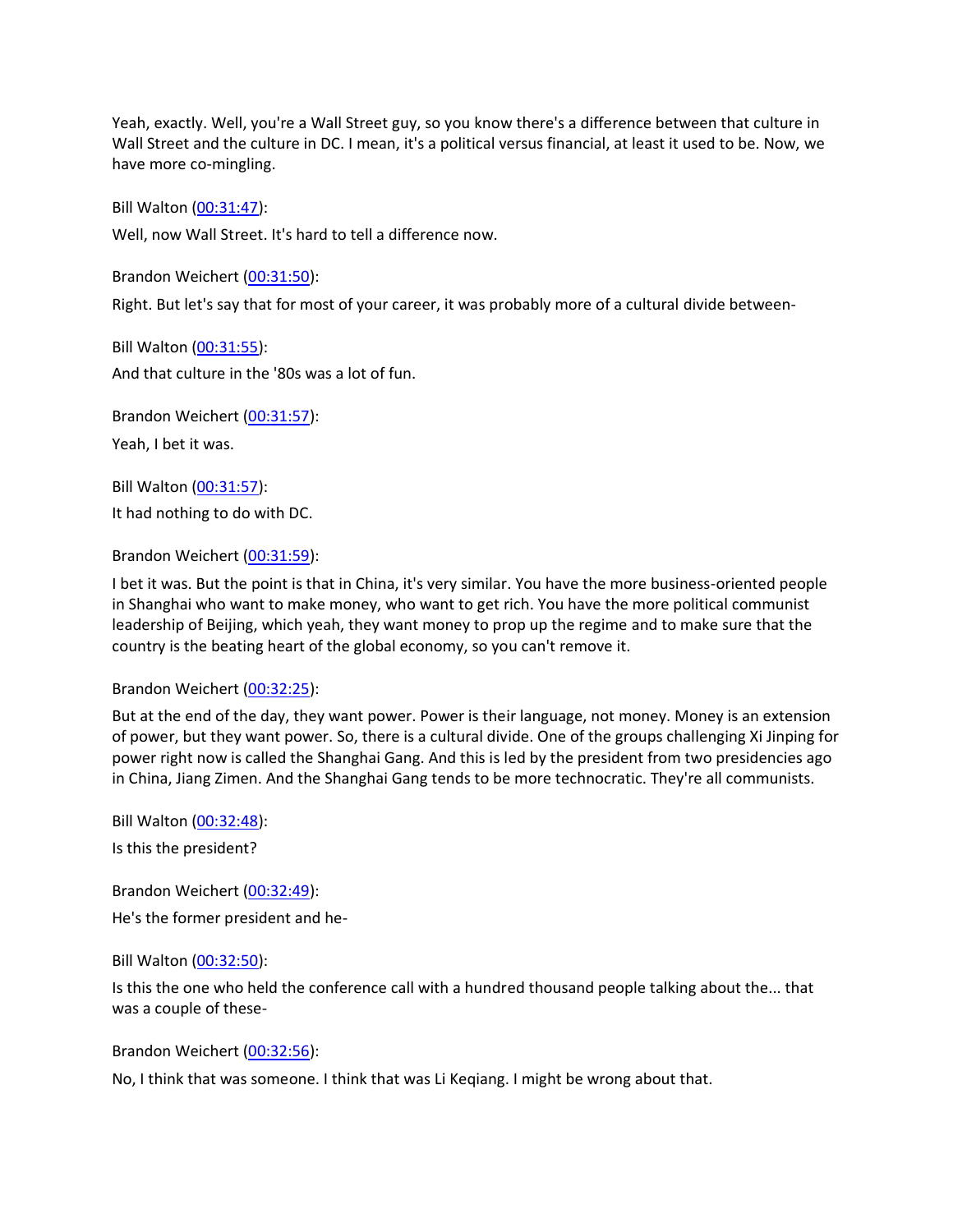Yeah, exactly. Well, you're a Wall Street guy, so you know there's a difference between that culture in Wall Street and the culture in DC. I mean, it's a political versus financial, at least it used to be. Now, we have more co-mingling.

Bill Walton [\(00:31:47\)](https://www.rev.com/transcript-editor/Edit?token=tP-xilE1Ei2yVo1sX46lRxUpyxZZJBlg1XUYifH8hzqVLzAqmGY4DUbi5Wusnd_JBooKolTF_-SSI2xcwHXDr0w_hx4&loadFrom=DocumentDeeplink&ts=1907.82):

Well, now Wall Street. It's hard to tell a difference now.

Brandon Weichert [\(00:31:50\)](https://www.rev.com/transcript-editor/Edit?token=DL-CwUVRR-Q1amcCyFRTM7xTfmwdq0ixSZo2KD4SUXjOhTAhHC9oSScwtqjHcH2IIjMEStiuCQhQII9KuSncemrVjfU&loadFrom=DocumentDeeplink&ts=1910.5):

Right. But let's say that for most of your career, it was probably more of a cultural divide between-

Bill Walton [\(00:31:55\)](https://www.rev.com/transcript-editor/Edit?token=w0BI3DHAWXecLMv5GBdlyuEf2386KmKHBlw50h_xmSytsrN3SUoNp0oEj1bI9LeDbPjcfsYsBo4qOzVrteCtPjQ57KI&loadFrom=DocumentDeeplink&ts=1915.13): And that culture in the '80s was a lot of fun.

Brandon Weichert [\(00:31:57\)](https://www.rev.com/transcript-editor/Edit?token=m0CIBB55yaagq2TVpM7aOBTwh9YDSPE6OopfbhwyJ7BnI6ipPLxlofljbN2WY1CcNKQ9Keuf-I7m2sOujbbO6CepYLg&loadFrom=DocumentDeeplink&ts=1917.35): Yeah, I bet it was.

Bill Walton [\(00:31:57\)](https://www.rev.com/transcript-editor/Edit?token=xQxaZ09ZRw-G6xznkHsd5dDopmwjDsGhQ5XF02kHgSH2OIuYZV9IBaZ17jOPwc7-3LsQqIOXPWm8PlDWhnMizXMM0Xg&loadFrom=DocumentDeeplink&ts=1917.99): It had nothing to do with DC.

Brandon Weichert [\(00:31:59\)](https://www.rev.com/transcript-editor/Edit?token=FzLCEwSYVwsJhDNIRCpXEtEv2-Wxoyk-NzBuKirdYTt8r4oMlcbGjilkLeCE4qfrTb6Vdep_wN44EETyMhBmUaF0Gzk&loadFrom=DocumentDeeplink&ts=1919.57):

I bet it was. But the point is that in China, it's very similar. You have the more business-oriented people in Shanghai who want to make money, who want to get rich. You have the more political communist leadership of Beijing, which yeah, they want money to prop up the regime and to make sure that the country is the beating heart of the global economy, so you can't remove it.

#### Brandon Weichert [\(00:32:25\)](https://www.rev.com/transcript-editor/Edit?token=EEh02quYPq3aSD353Hv72OT7a--4YyVJx3wowVUCyjC6cn9Rj3_yiGKX45kgvEe569H_KJUPnLtLNX78PzwMl5cxBUo&loadFrom=DocumentDeeplink&ts=1945.02):

But at the end of the day, they want power. Power is their language, not money. Money is an extension of power, but they want power. So, there is a cultural divide. One of the groups challenging Xi Jinping for power right now is called the Shanghai Gang. And this is led by the president from two presidencies ago in China, Jiang Zimen. And the Shanghai Gang tends to be more technocratic. They're all communists.

Bill Walton [\(00:32:48\)](https://www.rev.com/transcript-editor/Edit?token=ZfZq3xCs78hbHgXA0R7_7nuB2r7QTOskGheZek79Mlf_YN7utSinF2npRJfCkxat0-fNYv58C_Nv3xErMEhkb834r7s&loadFrom=DocumentDeeplink&ts=1968.25): Is this the president?

Brandon Weichert [\(00:32:49\)](https://www.rev.com/transcript-editor/Edit?token=5CHK2m7i_rAgWAMegV45llZ9btnYncP2RfgUj6oAMvvp4iNczP7Tz_2H3XqrP-q-t_dl77Odg5AP6M9QoCBHOD7NyDg&loadFrom=DocumentDeeplink&ts=1969.08):

He's the former president and he-

Bill Walton [\(00:32:50\)](https://www.rev.com/transcript-editor/Edit?token=ddf1ROl1yaW835ejB8YLIK-YnPD5afHCYZUWtAOpS5T0R2ukM2Z1MEih2XzsbwlyE4ObKvh9mzQFHulAjUqS5sa7kjY&loadFrom=DocumentDeeplink&ts=1970.76):

Is this the one who held the conference call with a hundred thousand people talking about the... that was a couple of these-

Brandon Weichert [\(00:32:56\)](https://www.rev.com/transcript-editor/Edit?token=MTDQgVlPHt8sxFBObv4fA7K4w-mP943ZEXoP4OVy-p5x5S_eEguxA4jAzwdU-a1fHAOatHOu_pSiJBpdfArIN-8UJNU&loadFrom=DocumentDeeplink&ts=1976.51):

No, I think that was someone. I think that was Li Keqiang. I might be wrong about that.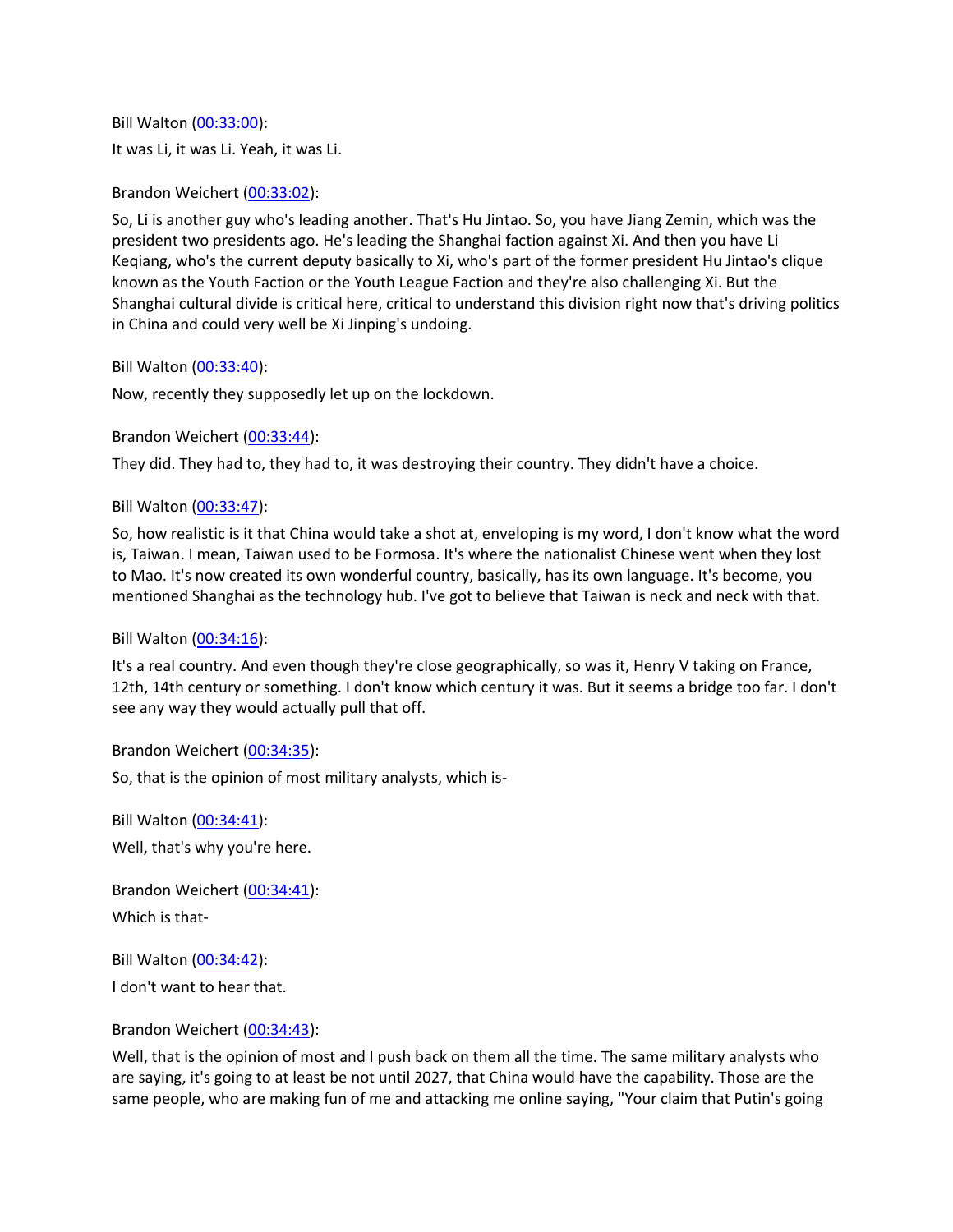Bill Walton [\(00:33:00\)](https://www.rev.com/transcript-editor/Edit?token=lfiVbTgjcOZ89yruSv03Wvf3oMFRGPF5I8THOcZGiPWuDK7mMmUWkWIH5Mp8Vo0Ynl9eBT3OdgjppTOj3nkjGQIPwzk&loadFrom=DocumentDeeplink&ts=1980.93): It was Li, it was Li. Yeah, it was Li.

# Brandon Weichert [\(00:33:02\)](https://www.rev.com/transcript-editor/Edit?token=1bULApJ2p1-2gUYr8iWpQCWBnxCI5ZLK_pebOh4HkCg0XU63PP0jpywq99d8HFwPA9H-sHhoHDu7XV0MnIQDmaTz1l4&loadFrom=DocumentDeeplink&ts=1982.73):

So, Li is another guy who's leading another. That's Hu Jintao. So, you have Jiang Zemin, which was the president two presidents ago. He's leading the Shanghai faction against Xi. And then you have Li Keqiang, who's the current deputy basically to Xi, who's part of the former president Hu Jintao's clique known as the Youth Faction or the Youth League Faction and they're also challenging Xi. But the Shanghai cultural divide is critical here, critical to understand this division right now that's driving politics in China and could very well be Xi Jinping's undoing.

Bill Walton [\(00:33:40\)](https://www.rev.com/transcript-editor/Edit?token=yntNVCSOpEJ4nK6UkJNzidhXjPAzp1fNBbx4kGM1x73ld5yWqEadOwXrmVU_PXpAuKZBDF0_qzLT84Wqquvn76AoTMg&loadFrom=DocumentDeeplink&ts=2020.42):

Now, recently they supposedly let up on the lockdown.

Brandon Weichert [\(00:33:44\)](https://www.rev.com/transcript-editor/Edit?token=fVDm6VoxOHDJ5niDf82a4B6WLbcwZdOEkIZP9FNtmqWweF0q0gaRAfeUAbIbtsyui_XZV2Fev5kTkfifxxA_hh-JvxI&loadFrom=DocumentDeeplink&ts=2024.55):

They did. They had to, they had to, it was destroying their country. They didn't have a choice.

## Bill Walton [\(00:33:47\)](https://www.rev.com/transcript-editor/Edit?token=e0OT3nGJ_dD5dOSHL3im26O5g8BZTJkt73kCzIbfvJAlXVJxb8lVNsNwN5lAm79zKba8o5HqQQ09VaKTyL893WIHf9o&loadFrom=DocumentDeeplink&ts=2027.12):

So, how realistic is it that China would take a shot at, enveloping is my word, I don't know what the word is, Taiwan. I mean, Taiwan used to be Formosa. It's where the nationalist Chinese went when they lost to Mao. It's now created its own wonderful country, basically, has its own language. It's become, you mentioned Shanghai as the technology hub. I've got to believe that Taiwan is neck and neck with that.

#### Bill Walton [\(00:34:16\)](https://www.rev.com/transcript-editor/Edit?token=z6m9AD5U0mG1_ndtADQ_7i_ABiE16K5Mn22XH7eOKe-pdI7IxNgDf07Kfb0P8uNJx_3xmtw_BCT3Z8l391vzIZ5zIkI&loadFrom=DocumentDeeplink&ts=2056.01):

It's a real country. And even though they're close geographically, so was it, Henry V taking on France, 12th, 14th century or something. I don't know which century it was. But it seems a bridge too far. I don't see any way they would actually pull that off.

Brandon Weichert [\(00:34:35\)](https://www.rev.com/transcript-editor/Edit?token=O-yWFrRSAUYb5USCBgMnZElyF0afdPxdhi_UGwAPBwc1tUkL0LmRrPrS-v2iwYHsI_59WZdP1NB4IgJRcJYwFGRzBNE&loadFrom=DocumentDeeplink&ts=2075.65):

So, that is the opinion of most military analysts, which is-

Bill Walton [\(00:34:41\)](https://www.rev.com/transcript-editor/Edit?token=O1fAKH1NjxQCiXjLuiPRwAhK1HR_BIcg2VshAz25u_dPOUzNtrlI5X8DtRy1C4gt-RRe_FjHwRNbpNysE6uD-0Ujit4&loadFrom=DocumentDeeplink&ts=2081.3): Well, that's why you're here.

Brandon Weichert [\(00:34:41\)](https://www.rev.com/transcript-editor/Edit?token=lcnT2dZnFpMLVrOaRKLkzoRJaS75oUfNAREF2QdW_GiICC64oaccCijpVpOCjm8nge3UgkLv3UsOeuTo5CMPisyus4A&loadFrom=DocumentDeeplink&ts=2081.89): Which is that-

Bill Walton [\(00:34:42\)](https://www.rev.com/transcript-editor/Edit?token=rUQkue945Mi_CQ8SNHh7SbUwGiB7z_UAC56dR9M4vTI2X_Ch4qdlTdFhXZxVnjZBgzjzF_MtPi2iOI9m2EvSmM0MwqM&loadFrom=DocumentDeeplink&ts=2082.57): I don't want to hear that.

Brandon Weichert [\(00:34:43\)](https://www.rev.com/transcript-editor/Edit?token=TTrk3lL8JQIYzIJbGJSpHl2nlVpjBVqEuRRSheefQYbPRBjwhOp1z3s6qJR-S0VtB0IZvHS5V266giViPn3FbMVGvqs&loadFrom=DocumentDeeplink&ts=2083.9):

Well, that is the opinion of most and I push back on them all the time. The same military analysts who are saying, it's going to at least be not until 2027, that China would have the capability. Those are the same people, who are making fun of me and attacking me online saying, "Your claim that Putin's going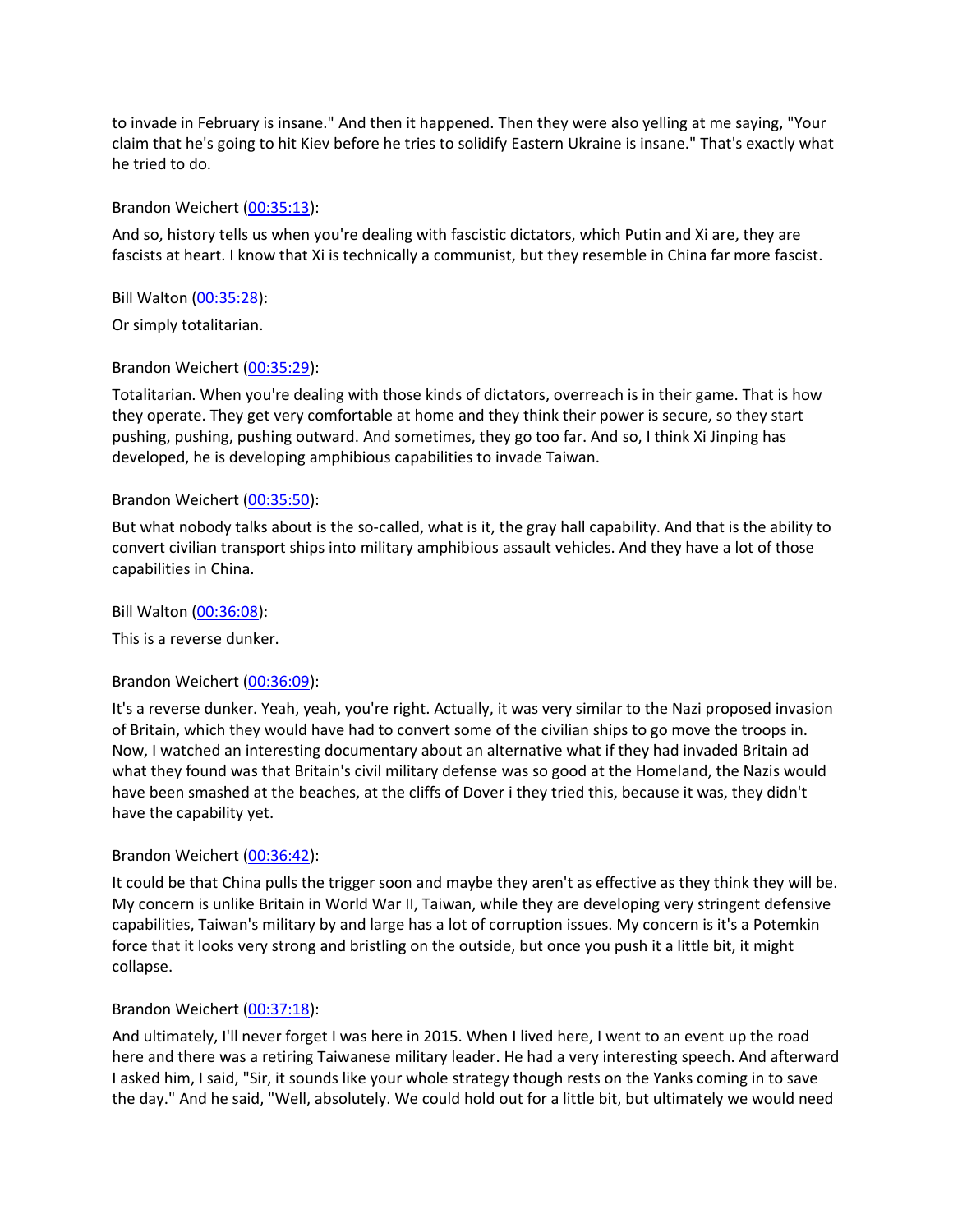to invade in February is insane." And then it happened. Then they were also yelling at me saying, "Your claim that he's going to hit Kiev before he tries to solidify Eastern Ukraine is insane." That's exactly what he tried to do.

## Brandon Weichert [\(00:35:13\)](https://www.rev.com/transcript-editor/Edit?token=srO2MG39cGzsqzMJ-G8Ode7-GV2-HqnRAXL_7ZVohIwvFEE2DkBCgIU5pQ05w8y1ztutU1JroI_NppPLEZVZ1BfUCPQ&loadFrom=DocumentDeeplink&ts=2113.71):

And so, history tells us when you're dealing with fascistic dictators, which Putin and Xi are, they are fascists at heart. I know that Xi is technically a communist, but they resemble in China far more fascist.

Bill Walton [\(00:35:28\)](https://www.rev.com/transcript-editor/Edit?token=bRjg8z_R9CXTTLf4FV3yQy2F2oGnsIq7lXbz4v4AYGx9XB7h0kiodEmDdW9YAkzYHJsXddf-DqyYlkH4OB5nRk36sZg&loadFrom=DocumentDeeplink&ts=2128):

Or simply totalitarian.

## Brandon Weichert [\(00:35:29\)](https://www.rev.com/transcript-editor/Edit?token=7TA9Re2IXBGc-_yCIigH_x_p88vJ5ZKC8EtG7IGIL9U7U3PC9IhKePCer92aiJXZe1RWkf0zeW7ShJQ2lgRBfDB5dLA&loadFrom=DocumentDeeplink&ts=2129.72):

Totalitarian. When you're dealing with those kinds of dictators, overreach is in their game. That is how they operate. They get very comfortable at home and they think their power is secure, so they start pushing, pushing, pushing outward. And sometimes, they go too far. And so, I think Xi Jinping has developed, he is developing amphibious capabilities to invade Taiwan.

## Brandon Weichert [\(00:35:50\)](https://www.rev.com/transcript-editor/Edit?token=LnPlcmGGEKDEJuG8-GhyKZsTYOzh1GBcM6qIF0BHJxIcQe3-oP3OdJ_ImxV4HpKkNh3wqN6aynDypswAU8Fd6mEOyw4&loadFrom=DocumentDeeplink&ts=2150.7):

But what nobody talks about is the so-called, what is it, the gray hall capability. And that is the ability to convert civilian transport ships into military amphibious assault vehicles. And they have a lot of those capabilities in China.

Bill Walton [\(00:36:08\)](https://www.rev.com/transcript-editor/Edit?token=FCeHgOwpmF_CnWiVzzDCPt7nqqgaaMEf7QLg9n_yRcfmjSvZFerwwrHDJvfhqV7WwRTCE-s5h_V6tiAMlTfcQrgdqBo&loadFrom=DocumentDeeplink&ts=2168.27):

This is a reverse dunker.

#### Brandon Weichert [\(00:36:09\)](https://www.rev.com/transcript-editor/Edit?token=pUAuMG3RGgTxhmWPXYGnA9d5rFn2LdXIOLU9KTw3F24_JwOnsPt49ZppXxTqVnPpx7II35TZOSyZ0iV8TNKlKy1ABoY&loadFrom=DocumentDeeplink&ts=2169.7):

It's a reverse dunker. Yeah, yeah, you're right. Actually, it was very similar to the Nazi proposed invasion of Britain, which they would have had to convert some of the civilian ships to go move the troops in. Now, I watched an interesting documentary about an alternative what if they had invaded Britain ad what they found was that Britain's civil military defense was so good at the Homeland, the Nazis would have been smashed at the beaches, at the cliffs of Dover i they tried this, because it was, they didn't have the capability yet.

# Brandon Weichert [\(00:36:42\)](https://www.rev.com/transcript-editor/Edit?token=tcfjmvY6o9uhrJPx7fwm91_AfFe8Ts0hPhRo0aMkLOft5-uW2Zx1ts9ZEcEYyhZ6KZ9XFZpvfcqvw5_fomox4gMiscI&loadFrom=DocumentDeeplink&ts=2202.59):

It could be that China pulls the trigger soon and maybe they aren't as effective as they think they will be. My concern is unlike Britain in World War II, Taiwan, while they are developing very stringent defensive capabilities, Taiwan's military by and large has a lot of corruption issues. My concern is it's a Potemkin force that it looks very strong and bristling on the outside, but once you push it a little bit, it might collapse.

# Brandon Weichert [\(00:37:18\)](https://www.rev.com/transcript-editor/Edit?token=FCnsjYDZtanP_-xjcz3zdVk72T6S9gFYqbVGBxx0NVFJO1TIvXuQjsnZz_tfk3mpvaMPoaYuQkMY7RirZsCkJNPsj6c&loadFrom=DocumentDeeplink&ts=2238.47):

And ultimately, I'll never forget I was here in 2015. When I lived here, I went to an event up the road here and there was a retiring Taiwanese military leader. He had a very interesting speech. And afterward I asked him, I said, "Sir, it sounds like your whole strategy though rests on the Yanks coming in to save the day." And he said, "Well, absolutely. We could hold out for a little bit, but ultimately we would need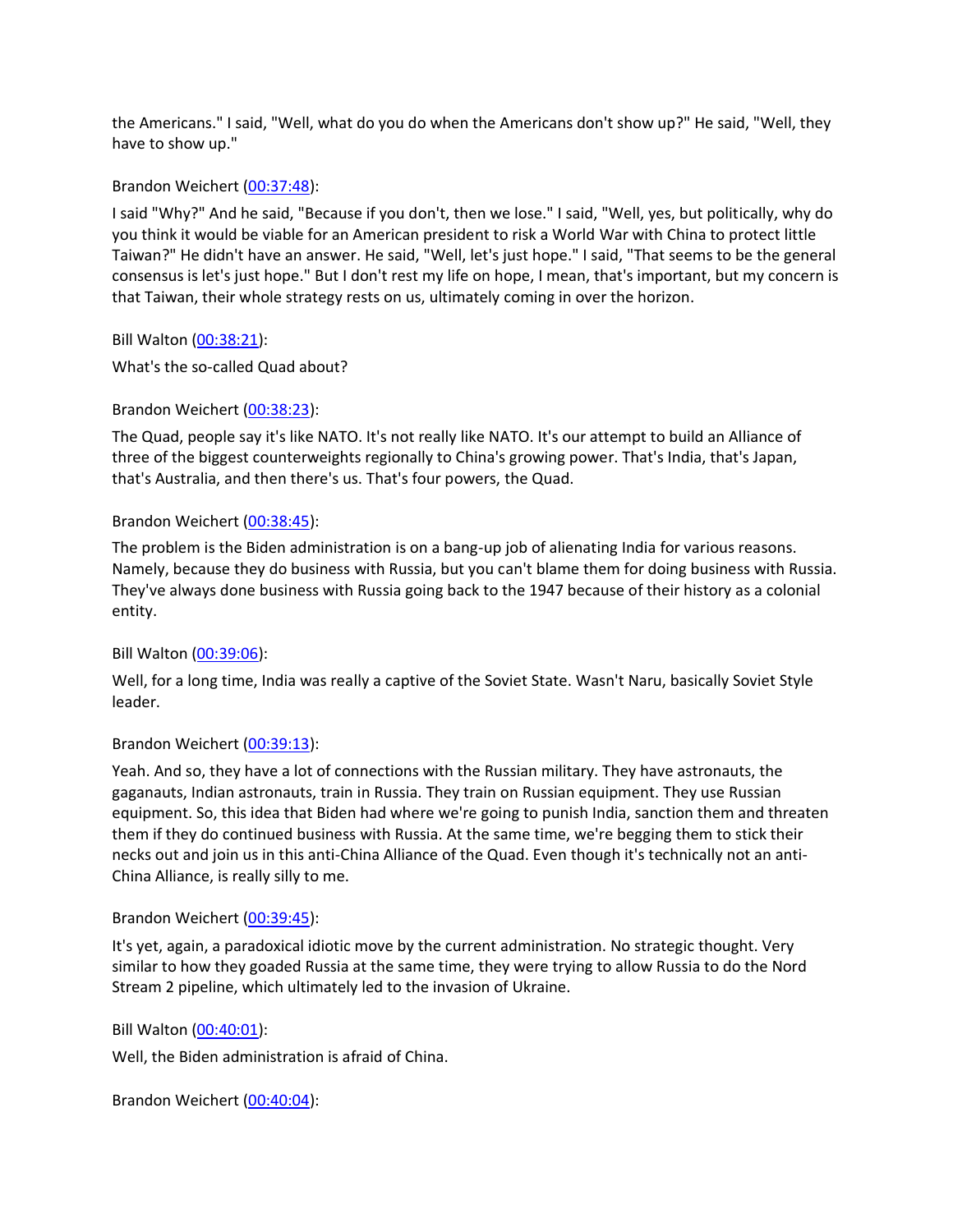the Americans." I said, "Well, what do you do when the Americans don't show up?" He said, "Well, they have to show up."

## Brandon Weichert [\(00:37:48\)](https://www.rev.com/transcript-editor/Edit?token=2PD7GOsUHI82koA3Ud7M7fagE3rhCp3KTeHshsl-9CEPJNnlqD6YeLYsDOcWPu4ewPJfejKd2fdS9Z0825fPQRv0Wjs&loadFrom=DocumentDeeplink&ts=2268.53):

I said "Why?" And he said, "Because if you don't, then we lose." I said, "Well, yes, but politically, why do you think it would be viable for an American president to risk a World War with China to protect little Taiwan?" He didn't have an answer. He said, "Well, let's just hope." I said, "That seems to be the general consensus is let's just hope." But I don't rest my life on hope, I mean, that's important, but my concern is that Taiwan, their whole strategy rests on us, ultimately coming in over the horizon.

Bill Walton [\(00:38:21\)](https://www.rev.com/transcript-editor/Edit?token=OJkusp9idq3AX5dVqdhc5tZps3Q4_mrbER1q1h6XZ4lWEA_YzNSA7WrJns95-cPCHQ37JKA87SUrVFt4oSP0YvnQLYw&loadFrom=DocumentDeeplink&ts=2301.21):

What's the so-called Quad about?

## Brandon Weichert [\(00:38:23\)](https://www.rev.com/transcript-editor/Edit?token=TDEfJ80HLzV3_QHle3RYuaotiVzZ67JGyg079mf4ya6MCXULVKLuvf2Igqd6bwntU0hXC40OAMM29cWUi6MMX-V3fbg&loadFrom=DocumentDeeplink&ts=2303.26):

The Quad, people say it's like NATO. It's not really like NATO. It's our attempt to build an Alliance of three of the biggest counterweights regionally to China's growing power. That's India, that's Japan, that's Australia, and then there's us. That's four powers, the Quad.

## Brandon Weichert [\(00:38:45\)](https://www.rev.com/transcript-editor/Edit?token=gxCVj-dj7_C-Sv-kd6dfB6OKXloAnFl_EeDCu8HggFuMc8aJC4Z9DisMMv7-c753N384qS0RcU_BXPBbuzP2Zhlzc80&loadFrom=DocumentDeeplink&ts=2325.42):

The problem is the Biden administration is on a bang-up job of alienating India for various reasons. Namely, because they do business with Russia, but you can't blame them for doing business with Russia. They've always done business with Russia going back to the 1947 because of their history as a colonial entity.

# Bill Walton [\(00:39:06\)](https://www.rev.com/transcript-editor/Edit?token=z49IgjSWQ0aDyolK2g1lGamvCql7CHFLj_qWwWaMKRHPXBMLlfMmU6qVa9oqPqbgQJE0CbrOqlxyDthjUBLnCZIHW2o&loadFrom=DocumentDeeplink&ts=2346):

Well, for a long time, India was really a captive of the Soviet State. Wasn't Naru, basically Soviet Style leader.

# Brandon Weichert [\(00:39:13\)](https://www.rev.com/transcript-editor/Edit?token=bg9HlyGuzAEkgeV0tmDHAnaWSZ94FMwYp88ljQdn7wttVgGNeYy7I3FNp5s_RG43j7P5g5mNQQ_doyMR21QwFqqWixw&loadFrom=DocumentDeeplink&ts=2353.26):

Yeah. And so, they have a lot of connections with the Russian military. They have astronauts, the gaganauts, Indian astronauts, train in Russia. They train on Russian equipment. They use Russian equipment. So, this idea that Biden had where we're going to punish India, sanction them and threaten them if they do continued business with Russia. At the same time, we're begging them to stick their necks out and join us in this anti-China Alliance of the Quad. Even though it's technically not an anti-China Alliance, is really silly to me.

#### Brandon Weichert [\(00:39:45\)](https://www.rev.com/transcript-editor/Edit?token=rKmnQU_orvV2C05tnFNGb3KCqY2-NdxfiohY69RWQRI3l6Eo_WhQI1sf5fDBpQ2K60q2rSz4jhjEy4lhODHKjLC1E1I&loadFrom=DocumentDeeplink&ts=2385.86):

It's yet, again, a paradoxical idiotic move by the current administration. No strategic thought. Very similar to how they goaded Russia at the same time, they were trying to allow Russia to do the Nord Stream 2 pipeline, which ultimately led to the invasion of Ukraine.

#### Bill Walton [\(00:40:01\)](https://www.rev.com/transcript-editor/Edit?token=rYkl05-8EcgJFTEi6cBN-rwX0tpgwfdHymlnJ8vD1cUYpJmHNH0lzFh-Nb96j3E-Ds3yaQep5JbQTSq-h9EQ5r6wO5s&loadFrom=DocumentDeeplink&ts=2401.17):

Well, the Biden administration is afraid of China.

Brandon Weichert [\(00:40:04\)](https://www.rev.com/transcript-editor/Edit?token=OVih37pSPVh7l7oOpCD4FoIgKp6WZNu55g8xrFgFxyITQyHvY_Pzy5ft3YTNxdqh8e-SrUxzX7bK5YC850bLlEuQGi8&loadFrom=DocumentDeeplink&ts=2404.33):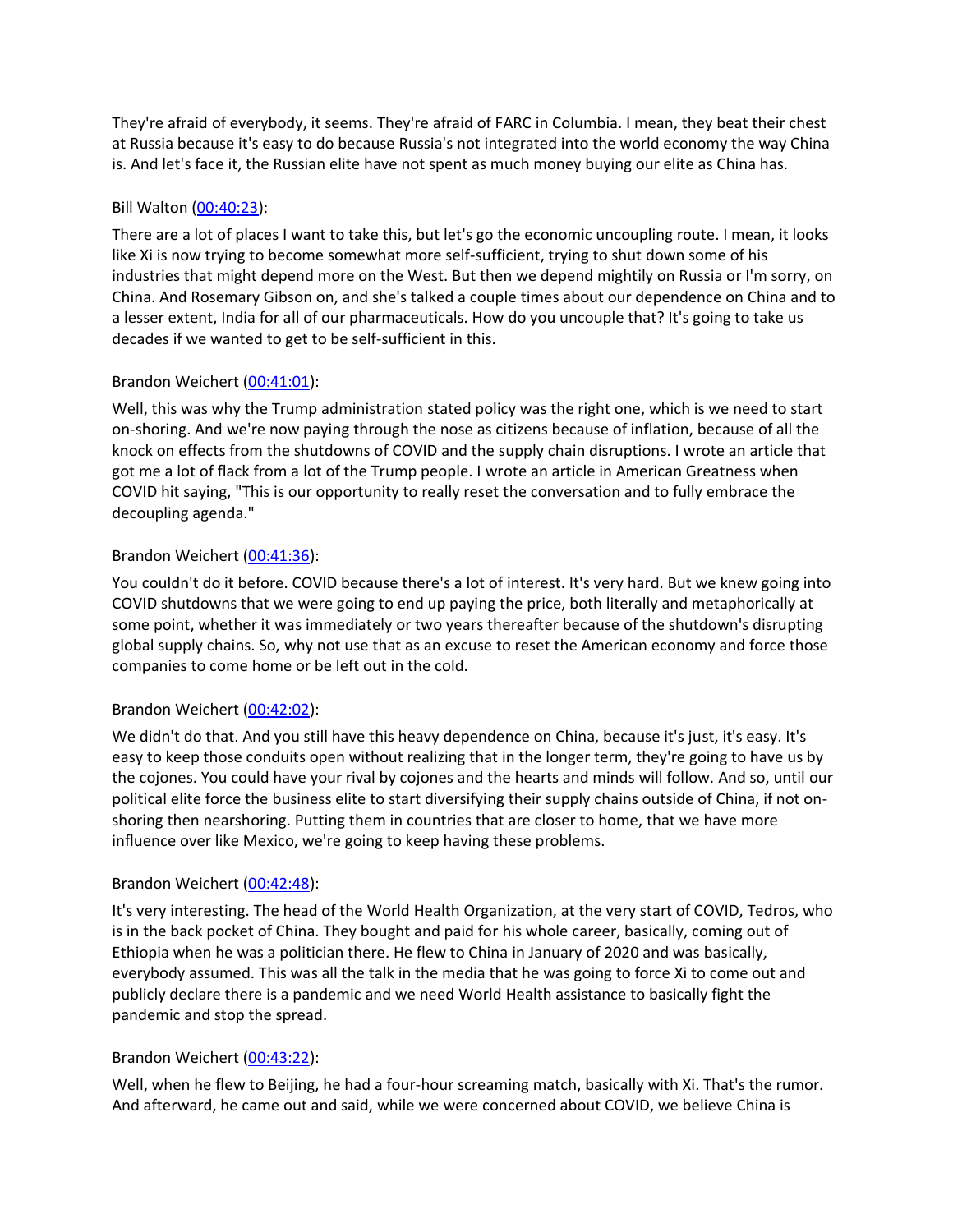They're afraid of everybody, it seems. They're afraid of FARC in Columbia. I mean, they beat their chest at Russia because it's easy to do because Russia's not integrated into the world economy the way China is. And let's face it, the Russian elite have not spent as much money buying our elite as China has.

# Bill Walton [\(00:40:23\)](https://www.rev.com/transcript-editor/Edit?token=Z-8rj1yJEwWpyk_e2eJtUguJnpRFd3S6CXhSLUw7SWSoCnqonS5Nu3cKP6SIRk6y5EOJITzpexY3zjEJMDAtAY2rTqA&loadFrom=DocumentDeeplink&ts=2423.89):

There are a lot of places I want to take this, but let's go the economic uncoupling route. I mean, it looks like Xi is now trying to become somewhat more self-sufficient, trying to shut down some of his industries that might depend more on the West. But then we depend mightily on Russia or I'm sorry, on China. And Rosemary Gibson on, and she's talked a couple times about our dependence on China and to a lesser extent, India for all of our pharmaceuticals. How do you uncouple that? It's going to take us decades if we wanted to get to be self-sufficient in this.

# Brandon Weichert [\(00:41:01\)](https://www.rev.com/transcript-editor/Edit?token=hcUMath6cbWfYCIPbOFO8G_ZPXnYiC1G2Cfl2qpSrnqUrGp8xk8u3n5BwhUspY8WSu8eJFzGSVCrVWyrltppY1nurmg&loadFrom=DocumentDeeplink&ts=2461.17):

Well, this was why the Trump administration stated policy was the right one, which is we need to start on-shoring. And we're now paying through the nose as citizens because of inflation, because of all the knock on effects from the shutdowns of COVID and the supply chain disruptions. I wrote an article that got me a lot of flack from a lot of the Trump people. I wrote an article in American Greatness when COVID hit saying, "This is our opportunity to really reset the conversation and to fully embrace the decoupling agenda."

# Brandon Weichert [\(00:41:36\)](https://www.rev.com/transcript-editor/Edit?token=sB5DTp7ZFyiwMOsvo1eiEtMqCbytfSxFzfOoWsG1OYThcUXQ8U06NA2b4CSZegwpQiTD348Ab1m3SVs30RxW3WKlB-M&loadFrom=DocumentDeeplink&ts=2496.54):

You couldn't do it before. COVID because there's a lot of interest. It's very hard. But we knew going into COVID shutdowns that we were going to end up paying the price, both literally and metaphorically at some point, whether it was immediately or two years thereafter because of the shutdown's disrupting global supply chains. So, why not use that as an excuse to reset the American economy and force those companies to come home or be left out in the cold.

# Brandon Weichert [\(00:42:02\)](https://www.rev.com/transcript-editor/Edit?token=6cTC6JHdujVEJvaQbRKv3584TV78wEkz7vbzHtrik90n-M7WUg-hTwcznF3dpYv4JeExQS9L5Tp_pgLOVa-Jz-PYTCI&loadFrom=DocumentDeeplink&ts=2522.54):

We didn't do that. And you still have this heavy dependence on China, because it's just, it's easy. It's easy to keep those conduits open without realizing that in the longer term, they're going to have us by the cojones. You could have your rival by cojones and the hearts and minds will follow. And so, until our political elite force the business elite to start diversifying their supply chains outside of China, if not onshoring then nearshoring. Putting them in countries that are closer to home, that we have more influence over like Mexico, we're going to keep having these problems.

# Brandon Weichert [\(00:42:48\)](https://www.rev.com/transcript-editor/Edit?token=TaI3Bm4zEj12ek6c3NR5RwSsPbma5yT8JqlrC0tsmsIvihM-PdEyn9hvUjfHIc1urXvlH9KpGbD4BkfK2zpDrk_pmeo&loadFrom=DocumentDeeplink&ts=2568.17):

It's very interesting. The head of the World Health Organization, at the very start of COVID, Tedros, who is in the back pocket of China. They bought and paid for his whole career, basically, coming out of Ethiopia when he was a politician there. He flew to China in January of 2020 and was basically, everybody assumed. This was all the talk in the media that he was going to force Xi to come out and publicly declare there is a pandemic and we need World Health assistance to basically fight the pandemic and stop the spread.

# Brandon Weichert [\(00:43:22\)](https://www.rev.com/transcript-editor/Edit?token=ekKLQW62bBVahe1z6CyHZ3fXSf6H9jWbaPFhxXb1oSJmPrGUXQiKHy866NkmEYEpcVxu5-vim9tQcikivLgHIBPkeYc&loadFrom=DocumentDeeplink&ts=2602.24):

Well, when he flew to Beijing, he had a four-hour screaming match, basically with Xi. That's the rumor. And afterward, he came out and said, while we were concerned about COVID, we believe China is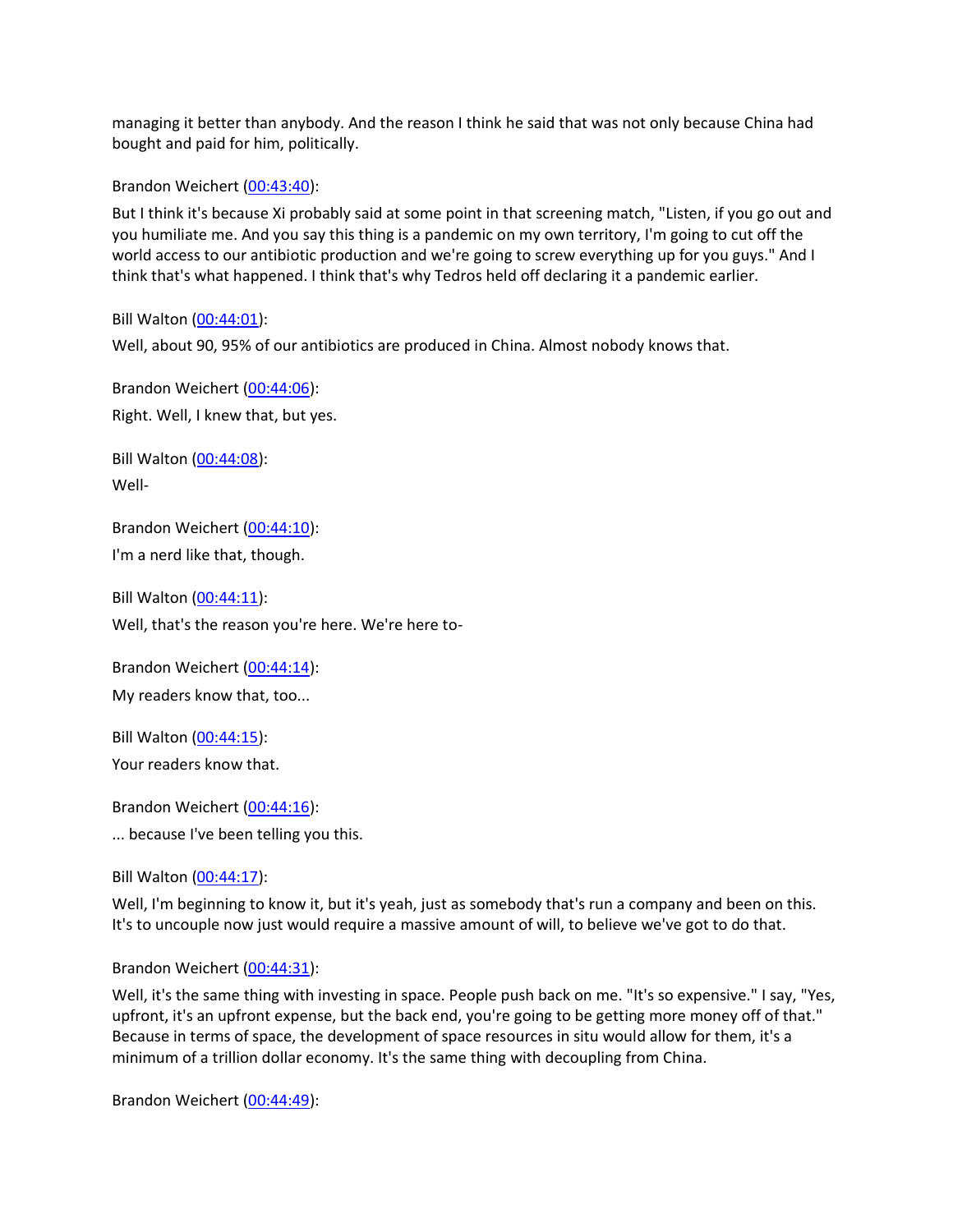managing it better than anybody. And the reason I think he said that was not only because China had bought and paid for him, politically.

Brandon Weichert [\(00:43:40\)](https://www.rev.com/transcript-editor/Edit?token=9qqvwNjilS6ndctiu4wwM8rJbC7DfZFR7ujwFlfc4NOqVJt1jkxEG4BuULot9wo1L9uYhtGYRMqwTrfizYxLZJRjz6s&loadFrom=DocumentDeeplink&ts=2620.34):

But I think it's because Xi probably said at some point in that screening match, "Listen, if you go out and you humiliate me. And you say this thing is a pandemic on my own territory, I'm going to cut off the world access to our antibiotic production and we're going to screw everything up for you guys." And I think that's what happened. I think that's why Tedros held off declaring it a pandemic earlier.

Bill Walton [\(00:44:01\)](https://www.rev.com/transcript-editor/Edit?token=2sGA5GoWCMcSa3OKlSkkrAELJkKJiT2zkcw04KDlish2pehKebSmWbt0Hbzvi6KxClRYyD1BHYw20vOwob6Jki_DGQU&loadFrom=DocumentDeeplink&ts=2641.56):

Well, about 90, 95% of our antibiotics are produced in China. Almost nobody knows that.

Brandon Weichert [\(00:44:06\)](https://www.rev.com/transcript-editor/Edit?token=fJcm9zNCdorbgvo96IJ3Z3Q-oIy2ruoKHLpW1asXwzbJGKE2Y_UFfFaqs6DbfZbMrhg_7LrAXhjMD6p0ADAtguoRb7g&loadFrom=DocumentDeeplink&ts=2646.87): Right. Well, I knew that, but yes.

Bill Walton [\(00:44:08\)](https://www.rev.com/transcript-editor/Edit?token=uikknuz9V818tS-Pgo32VLXE7gne2c0woB92Voz6vGNCTwlCHFa5mdnEtM7Z_4GQBP9qSxvJ_fv-VJ1yhqvPZWY3KqY&loadFrom=DocumentDeeplink&ts=2648.59): Well-

Brandon Weichert [\(00:44:10\)](https://www.rev.com/transcript-editor/Edit?token=ZiU8kCnhJPYV4RcNOJyIAmJ1wPzCgnDZ2sSPOUz8L0b_FFcOZF3qKphc5h27uh4YDO0Wg4xlQ0XToacu36Nf2U8iQxM&loadFrom=DocumentDeeplink&ts=2650.29): I'm a nerd like that, though.

Bill Walton [\(00:44:11\)](https://www.rev.com/transcript-editor/Edit?token=A9f-6gO1Wdevk0o7IahSmwaruCTlxkpEfSlofdsrlYVa5-HMtfLMSxkXQBSzIJOraNBXlVjLRhnd7wPdhPdmjS2VQeE&loadFrom=DocumentDeeplink&ts=2651.59): Well, that's the reason you're here. We're here to-

Brandon Weichert [\(00:44:14\)](https://www.rev.com/transcript-editor/Edit?token=9SYCoFPZCOoExHHF_RhbkmwTJ9SrIUoC0pYBaOJURxeteMMZN3lbIqrHEqadvAr3atJ-QuO3FlSFUqUtg9aI35SgXw4&loadFrom=DocumentDeeplink&ts=2654.58): My readers know that, too...

Bill Walton [\(00:44:15\)](https://www.rev.com/transcript-editor/Edit?token=wUUZnO0o2Ke6_Y5ivESV7_SRTljorweS22z6IbAoSVPkDY_12e8wC72NgMsVp2yQaFtgBJdELHjNiWPh035S1kwiBmw&loadFrom=DocumentDeeplink&ts=2655.79): Your readers know that.

Brandon Weichert [\(00:44:16\)](https://www.rev.com/transcript-editor/Edit?token=-1Y45olPsIrsn_XH_kJ93hwvcUWumbBj6MHl0i984FuW3jsh1aNuJDF_14xO4kbgkWqhxt8Xsnu-En3y-elLbxtz3TU&loadFrom=DocumentDeeplink&ts=2656.97): ... because I've been telling you this.

Bill Walton [\(00:44:17\)](https://www.rev.com/transcript-editor/Edit?token=546wZFouqPMN2TJqcmUipwAY5pg-naiK_heFPobJHxDJpMTOmmB0Tx550_q8PzVsVBpSHM4W7mbftHkeZYKcBJ6SoMg&loadFrom=DocumentDeeplink&ts=2657.57):

Well, I'm beginning to know it, but it's yeah, just as somebody that's run a company and been on this. It's to uncouple now just would require a massive amount of will, to believe we've got to do that.

Brandon Weichert [\(00:44:31\)](https://www.rev.com/transcript-editor/Edit?token=zlDne2LVGtqCvpUPmRAdBQ4dRV-wBI6hc5KUU3uqADplk4tumYh_tmrfN8lCHXjgWjMHUxD_FUPxkX4_MyR2NF9hEV4&loadFrom=DocumentDeeplink&ts=2671.68):

Well, it's the same thing with investing in space. People push back on me. "It's so expensive." I say, "Yes, upfront, it's an upfront expense, but the back end, you're going to be getting more money off of that." Because in terms of space, the development of space resources in situ would allow for them, it's a minimum of a trillion dollar economy. It's the same thing with decoupling from China.

Brandon Weichert [\(00:44:49\)](https://www.rev.com/transcript-editor/Edit?token=bZUcd23g0oL2aAZvxUGJVC8GJT4-VaIZzwWc9dZeNGKZ3pkyElQdr1qB3gR1OCmZZ0Bhn9QImK603VVEuN-c2dCpLN4&loadFrom=DocumentDeeplink&ts=2689.84):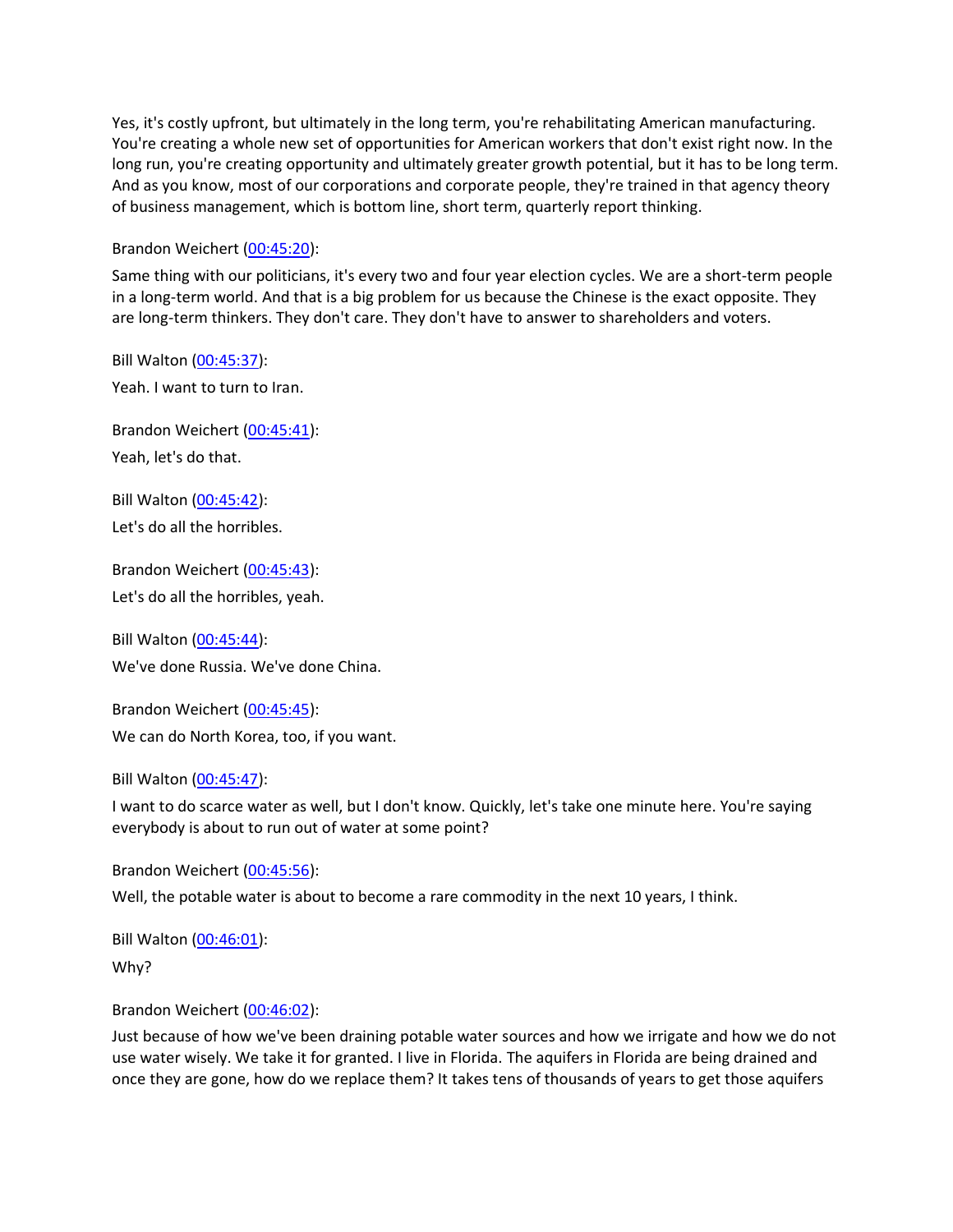Yes, it's costly upfront, but ultimately in the long term, you're rehabilitating American manufacturing. You're creating a whole new set of opportunities for American workers that don't exist right now. In the long run, you're creating opportunity and ultimately greater growth potential, but it has to be long term. And as you know, most of our corporations and corporate people, they're trained in that agency theory of business management, which is bottom line, short term, quarterly report thinking.

## Brandon Weichert [\(00:45:20\)](https://www.rev.com/transcript-editor/Edit?token=0FKtup2FTHEKueX_ldOcS2zcD6oSXOCc-loKn4C-6hB-y15Zd2b9h-_Yq8cOyDwo7J2r3DhcwAedqyStE2JvUzRxsYQ&loadFrom=DocumentDeeplink&ts=2720.73):

Same thing with our politicians, it's every two and four year election cycles. We are a short-term people in a long-term world. And that is a big problem for us because the Chinese is the exact opposite. They are long-term thinkers. They don't care. They don't have to answer to shareholders and voters.

Bill Walton [\(00:45:37\)](https://www.rev.com/transcript-editor/Edit?token=UaGxThiuX-7Me78COBRAkGyanohvIMFrJwrRuMYRy4CjPmY9Ld1VtXCyBSYONiPvMrEw-k2iEdl_X2T_tDK_m7gVTL8&loadFrom=DocumentDeeplink&ts=2737.3): Yeah. I want to turn to Iran.

Brandon Weichert [\(00:45:41\)](https://www.rev.com/transcript-editor/Edit?token=z-pMrotQ1V9xQtLK58JNob1TZdMCcPUWQ_ZiGUlKkX3NyXkHXj3c4H9NY0bzMKQquJMsEC6sdz2UAHlvIkWg9J0eYQ4&loadFrom=DocumentDeeplink&ts=2741.41): Yeah, let's do that.

Bill Walton [\(00:45:42\)](https://www.rev.com/transcript-editor/Edit?token=yjzxE6O9-L9pCihX0084JelpcWIu1ZiOr83zxBKCHaixcT14i80cW2NCoko8DDkMvRG4L_WDHmzrOeCkWbizZPKOlAQ&loadFrom=DocumentDeeplink&ts=2742.42): Let's do all the horribles.

Brandon Weichert [\(00:45:43\)](https://www.rev.com/transcript-editor/Edit?token=VIKHYmTrvE35fJBHemXRuXa9VC2qTuS4WQV8QS-iXW4QCmLHWZuNvj2V21RGqVE4V0wqLPJ9ASFxcfr2j7_CL06vm14&loadFrom=DocumentDeeplink&ts=2743.2): Let's do all the horribles, yeah.

Bill Walton [\(00:45:44\)](https://www.rev.com/transcript-editor/Edit?token=VidQGEdKkYuacZ8PRRJFgfe-T_Jr-v2sPI-5n0BSaCKdRPgkmARhkyuVjDu52hNdCD0Ekjt0p1kwlOPfSqLSOc3VOg8&loadFrom=DocumentDeeplink&ts=2744.48): We've done Russia. We've done China.

Brandon Weichert [\(00:45:45\)](https://www.rev.com/transcript-editor/Edit?token=iiqheCWifA08jCS6n4OvWCI6LL2d2A7J3Lv-24RkX9sHnfDNBIZkHfWTCYBgr0uOxdP3qWYrIA7WreZ8KofT9wtUgXE&loadFrom=DocumentDeeplink&ts=2745.73): We can do North Korea, too, if you want.

#### Bill Walton [\(00:45:47\)](https://www.rev.com/transcript-editor/Edit?token=Tlb9UrZUCppyL44_Db5AhVAw94RILIwh64p4dVIY-UqDsDByuY9pkd9KCkXpt1i3YB4jW5j0DVWtK7_VRNYC--ZdwME&loadFrom=DocumentDeeplink&ts=2747.27):

I want to do scarce water as well, but I don't know. Quickly, let's take one minute here. You're saying everybody is about to run out of water at some point?

Brandon Weichert [\(00:45:56\)](https://www.rev.com/transcript-editor/Edit?token=jUwwK6dlsa0KstZRgk5VTdCrMx05U5p_O1uh2lS4bjU0-mfucf7ramtCc1zJEzyCB6zE--AlLDR3jZE_iOALBamPukw&loadFrom=DocumentDeeplink&ts=2756.76): Well, the potable water is about to become a rare commodity in the next 10 years, I think.

Bill Walton [\(00:46:01\)](https://www.rev.com/transcript-editor/Edit?token=CRV4WuSzuX-xC3Cbqc-mrym5_CK3gZcU9dtr5b9zIUSLww1C4y1DkMMAtKIWdHFgXTEK0TQqK8G9sh5CXnSJrFUMWJQ&loadFrom=DocumentDeeplink&ts=2761.39): Why?

Brandon Weichert [\(00:46:02\)](https://www.rev.com/transcript-editor/Edit?token=9twZXx-qWfBAykG8-oF1a-ncALQeVYmWqHuy2Fqp6dzT9QuWinUKc4HSSAfxQjfhmf40I6g-2R9JIjgNMgmV86DLC-4&loadFrom=DocumentDeeplink&ts=2762.56):

Just because of how we've been draining potable water sources and how we irrigate and how we do not use water wisely. We take it for granted. I live in Florida. The aquifers in Florida are being drained and once they are gone, how do we replace them? It takes tens of thousands of years to get those aquifers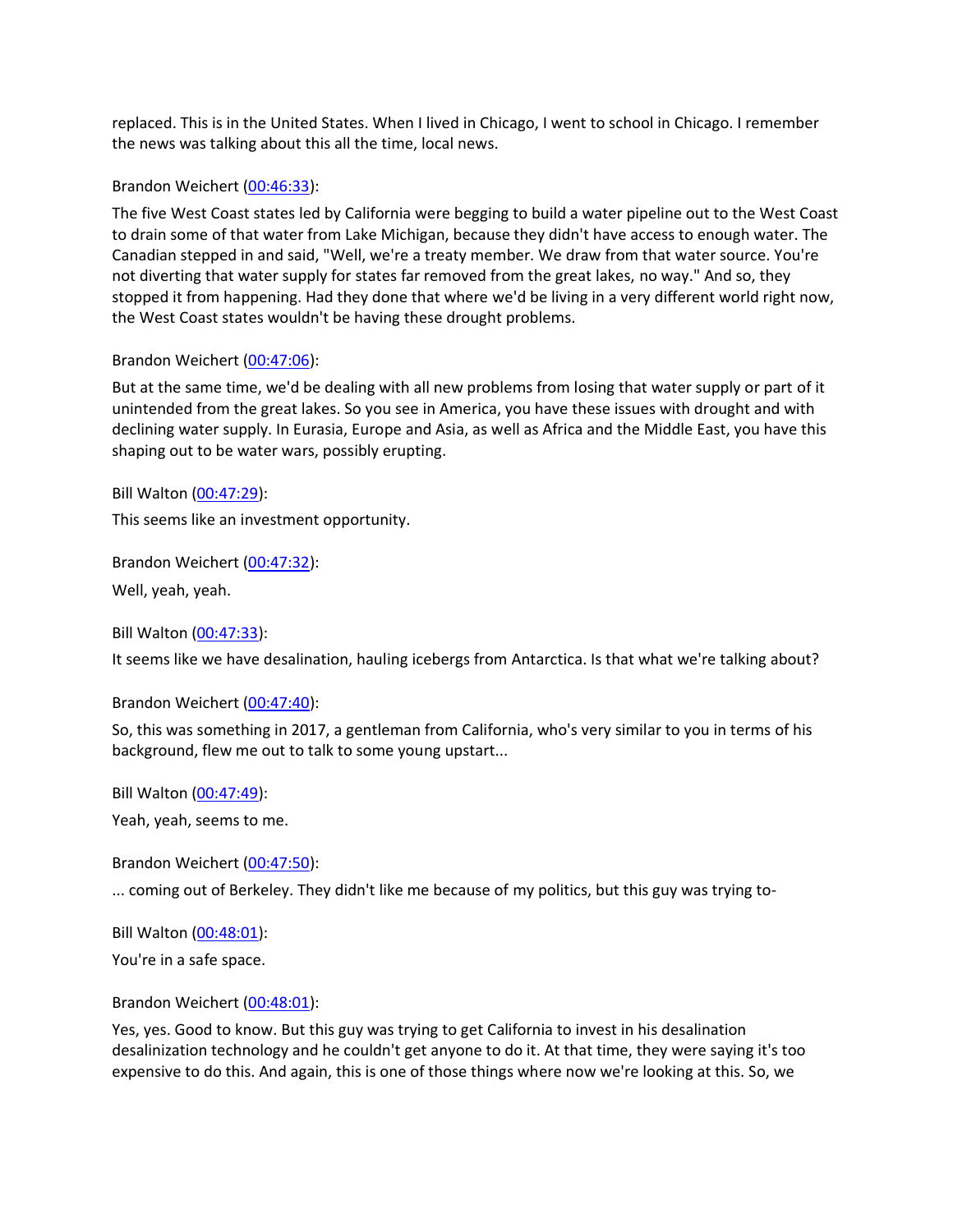replaced. This is in the United States. When I lived in Chicago, I went to school in Chicago. I remember the news was talking about this all the time, local news.

## Brandon Weichert [\(00:46:33\)](https://www.rev.com/transcript-editor/Edit?token=qqTBmf8alMfiTjngGDRCzsTSLDZgAyYUHNwNa_vzv4t3KoWQUTaupFWgWc5lEZ9tiRGM60T0bprY6Y2TQ8tFQ7Jtsv4&loadFrom=DocumentDeeplink&ts=2793.28):

The five West Coast states led by California were begging to build a water pipeline out to the West Coast to drain some of that water from Lake Michigan, because they didn't have access to enough water. The Canadian stepped in and said, "Well, we're a treaty member. We draw from that water source. You're not diverting that water supply for states far removed from the great lakes, no way." And so, they stopped it from happening. Had they done that where we'd be living in a very different world right now, the West Coast states wouldn't be having these drought problems.

## Brandon Weichert [\(00:47:06\)](https://www.rev.com/transcript-editor/Edit?token=ciRPwkKLWBKBy2ij4UcvgHhazEHM7riRDwQKk1bPz-09O9zAaG1VPXztJXcVaSaBf-Sgakm-nNrRfpgBJRcRCH-SLIM&loadFrom=DocumentDeeplink&ts=2826.93):

But at the same time, we'd be dealing with all new problems from losing that water supply or part of it unintended from the great lakes. So you see in America, you have these issues with drought and with declining water supply. In Eurasia, Europe and Asia, as well as Africa and the Middle East, you have this shaping out to be water wars, possibly erupting.

Bill Walton [\(00:47:29\)](https://www.rev.com/transcript-editor/Edit?token=NXto7Zl6VQCywFa35wGJYWmst_gGTaKwNCs2dEi8AJ8-cPd9AgUFNhEw2FxweJRXXfd2kImv0l05j4IVIPKAjvyLEJc&loadFrom=DocumentDeeplink&ts=2849.72):

This seems like an investment opportunity.

Brandon Weichert [\(00:47:32\)](https://www.rev.com/transcript-editor/Edit?token=MTj9gQSEYhSvN7r0BybO_T-eB2nyTxNBW6-uffGL_6aOUwN8ZQMr2nbhnMmawU5RcyMb4p53wsTfAafM2mp_6oVcxp8&loadFrom=DocumentDeeplink&ts=2852.07): Well, yeah, yeah.

Bill Walton [\(00:47:33\)](https://www.rev.com/transcript-editor/Edit?token=5fKnYHcIec-KEyLPwFs8qJ0kQXSVt4W51M92fSnUUrPTRi4632H1oVQnWQiDmhmdZgcC_Gny_69m7reNCSG7HdguRng&loadFrom=DocumentDeeplink&ts=2853.67):

It seems like we have desalination, hauling icebergs from Antarctica. Is that what we're talking about?

Brandon Weichert [\(00:47:40\)](https://www.rev.com/transcript-editor/Edit?token=CVMUxTbsx0OcpTmivT1GuKGLHDA3VKmAgw1p_nqZg0WMRLtPUksEJX0w4sNJhQ3rOLcBou4b2t0nUGHXaGKzJ2faqbU&loadFrom=DocumentDeeplink&ts=2860.46):

So, this was something in 2017, a gentleman from California, who's very similar to you in terms of his background, flew me out to talk to some young upstart...

Bill Walton [\(00:47:49\)](https://www.rev.com/transcript-editor/Edit?token=RZicGCUX8tium_5ItnuKhMeHzW_HmqNIldHVYm8k21KrOdW1i07Yu0NwRR-pmyzyMsZsdw3NVjLs-50uPNIBJd0r6No&loadFrom=DocumentDeeplink&ts=2869.99):

Yeah, yeah, seems to me.

Brandon Weichert [\(00:47:50\)](https://www.rev.com/transcript-editor/Edit?token=PVHqf5P2KM-2PO-hueEv_e1DZ7GMkWLHxg98coaLRzpVMDc9fUhDfEhtonAwGbHMQwg47dhD7ArWnyv_itPsXeRFdUg&loadFrom=DocumentDeeplink&ts=2870.46):

... coming out of Berkeley. They didn't like me because of my politics, but this guy was trying to-

Bill Walton [\(00:48:01\)](https://www.rev.com/transcript-editor/Edit?token=PoBLy3bTjoXbENkE7kPnbMo2agC3rsaykg7E_9f2nQSC4BkTWcy44_Hsjcg5HbWTbCO_0eJ-yQUg6fAFF9MJPdGsL54&loadFrom=DocumentDeeplink&ts=2881.45):

You're in a safe space.

Brandon Weichert [\(00:48:01\)](https://www.rev.com/transcript-editor/Edit?token=cCTXpz8EW53AYKoR1hF4emkpcIA2he_OS8N2-xn8TzpNXMEMzbkoMBwQnCelzJRzARCUSBH2kIIAIF_PzQwpou0uTME&loadFrom=DocumentDeeplink&ts=2881.45):

Yes, yes. Good to know. But this guy was trying to get California to invest in his desalination desalinization technology and he couldn't get anyone to do it. At that time, they were saying it's too expensive to do this. And again, this is one of those things where now we're looking at this. So, we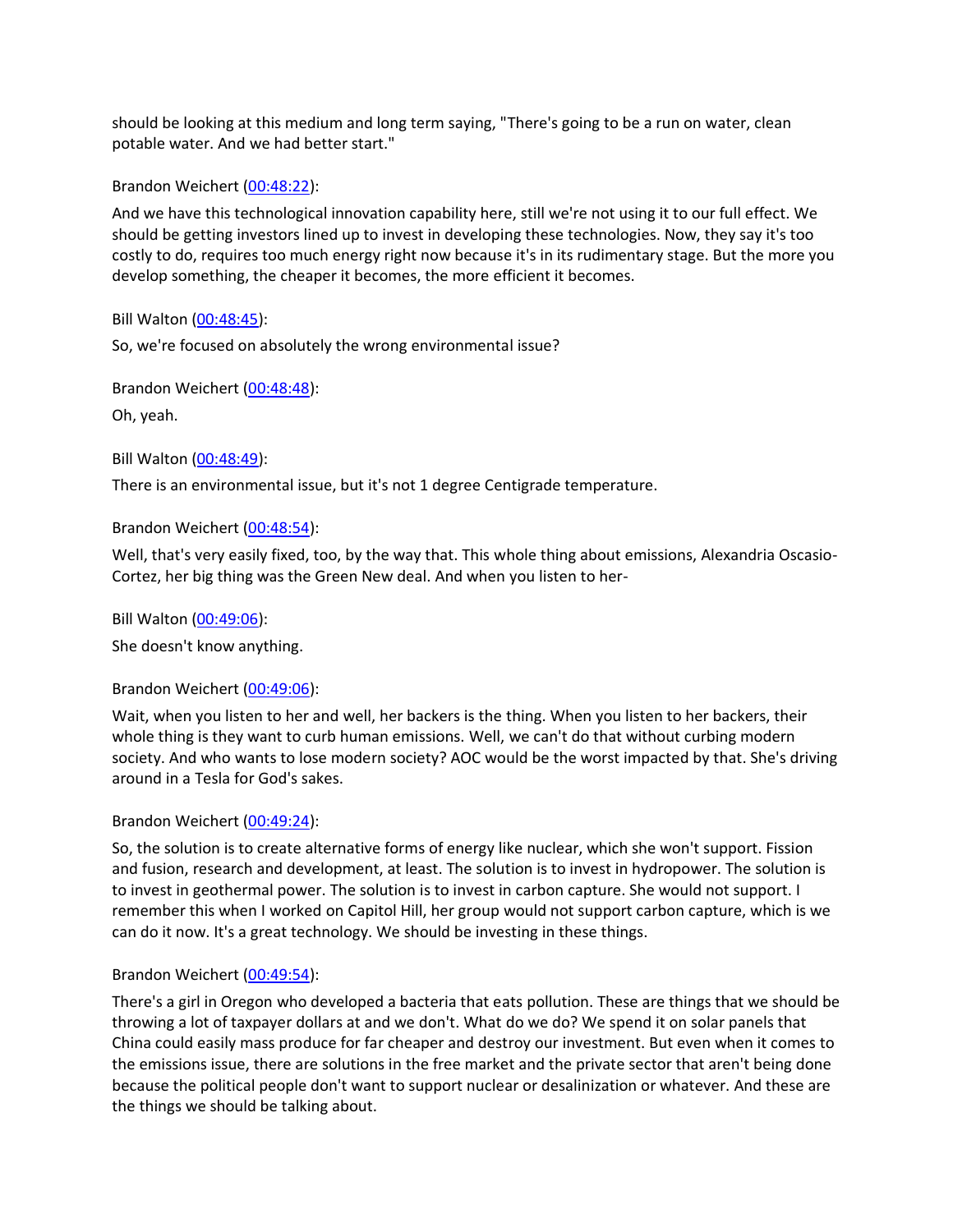should be looking at this medium and long term saying, "There's going to be a run on water, clean potable water. And we had better start."

Brandon Weichert [\(00:48:22\)](https://www.rev.com/transcript-editor/Edit?token=dkZD-H-zjwTgshtw2jAh-W7m9u-KlzRoOyW4vGUJF7Lrws6eEv9YAbgpfxW0zHz2Uu8R3Hunh_fFdA0ebqnA6_K3cSE&loadFrom=DocumentDeeplink&ts=2902.86):

And we have this technological innovation capability here, still we're not using it to our full effect. We should be getting investors lined up to invest in developing these technologies. Now, they say it's too costly to do, requires too much energy right now because it's in its rudimentary stage. But the more you develop something, the cheaper it becomes, the more efficient it becomes.

Bill Walton [\(00:48:45\)](https://www.rev.com/transcript-editor/Edit?token=xLm7RAsZFe2RvZlei3Ieg1-RXUFWtrMI3PbSmcTkgznpqhE9XtDJb91ZSpSdPVhyH3rY9QBE-Bnd0uF3byuKMCcUDto&loadFrom=DocumentDeeplink&ts=2925):

So, we're focused on absolutely the wrong environmental issue?

Brandon Weichert [\(00:48:48\)](https://www.rev.com/transcript-editor/Edit?token=PspA8QUe5AJRhzxdwjIXdzfWATyh4V70gWta7ueTS3KaxoJo9uAKBv0-INNcm3KcTuoPhbOz4tqcCcEgGpC6Psh_cAA&loadFrom=DocumentDeeplink&ts=2928.51):

Oh, yeah.

Bill Walton [\(00:48:49\)](https://www.rev.com/transcript-editor/Edit?token=EtiDEGN8uFJzhcQn6jFGnGGWtQtG5JhdNpyXDcuo-CGis2Apux2u_v8TXgKK6eLGdD8SEAWw5SmpJr3OzPWH4pEu0d8&loadFrom=DocumentDeeplink&ts=2929.3):

There is an environmental issue, but it's not 1 degree Centigrade temperature.

Brandon Weichert [\(00:48:54\)](https://www.rev.com/transcript-editor/Edit?token=CBhchfjDsFAZxKnbJ3RunzIIRLohuygIqWt6gqQ4RxlZruhRLQmkLwoHA0NtjByIhmgXC9ysQqoqvn77lIiuwYY1kAo&loadFrom=DocumentDeeplink&ts=2934.86):

Well, that's very easily fixed, too, by the way that. This whole thing about emissions, Alexandria Oscasio-Cortez, her big thing was the Green New deal. And when you listen to her-

Bill Walton [\(00:49:06\)](https://www.rev.com/transcript-editor/Edit?token=Fhrzg3VGCB9Vua2gOA79KeDcmDHUNFb_m6Ra43RorflsP_kDm53r-L1FQNd2Jy9oBHgMme7ZVtmGi_6cslmrchHhZ3g&loadFrom=DocumentDeeplink&ts=2946.15):

She doesn't know anything.

# Brandon Weichert [\(00:49:06\)](https://www.rev.com/transcript-editor/Edit?token=Mr4EHGHeULipVFU3jG9C0sDqUT8s2MM9Cm9FXxIy8InChpLVL_61ROJR2rmJelt6Jr4Hm1B3hxdiICD8BG52gmr0QmM&loadFrom=DocumentDeeplink&ts=2946.17):

Wait, when you listen to her and well, her backers is the thing. When you listen to her backers, their whole thing is they want to curb human emissions. Well, we can't do that without curbing modern society. And who wants to lose modern society? AOC would be the worst impacted by that. She's driving around in a Tesla for God's sakes.

# Brandon Weichert [\(00:49:24\)](https://www.rev.com/transcript-editor/Edit?token=4222BULSZrYQese_CbCVyj6IOpIZ6b70mrQYrOseWLZ1H6Tl2ZB5bYqh27SGxYJg3eggYLoz8AyqEgjNg0pxQpNd6Yk&loadFrom=DocumentDeeplink&ts=2964.21):

So, the solution is to create alternative forms of energy like nuclear, which she won't support. Fission and fusion, research and development, at least. The solution is to invest in hydropower. The solution is to invest in geothermal power. The solution is to invest in carbon capture. She would not support. I remember this when I worked on Capitol Hill, her group would not support carbon capture, which is we can do it now. It's a great technology. We should be investing in these things.

# Brandon Weichert [\(00:49:54\)](https://www.rev.com/transcript-editor/Edit?token=g6sEU8s8jEghUPfwAii2F0lHV-M-DT5Zdi0NIjQXUl3x18-8B-8qV7A5te3Y-rfoHaG7yWir8FgKJVvoNaWHgs_G9Wc&loadFrom=DocumentDeeplink&ts=2994.44):

There's a girl in Oregon who developed a bacteria that eats pollution. These are things that we should be throwing a lot of taxpayer dollars at and we don't. What do we do? We spend it on solar panels that China could easily mass produce for far cheaper and destroy our investment. But even when it comes to the emissions issue, there are solutions in the free market and the private sector that aren't being done because the political people don't want to support nuclear or desalinization or whatever. And these are the things we should be talking about.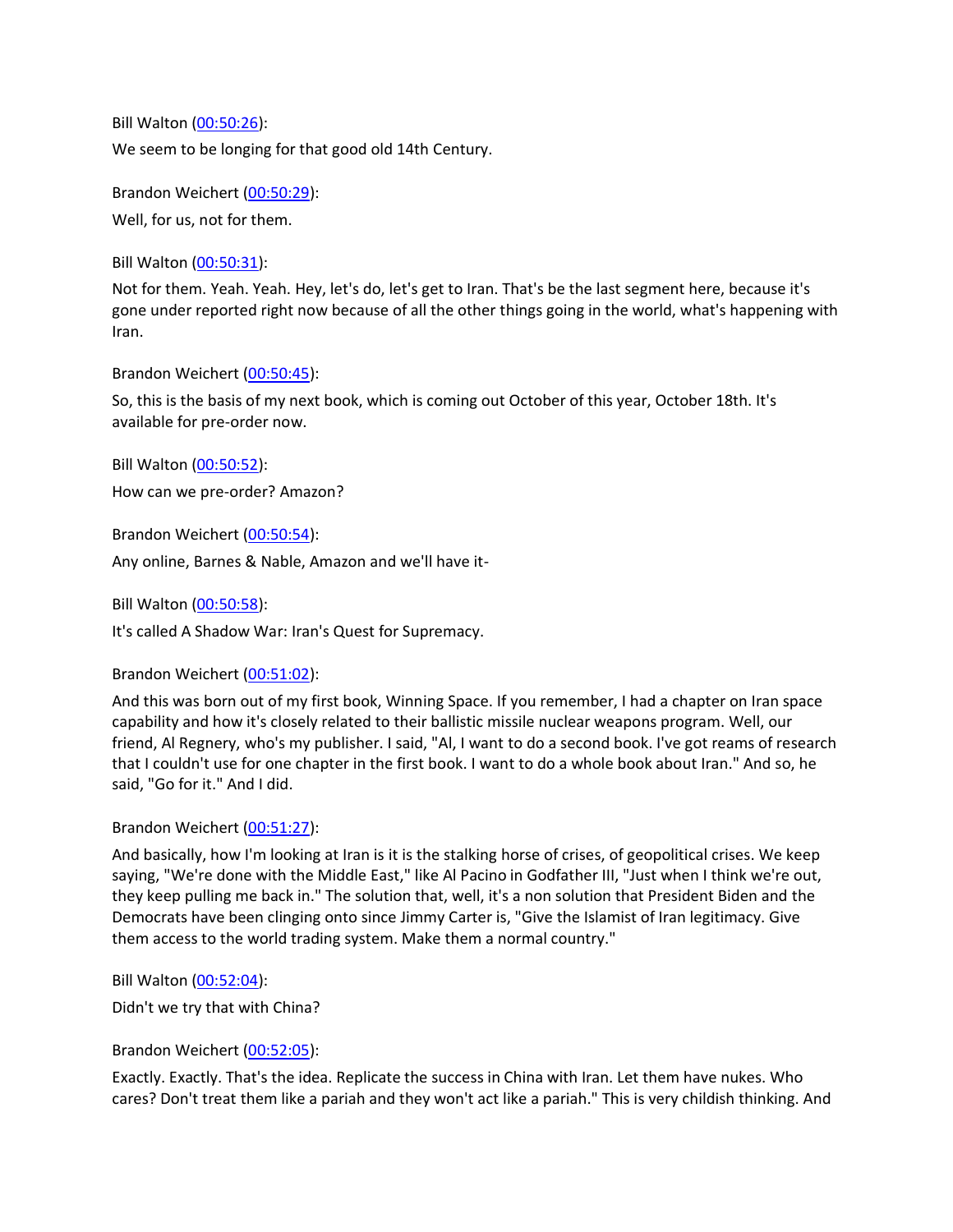Bill Walton [\(00:50:26\)](https://www.rev.com/transcript-editor/Edit?token=wWqqbXmMYMZ7aJ3YhJlUmblOChsDGAE9Dej1JRpaddyXvsUbTIvX048BlZTj8cM49VKspcALjqBkqU4VuCM5eT1WyT0&loadFrom=DocumentDeeplink&ts=3026.15): We seem to be longing for that good old 14th Century.

Brandon Weichert [\(00:50:29\)](https://www.rev.com/transcript-editor/Edit?token=mgy2r2o9snUJNjC8FYYdD8Dd4m110wNh9uyvmP5PkMLR-nlC_2XUKXlJ_ky_jCNRPeLTC4i6bOYsa7MKaeAggF_VD3g&loadFrom=DocumentDeeplink&ts=3029.76):

Well, for us, not for them.

Bill Walton [\(00:50:31\)](https://www.rev.com/transcript-editor/Edit?token=z-EP8_tfokB6l0JaqMHR38vARqhTGm3kwlgbA6yFdgpmkexz20qPsCiiuq-zvNuVeQcwa8IzpuFXw6FRx3TRGWKzjHs&loadFrom=DocumentDeeplink&ts=3031.75):

Not for them. Yeah. Yeah. Hey, let's do, let's get to Iran. That's be the last segment here, because it's gone under reported right now because of all the other things going in the world, what's happening with Iran.

Brandon Weichert [\(00:50:45\)](https://www.rev.com/transcript-editor/Edit?token=XddnuFkJotmT5PrmpObCW_7-L8yfhF2nCkYFYsu7xBiD6Z1praQlRyndIl-8gb5-SnUOzlyELfw3FrOAVejZOzFuIOA&loadFrom=DocumentDeeplink&ts=3045.29):

So, this is the basis of my next book, which is coming out October of this year, October 18th. It's available for pre-order now.

Bill Walton [\(00:50:52\)](https://www.rev.com/transcript-editor/Edit?token=4wySieNh-338oCzjo7zDa_ExA1BXJaV4N82rLfr5yw3fJVZqYm83UegwcK0QWMDWbM6tLbVdBXWklaMq8-JapFtwuPU&loadFrom=DocumentDeeplink&ts=3052.44): How can we pre-order? Amazon?

Brandon Weichert [\(00:50:54\)](https://www.rev.com/transcript-editor/Edit?token=SS2TEbpO7bAxjQX9jC-nK-iDV9OLfZpQiSxjIUV1uZqY_KN7gEnz-dmYF_KRDEtp3LptM-VftHH4_mPmdfqUvtR6zGQ&loadFrom=DocumentDeeplink&ts=3054.75): Any online, Barnes & Nable, Amazon and we'll have it-

Bill Walton [\(00:50:58\)](https://www.rev.com/transcript-editor/Edit?token=NIH8nxLVG_O4sNBvRUTgg1Pz5zidfptU-7b9Qj1HFXDs7bDdxOUV9jqFF_SBAZ6fF4R4pWEjjIRtP2tFdzO7pv8jrp4&loadFrom=DocumentDeeplink&ts=3058.71):

It's called A Shadow War: Iran's Quest for Supremacy.

Brandon Weichert [\(00:51:02\)](https://www.rev.com/transcript-editor/Edit?token=aIVKfAyMta8_lp-eEyd-PvlLZqkZSM8Xpr18vrJ2UK59wtWJt6iKd8ha6Z5S86Z7g0swoYsu9cXwco7vZwEgF9Xijf0&loadFrom=DocumentDeeplink&ts=3062.05):

And this was born out of my first book, Winning Space. If you remember, I had a chapter on Iran space capability and how it's closely related to their ballistic missile nuclear weapons program. Well, our friend, Al Regnery, who's my publisher. I said, "Al, I want to do a second book. I've got reams of research that I couldn't use for one chapter in the first book. I want to do a whole book about Iran." And so, he said, "Go for it." And I did.

# Brandon Weichert [\(00:51:27\)](https://www.rev.com/transcript-editor/Edit?token=VkeMxGcpSvIyH5tnHFtd_7yOD0oNfw5tfQttJ5YNgQYIaznJzSSpymV7SllsgX-R5xLbTWrkYJjBb1DqPkKNVci90po&loadFrom=DocumentDeeplink&ts=3087.33):

And basically, how I'm looking at Iran is it is the stalking horse of crises, of geopolitical crises. We keep saying, "We're done with the Middle East," like Al Pacino in Godfather III, "Just when I think we're out, they keep pulling me back in." The solution that, well, it's a non solution that President Biden and the Democrats have been clinging onto since Jimmy Carter is, "Give the Islamist of Iran legitimacy. Give them access to the world trading system. Make them a normal country."

Bill Walton [\(00:52:04\)](https://www.rev.com/transcript-editor/Edit?token=ZA7ZGB6nt-MCGZU28Vl2nr5LiTPDvb89qcf0QfkSx1ksxGK2s0YwdIi5qEd_3-IsQc1-8egftmu4_aGT1Pe7JTsF_bA&loadFrom=DocumentDeeplink&ts=3124.46):

Didn't we try that with China?

Brandon Weichert [\(00:52:05\)](https://www.rev.com/transcript-editor/Edit?token=LYRcNoKW6GL6SxABUwbvW9j7n15dpBA-3wZgofrbKY_ozKPxkgE9UR079-1z3s3n_-OQTkKKGvMrq21cx5LIJ8ZO0LA&loadFrom=DocumentDeeplink&ts=3125.86):

Exactly. Exactly. That's the idea. Replicate the success in China with Iran. Let them have nukes. Who cares? Don't treat them like a pariah and they won't act like a pariah." This is very childish thinking. And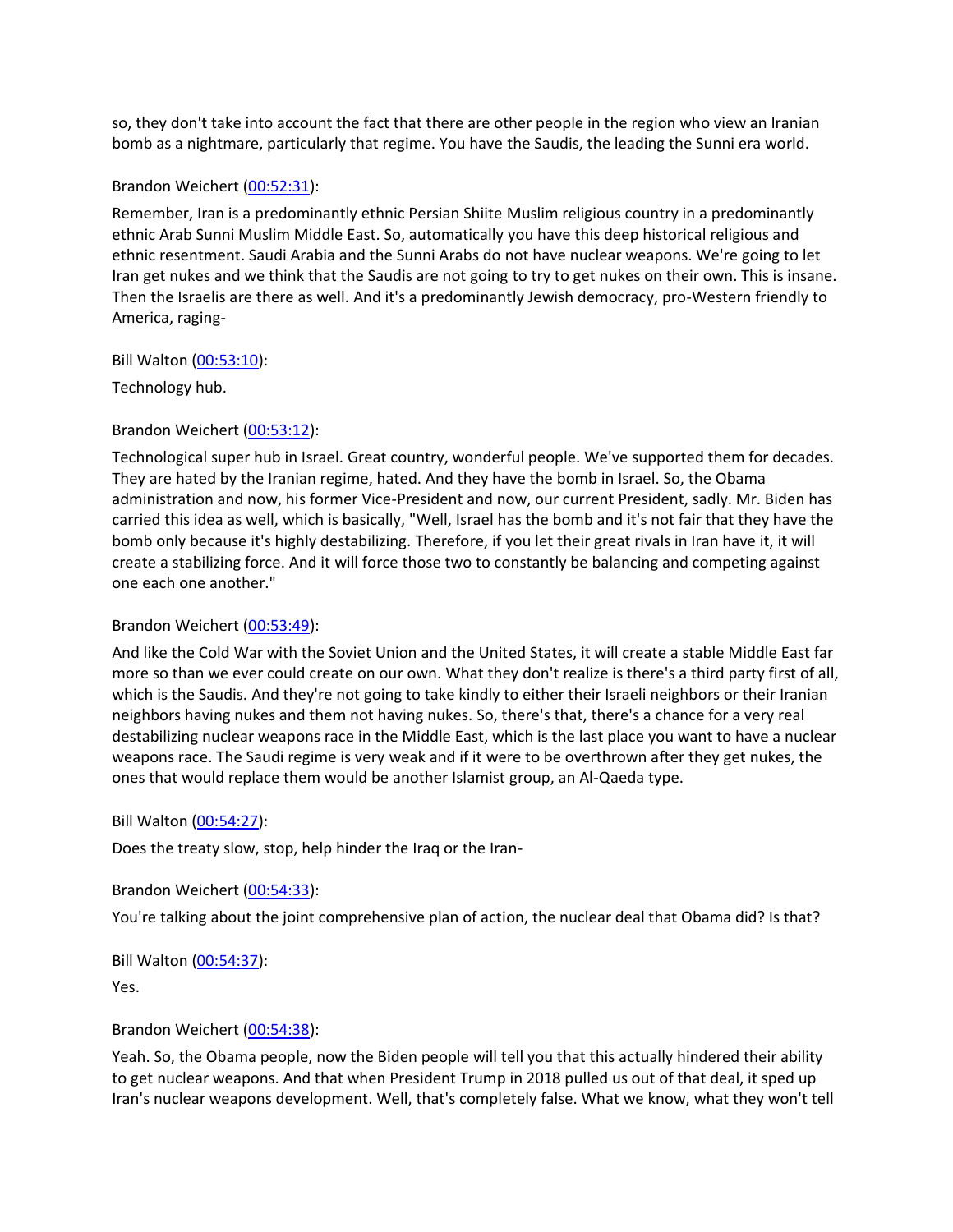so, they don't take into account the fact that there are other people in the region who view an Iranian bomb as a nightmare, particularly that regime. You have the Saudis, the leading the Sunni era world.

#### Brandon Weichert [\(00:52:31\)](https://www.rev.com/transcript-editor/Edit?token=iXU26EO4to9sxhtFV-1szEUEodFCBF9FIHOY4QW9TTF9VLPrR2LvASbq7lfU7E2zaZye3HDigbOj0YBjUAjhjBOhh1s&loadFrom=DocumentDeeplink&ts=3151.47):

Remember, Iran is a predominantly ethnic Persian Shiite Muslim religious country in a predominantly ethnic Arab Sunni Muslim Middle East. So, automatically you have this deep historical religious and ethnic resentment. Saudi Arabia and the Sunni Arabs do not have nuclear weapons. We're going to let Iran get nukes and we think that the Saudis are not going to try to get nukes on their own. This is insane. Then the Israelis are there as well. And it's a predominantly Jewish democracy, pro-Western friendly to America, raging-

#### Bill Walton [\(00:53:10\)](https://www.rev.com/transcript-editor/Edit?token=Q5hgADUMSj-oRivpTiPExFMwsqEMZzRjHT43gtiKX0PxJ1d4TBs3zu6gnDMOxnOj6xE2yuOYyfFNU6AATehV1_uOi2Y&loadFrom=DocumentDeeplink&ts=3190):

Technology hub.

#### Brandon Weichert [\(00:53:12\)](https://www.rev.com/transcript-editor/Edit?token=O-_2KsX5Rs2Zn2798XJp0q10IRJv_p0M7tRDfm9Ds9D4YcPf745fHzz_7YaKsAktaau1rSc5O6LuploVpqIYTJ37eG4&loadFrom=DocumentDeeplink&ts=3192.46):

Technological super hub in Israel. Great country, wonderful people. We've supported them for decades. They are hated by the Iranian regime, hated. And they have the bomb in Israel. So, the Obama administration and now, his former Vice-President and now, our current President, sadly. Mr. Biden has carried this idea as well, which is basically, "Well, Israel has the bomb and it's not fair that they have the bomb only because it's highly destabilizing. Therefore, if you let their great rivals in Iran have it, it will create a stabilizing force. And it will force those two to constantly be balancing and competing against one each one another."

#### Brandon Weichert [\(00:53:49\)](https://www.rev.com/transcript-editor/Edit?token=8AjwKCSGW_US-mYPdgoyGmP70Cw0hzfGSlcgb1IPwfVqGH7lzcvXfGSRYHhHypohA9vFsjIcuW14bZfTrtMedBFyWko&loadFrom=DocumentDeeplink&ts=3229.81):

And like the Cold War with the Soviet Union and the United States, it will create a stable Middle East far more so than we ever could create on our own. What they don't realize is there's a third party first of all, which is the Saudis. And they're not going to take kindly to either their Israeli neighbors or their Iranian neighbors having nukes and them not having nukes. So, there's that, there's a chance for a very real destabilizing nuclear weapons race in the Middle East, which is the last place you want to have a nuclear weapons race. The Saudi regime is very weak and if it were to be overthrown after they get nukes, the ones that would replace them would be another Islamist group, an Al-Qaeda type.

#### Bill Walton [\(00:54:27\)](https://www.rev.com/transcript-editor/Edit?token=_Or0blX3213_-nmOBItwqU-GGePg1xMkRtQaxNvqCYwtsCv0XM_mhqDUVQCEV9RHyS3U10xCeDLZMqE-xrQji0pkYK0&loadFrom=DocumentDeeplink&ts=3267.75):

Does the treaty slow, stop, help hinder the Iraq or the Iran-

Brandon Weichert [\(00:54:33\)](https://www.rev.com/transcript-editor/Edit?token=ta84hDfh67o1jDqfyHfTPwTqDN_unfoWKbsb7NI7FwqY8HVnU-XlxPyxqouM5Tcd2c3K0Rc6OnDWhsSn8KPomyoJNU8&loadFrom=DocumentDeeplink&ts=3273.71):

You're talking about the joint comprehensive plan of action, the nuclear deal that Obama did? Is that?

Bill Walton [\(00:54:37\)](https://www.rev.com/transcript-editor/Edit?token=qCU02EKP2ri8YRJgyly_HgKWoLcfINgi9nHLwR-3gAZKljZ6xAeY1oEaX70fJOa5_9LfmSOL82m0rW7AZTOayn9cTtg&loadFrom=DocumentDeeplink&ts=3277.84):

Yes.

#### Brandon Weichert [\(00:54:38\)](https://www.rev.com/transcript-editor/Edit?token=1gyQOevHHsIKsfJ_ir9PtpPVcJi_CjGKvSIkD_Sa186NUxvXxC-MM4bRDLthcmQ2Klfwvd6fg7iQ0v5xP-iQn7BQbZ8&loadFrom=DocumentDeeplink&ts=3278.42):

Yeah. So, the Obama people, now the Biden people will tell you that this actually hindered their ability to get nuclear weapons. And that when President Trump in 2018 pulled us out of that deal, it sped up Iran's nuclear weapons development. Well, that's completely false. What we know, what they won't tell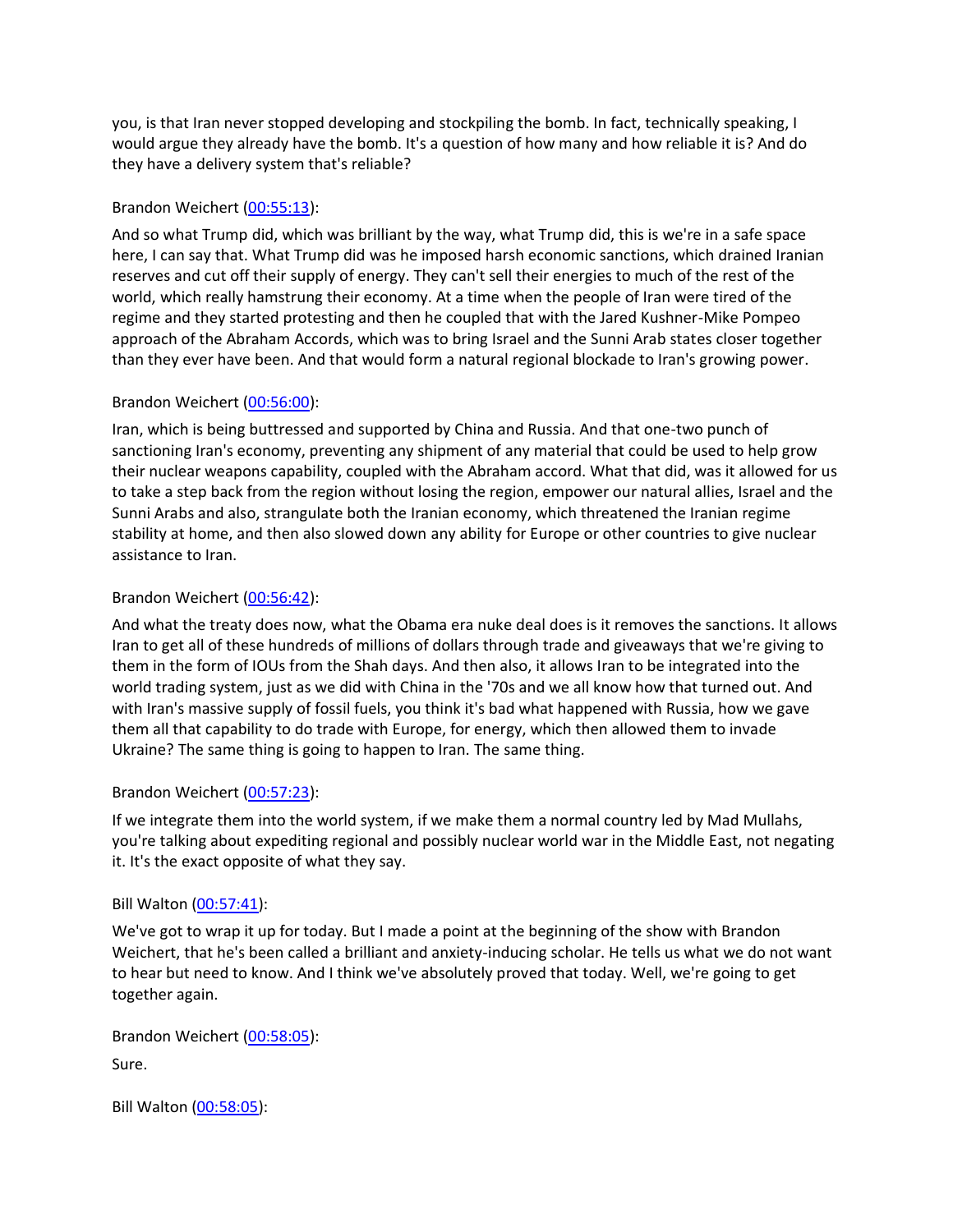you, is that Iran never stopped developing and stockpiling the bomb. In fact, technically speaking, I would argue they already have the bomb. It's a question of how many and how reliable it is? And do they have a delivery system that's reliable?

# Brandon Weichert [\(00:55:13\)](https://www.rev.com/transcript-editor/Edit?token=dnB0q5ndxnW5h5w5ZJapVZPI95QN9-HfNCB9cPenEHv6bkhhXVHjM6rSLKsTh21nZLvEyyDyQrO1eKmiwwh4GE07Zd4&loadFrom=DocumentDeeplink&ts=3313.8):

And so what Trump did, which was brilliant by the way, what Trump did, this is we're in a safe space here, I can say that. What Trump did was he imposed harsh economic sanctions, which drained Iranian reserves and cut off their supply of energy. They can't sell their energies to much of the rest of the world, which really hamstrung their economy. At a time when the people of Iran were tired of the regime and they started protesting and then he coupled that with the Jared Kushner-Mike Pompeo approach of the Abraham Accords, which was to bring Israel and the Sunni Arab states closer together than they ever have been. And that would form a natural regional blockade to Iran's growing power.

# Brandon Weichert [\(00:56:00\)](https://www.rev.com/transcript-editor/Edit?token=WOM5ri3Bri_uw9LL_ApwJKuMB_6H6xaea6esmFJuJwMtbvccjNCnsaYfwzVYgwNOtXFiym24fM0VqXx6MivKCTvGF1Q&loadFrom=DocumentDeeplink&ts=3360.34):

Iran, which is being buttressed and supported by China and Russia. And that one-two punch of sanctioning Iran's economy, preventing any shipment of any material that could be used to help grow their nuclear weapons capability, coupled with the Abraham accord. What that did, was it allowed for us to take a step back from the region without losing the region, empower our natural allies, Israel and the Sunni Arabs and also, strangulate both the Iranian economy, which threatened the Iranian regime stability at home, and then also slowed down any ability for Europe or other countries to give nuclear assistance to Iran.

# Brandon Weichert [\(00:56:42\)](https://www.rev.com/transcript-editor/Edit?token=38q6IBWLgtSoMbX0L5V91h3sj5Hj4rznZW-dxjc4BV7sp7LMmQBfV0tMDPV_xLwKY0tFAuuMUpX2TnrkRq8n7n6jDaQ&loadFrom=DocumentDeeplink&ts=3402.17):

And what the treaty does now, what the Obama era nuke deal does is it removes the sanctions. It allows Iran to get all of these hundreds of millions of dollars through trade and giveaways that we're giving to them in the form of IOUs from the Shah days. And then also, it allows Iran to be integrated into the world trading system, just as we did with China in the '70s and we all know how that turned out. And with Iran's massive supply of fossil fuels, you think it's bad what happened with Russia, how we gave them all that capability to do trade with Europe, for energy, which then allowed them to invade Ukraine? The same thing is going to happen to Iran. The same thing.

# Brandon Weichert [\(00:57:23\)](https://www.rev.com/transcript-editor/Edit?token=5XyV_Xjjo4Du4-dy9vdE55CO0ifMBmaPxAUFx3NDjUVW5QR0uxTdupTytIu_-iW-LFyCIjo0tJs4eEzKWpsNkuVLOYs&loadFrom=DocumentDeeplink&ts=3443.53):

If we integrate them into the world system, if we make them a normal country led by Mad Mullahs, you're talking about expediting regional and possibly nuclear world war in the Middle East, not negating it. It's the exact opposite of what they say.

# Bill Walton [\(00:57:41\)](https://www.rev.com/transcript-editor/Edit?token=fw7wlOWkpjTlG5aYYCWk-yXH8CZL8HxrZG7TrDjAJkZC1KBXcgARSsCsDcy1OSgQLMYqCr4leGH0yEPL1_8Yl1P7PGk&loadFrom=DocumentDeeplink&ts=3461.32):

We've got to wrap it up for today. But I made a point at the beginning of the show with Brandon Weichert, that he's been called a brilliant and anxiety-inducing scholar. He tells us what we do not want to hear but need to know. And I think we've absolutely proved that today. Well, we're going to get together again.

Brandon Weichert [\(00:58:05\)](https://www.rev.com/transcript-editor/Edit?token=gGc95PP7BjN30-edFYKSnTrT1b5sC6KDabpAmRJwc3iHgi-GuIvj4MfqAkpP-NttixtIdOcJzaa6r-TI7AkhzXZBcfQ&loadFrom=DocumentDeeplink&ts=3485.13): Sure.

Bill Walton [\(00:58:05\)](https://www.rev.com/transcript-editor/Edit?token=q7XwJFW2nptrkEWqZrVYD--sWkB9UhcIcckvBiF8RvWo742SwBGjTS2AA2SJS3tJXGJRI_cXYlSOFbjnI0EnlFT4Tac&loadFrom=DocumentDeeplink&ts=3485.13):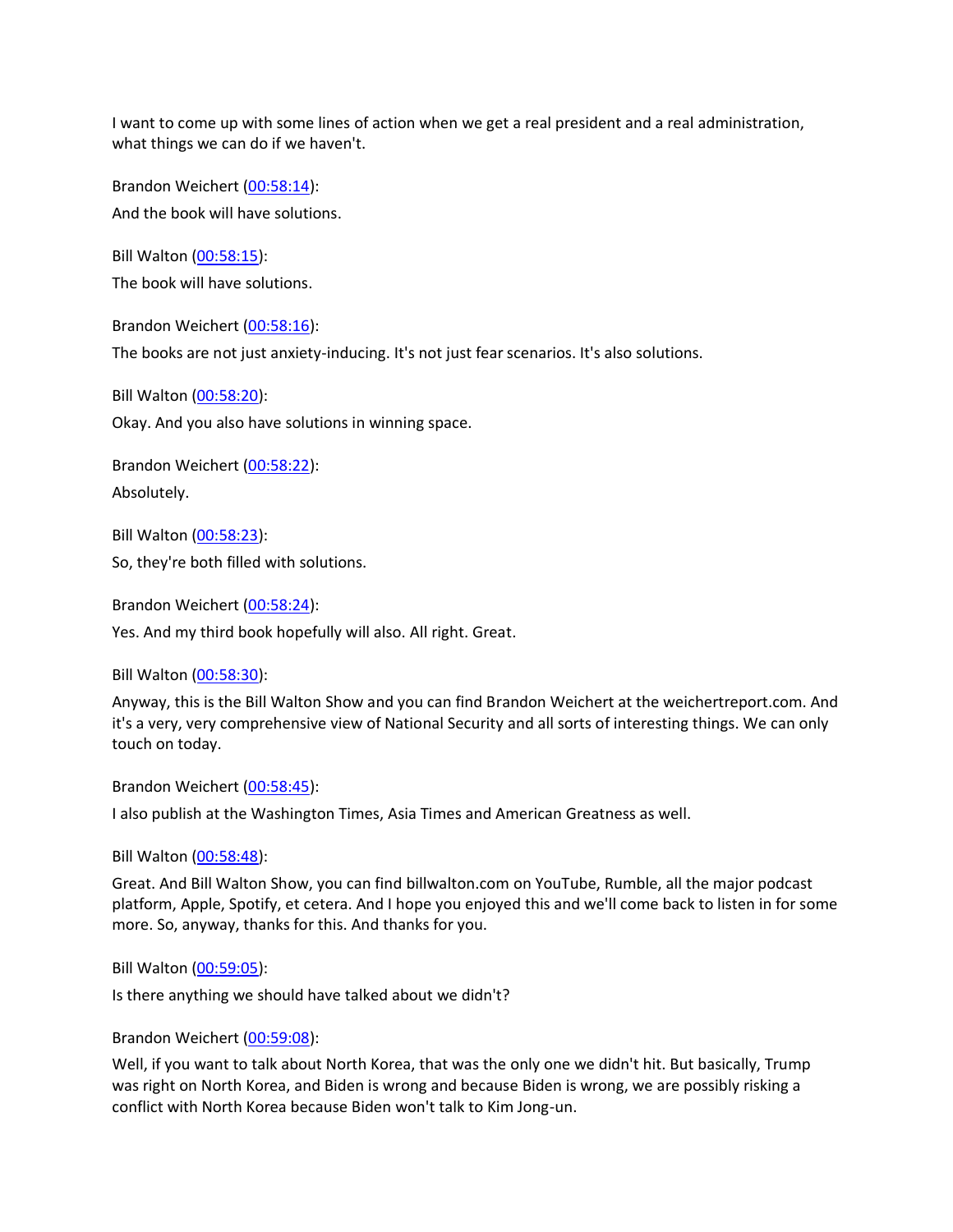I want to come up with some lines of action when we get a real president and a real administration, what things we can do if we haven't.

Brandon Weichert [\(00:58:14\)](https://www.rev.com/transcript-editor/Edit?token=sTgqbuLf1R5e28mGMgjeHER4wvaye2ow6UpM8SRW-OzRr8mdfYirUo25nYrI77cub-9zJKXmMqv6bv49O_Yun3FUEwM&loadFrom=DocumentDeeplink&ts=3494.46): And the book will have solutions.

Bill Walton [\(00:58:15\)](https://www.rev.com/transcript-editor/Edit?token=5PLGkbbBnbZi23VMCxolW1VcholBU6a02HqRjqPWHSaUkOL02e1maOL8wFbQdWSqaVqpjxZP32MCBQM9_--655rXyc8&loadFrom=DocumentDeeplink&ts=3495.47): The book will have solutions.

Brandon Weichert [\(00:58:16\)](https://www.rev.com/transcript-editor/Edit?token=w7NOjZ7GAQH81oly1_Zu9sX4--ASGA07gx3C895cIRstG0WCEscHcDaCfbT9BPQwSnt0jTT2z2vlqOaKyzK9OJdhrTA&loadFrom=DocumentDeeplink&ts=3496.08):

The books are not just anxiety-inducing. It's not just fear scenarios. It's also solutions.

Bill Walton [\(00:58:20\)](https://www.rev.com/transcript-editor/Edit?token=u07BSQktJ_UePTbr4Y5MPbQfknoNDt6ntVx4Q9-AsyV3CRcNW3cHAB02ibNbrOBxqYwSd2Yv_EdQjEoON3aXi9rvRzA&loadFrom=DocumentDeeplink&ts=3500.1): Okay. And you also have solutions in winning space.

Brandon Weichert [\(00:58:22\)](https://www.rev.com/transcript-editor/Edit?token=YaKV5UXjJgf2N15G0RBiGr0dqjuD8Ph6lqaA02qNNHBbz0R2jvY0vJ6VF63sYwQacey7UXKerAgQVBj5BA_Sv6DS7KM&loadFrom=DocumentDeeplink&ts=3502.85): Absolutely.

Bill Walton [\(00:58:23\)](https://www.rev.com/transcript-editor/Edit?token=DMAYHX4DXKTu6Q6Z2lgbOgNR1TWUoFj5dKp1z1Hks5uz-fjIykob6EyVY5raqBqiKEn10rBthu0gRpFBQNU5hptJ5W8&loadFrom=DocumentDeeplink&ts=3503.47):

So, they're both filled with solutions.

Brandon Weichert [\(00:58:24\)](https://www.rev.com/transcript-editor/Edit?token=QCqpRVgdNuhZYJA9aXwmdVP0tvlrGNRuTgueiX1sD248EF6x4TR2Zr0JACP2Wr37fzo8jct6CcGMC6_XPuqy_IeXafM&loadFrom=DocumentDeeplink&ts=3504.81):

Yes. And my third book hopefully will also. All right. Great.

Bill Walton [\(00:58:30\)](https://www.rev.com/transcript-editor/Edit?token=swFClqhIrRNvkw4Vj6N4KcMXRw63-OgJbpji7VhXe1sbe0GNXrgYZXkFrrVdxVn0-qSA6namUBthxduoJo0ExDJ8Vm4&loadFrom=DocumentDeeplink&ts=3510.4):

Anyway, this is the Bill Walton Show and you can find Brandon Weichert at the weichertreport.com. And it's a very, very comprehensive view of National Security and all sorts of interesting things. We can only touch on today.

Brandon Weichert [\(00:58:45\)](https://www.rev.com/transcript-editor/Edit?token=2MKhzPCE5fou6u7Ol7lK76zI_dKWzMG_nolPESUHtJ-T2OsS5wUN55wU5QaCCX1GUsQApVprN1_j4tSDytr_mAjPUBA&loadFrom=DocumentDeeplink&ts=3525.31):

I also publish at the Washington Times, Asia Times and American Greatness as well.

Bill Walton [\(00:58:48\)](https://www.rev.com/transcript-editor/Edit?token=UWoITwkwOF0lJVOrtgh-gsFz4-9duZIMAdbpu3ZgbDLbCdiL-eIS9DhMzRBikiqF7W36gA_6P88bPnlbW26y26Qa_-Y&loadFrom=DocumentDeeplink&ts=3528.54):

Great. And Bill Walton Show, you can find billwalton.com on YouTube, Rumble, all the major podcast platform, Apple, Spotify, et cetera. And I hope you enjoyed this and we'll come back to listen in for some more. So, anyway, thanks for this. And thanks for you.

Bill Walton [\(00:59:05\)](https://www.rev.com/transcript-editor/Edit?token=YUnOH2deNM67C3DaLANJ_7LhPVsxhvB6G1Nm9RO116RHbJftVODBDUR7LNiiat4uGxfVtFceh0bTH9RyD8tPQCWHELE&loadFrom=DocumentDeeplink&ts=3545.8):

Is there anything we should have talked about we didn't?

# Brandon Weichert [\(00:59:08\)](https://www.rev.com/transcript-editor/Edit?token=lWzq31MhoePYzJr-zG1WzXkdlA4jYNTH9ICdB8BhB7RyZhbd0gVrOaPkYtyjwKgnYRm27X6FJG0GXCuPGhXMKRCJPNI&loadFrom=DocumentDeeplink&ts=3548.42):

Well, if you want to talk about North Korea, that was the only one we didn't hit. But basically, Trump was right on North Korea, and Biden is wrong and because Biden is wrong, we are possibly risking a conflict with North Korea because Biden won't talk to Kim Jong-un.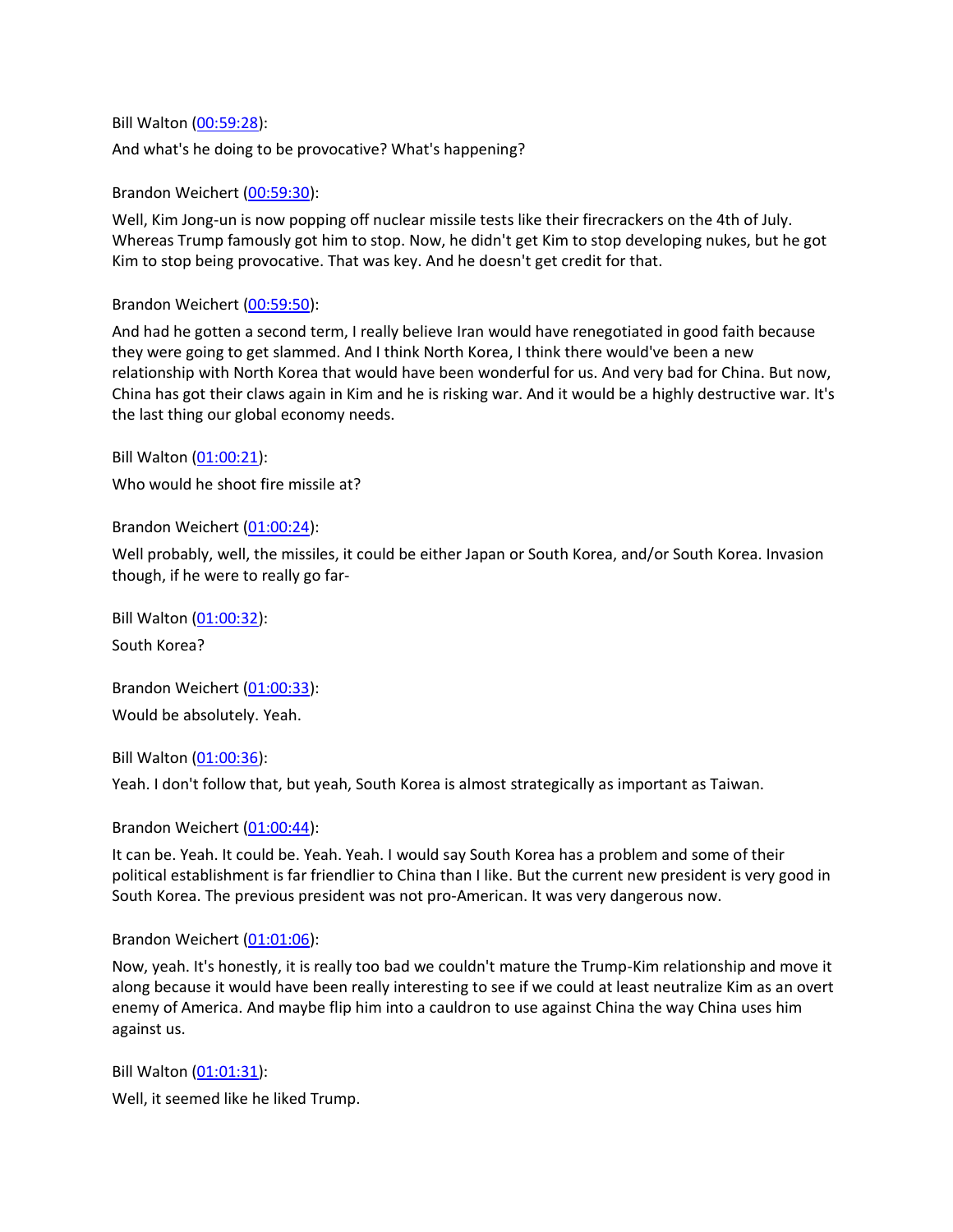Bill Walton [\(00:59:28\)](https://www.rev.com/transcript-editor/Edit?token=zveBRu6yChLCAKjtHh8pEEmtr-NmwGW2Gp-THBfUTRedGv9fnZCm1akudFUmM3saRneVixCl0fxj61KRzMdKd7LeM-I&loadFrom=DocumentDeeplink&ts=3568.45): And what's he doing to be provocative? What's happening?

Brandon Weichert [\(00:59:30\)](https://www.rev.com/transcript-editor/Edit?token=Rl-Uj5sCMIPQuJyN667hjYI5w4Ucav1vPTXkavh4BGm_y6jjp637JVLvVboE8dtpE3YXtC7e0wHuLjiNG4sZ9spzp6s&loadFrom=DocumentDeeplink&ts=3570.73):

Well, Kim Jong-un is now popping off nuclear missile tests like their firecrackers on the 4th of July. Whereas Trump famously got him to stop. Now, he didn't get Kim to stop developing nukes, but he got Kim to stop being provocative. That was key. And he doesn't get credit for that.

# Brandon Weichert [\(00:59:50\)](https://www.rev.com/transcript-editor/Edit?token=M84eN4FgqoHme1yHBz-yf8t9gXIvFkKSmWBYX3rLq8_Y7A40toEJEanYYXOlti3LCV0SyN1TdKv_2wR6i6eymU7rKYk&loadFrom=DocumentDeeplink&ts=3590.97):

And had he gotten a second term, I really believe Iran would have renegotiated in good faith because they were going to get slammed. And I think North Korea, I think there would've been a new relationship with North Korea that would have been wonderful for us. And very bad for China. But now, China has got their claws again in Kim and he is risking war. And it would be a highly destructive war. It's the last thing our global economy needs.

Bill Walton [\(01:00:21\)](https://www.rev.com/transcript-editor/Edit?token=KNcf5WPSGJk5jYkzABHkSgCaLQbNAHHFSDrwspeK0vL7s6Ybbp-YcFUvPGzDBx2B4whErueUbMMeM5WU1FpYMBhx82M&loadFrom=DocumentDeeplink&ts=3621.57): Who would he shoot fire missile at?

Brandon Weichert [\(01:00:24\)](https://www.rev.com/transcript-editor/Edit?token=33mP_5_95YVZ3y9jaY5768RrHY0IyUgOqRAtscQYX_IzLrXk2yhedc7N6W3QNOSf94De3KNnnWFAgR8R4W5YYakRCog&loadFrom=DocumentDeeplink&ts=3624.87):

Well probably, well, the missiles, it could be either Japan or South Korea, and/or South Korea. Invasion though, if he were to really go far-

Bill Walton [\(01:00:32\)](https://www.rev.com/transcript-editor/Edit?token=C5_L4at3RDzC4MGfF3k31_HYJtE3JHletx_cmIlzFVnUJKDYAvBW2CPq8iDLELqrJz7EoxqdXR22dpI9GaDSBaNkvis&loadFrom=DocumentDeeplink&ts=3632.86):

South Korea?

Brandon Weichert [\(01:00:33\)](https://www.rev.com/transcript-editor/Edit?token=WVdUkrI-XorCNvV7-eAlfjs6skNsOU6SsVw_3cXU4qOffmYZh1Mjz56qdmGBQo2KvOzG23Zwhl9Z0jSu0KkkoyN1Rks&loadFrom=DocumentDeeplink&ts=3633.52): Would be absolutely. Yeah.

Bill Walton [\(01:00:36\)](https://www.rev.com/transcript-editor/Edit?token=OeSjqRe-Omv_Yr2kTvpoq9_iJfnvR0StzVMSbY8UjkRRfWa8hXXvxJqb7Ua3DDYiephGBqDij2ub_3E7IeNN_yRUZs0&loadFrom=DocumentDeeplink&ts=3636.46):

Yeah. I don't follow that, but yeah, South Korea is almost strategically as important as Taiwan.

Brandon Weichert [\(01:00:44\)](https://www.rev.com/transcript-editor/Edit?token=jS2bkLRSbz5CFTUYlbGrYQx3mu_FFOV0WiPZlAP6fVjRuiDBvNTVf8hr01yiYUCyRCUfM2Xi9JgbQUbuGLGNCmm5o-s&loadFrom=DocumentDeeplink&ts=3644.05):

It can be. Yeah. It could be. Yeah. Yeah. I would say South Korea has a problem and some of their political establishment is far friendlier to China than I like. But the current new president is very good in South Korea. The previous president was not pro-American. It was very dangerous now.

Brandon Weichert [\(01:01:06\)](https://www.rev.com/transcript-editor/Edit?token=Nl4Udy2O2UStTFRMX0kwKLonT2Nkp6mDyoMWe5W2jqqJN1QKja7cg-tCtFx-BXGeq4lpO3GY41v6RubUcUBIv5NGGbs&loadFrom=DocumentDeeplink&ts=3666.47):

Now, yeah. It's honestly, it is really too bad we couldn't mature the Trump-Kim relationship and move it along because it would have been really interesting to see if we could at least neutralize Kim as an overt enemy of America. And maybe flip him into a cauldron to use against China the way China uses him against us.

Bill Walton [\(01:01:31\)](https://www.rev.com/transcript-editor/Edit?token=pagxwZpGO-zWctvhPRdxBrpbei8rfnckYaPptfcjvNYVDOB25ulQZNzQnAylQdmsUodVsv8Iihm4tkaxPtVF5GEWNts&loadFrom=DocumentDeeplink&ts=3691.27): Well, it seemed like he liked Trump.